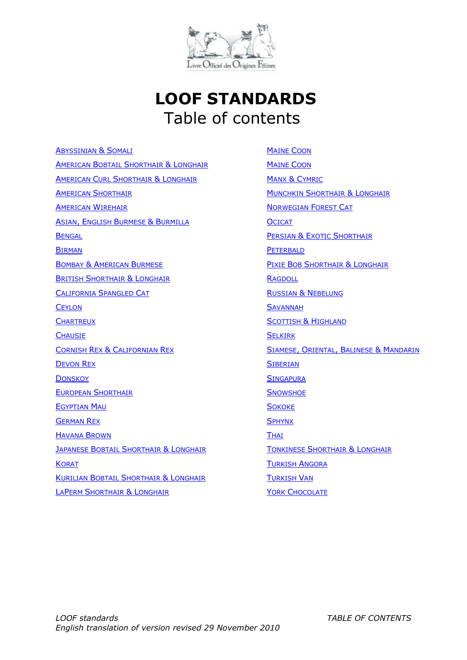

# **LOOF STANDARDS** Table of contents

A[BYSSINIAN](#page-1-0) & SOMALI AMERICAN BOBTAIL SHORTHAIR & LONGHAIR AMERICAN CURL SHORTHAIR & LONGHAIR **AMERICAN S[HORTHAIR](#page-8-0) A[MERICAN](#page-10-0) WIREHAIR** ASIAN, ENGLISH BURMESE & BURMILLA **B[ENGAL](#page-15-0)** B[IRMAN](#page-17-0) BOMBAY & AMERICAN BURMESE **BRITISH S[HORTHAIR](#page-21-0) & LONGHAIR** C[ALIFORNIA](#page-23-0) SPANGLED CAT **C[EYLON](#page-25-0) C[HARTREUX](#page-27-0) C[HAUSIE](#page-29-0)** CORNISH REX & CALIFORNIAN REX **D[EVON](#page-33-0) REX D[ONSKOY](#page-35-0)** EUROPEAN S[HORTHAIR](#page-40-0) **E[GYPTIAN](#page-37-0) MAU** G[ERMAN](#page-42-0) REX H[AVANA](#page-44-0) BROWN **JAPANESE BOBTAIL SHORTHAIR & LONGHAIR K[ORAT](#page-48-0)** KURILIAN BOBTAIL SHORTHAIR & LONGHAIR LAPERM SHORTHAIR & LONGHAIR

**M[AINE](#page-54-0) COON MAINE COON** MANX & C[YMRIC](#page-56-0) **MUNCHKIN S[HORTHAIR](#page-58-0) & LONGHAIR** N[ORWEGIAN](#page-60-0) FOREST CAT **O[CICAT](#page-62-0) PERSIAN & EXOTIC SHORTHAIR P[ETERBALD](#page-68-0)** PIXIE BOB SHORTHAIR & LONGHAIR **R[AGDOLL](#page-73-0)** RUSSIAN & N[EBELUNG](#page-76-0) **S[AVANNAH](#page-78-0)** S[COTTISH](#page-80-0) & HIGHLAND **S[ELKIRK](#page-83-0)** SIAMESE, ORIENTAL, BALINESE & M[ANDARIN](#page-85-0) **S[IBERIAN](#page-88-0) S[INGAPURA](#page-90-0) S[NOWSHOE](#page-92-0) S[OKOKE](#page-94-0) S[PHYNX](#page-96-0) T[HAI](#page-98-0)** TONKINESE SHORTHAIR & LONGHAIR T[URKISH](#page-102-0) ANGORA T[URKISH](#page-104-0) VAN YORK C[HOCOLATE](#page-106-0)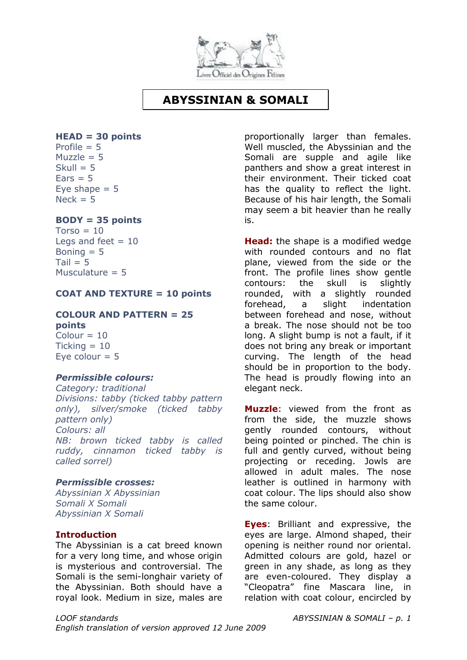

## **ABYSSINIAN & SOMALI**

## <span id="page-1-0"></span>**HEAD = 30 points**

Profile  $= 5$  $M_{11}$ zzle = 5  $Skull = 5$  $Fars = 5$ Eve shape  $= 5$  $Neck = 5$ 

## **BODY = 35 points**

 $Torso = 10$ Legs and feet  $= 10$ Boning  $= 5$  $Tail = 5$ Musculature  $= 5$ 

## **COAT AND TEXTURE = 10 points**

## **COLOUR AND PATTERN = 25 points**

 $Colour = 10$  $Tickina = 10$ Eve colour  $= 5$ 

#### *Permissible colours:*

*Category: traditional Divisions: tabby (ticked tabby pattern only), silver/smoke (ticked tabby pattern only) Colours: all NB: brown ticked tabby is called ruddy, cinnamon ticked tabby is called sorrel)*

#### *Permissible crosses:*

*Abyssinian X Abyssinian Somali X Somali Abyssinian X Somali*

## **Introduction**

The Abyssinian is a cat breed known for a very long time, and whose origin is mysterious and controversial. The Somali is the semi-longhair variety of the Abyssinian. Both should have a royal look. Medium in size, males are

proportionally larger than females. Well muscled, the Abyssinian and the Somali are supple and agile like panthers and show a great interest in their environment. Their ticked coat has the quality to reflect the light. Because of his hair length, the Somali may seem a bit heavier than he really is.

**Head:** the shape is a modified wedge with rounded contours and no flat plane, viewed from the side or the front. The profile lines show gentle contours: the skull is slightly rounded, with a slightly rounded forehead, a slight indentation between forehead and nose, without a break. The nose should not be too long. A slight bump is not a fault, if it does not bring any break or important curving. The length of the head should be in proportion to the body. The head is proudly flowing into an elegant neck.

**Muzzle**: viewed from the front as from the side, the muzzle shows gently rounded contours, without being pointed or pinched. The chin is full and gently curved, without being projecting or receding. Jowls are allowed in adult males. The nose leather is outlined in harmony with coat colour. The lips should also show the same colour.

**Eyes**: Brilliant and expressive, the eyes are large. Almond shaped, their opening is neither round nor oriental. Admitted colours are gold, hazel or green in any shade, as long as they are even-coloured. They display a "Cleopatra" fine Mascara line, in relation with coat colour, encircled by

*LOOF standards ABYSSINIAN & SOMALI – p. 1 English translation of version approved 12 June 2009*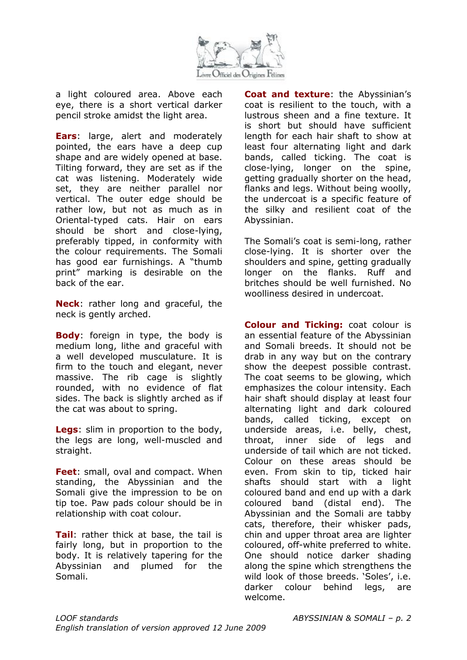

a light coloured area. Above each eye, there is a short vertical darker pencil stroke amidst the light area.

**Ears**: large, alert and moderately pointed, the ears have a deep cup shape and are widely opened at base. Tilting forward, they are set as if the cat was listening. Moderately wide set, they are neither parallel nor vertical. The outer edge should be rather low, but not as much as in Oriental-typed cats. Hair on ears should be short and close-lying, preferably tipped, in conformity with the colour requirements. The Somali has good ear furnishings. A "thumb print" marking is desirable on the back of the ear.

**Neck**: rather long and graceful, the neck is gently arched.

**Body**: foreign in type, the body is medium long, lithe and graceful with a well developed musculature. It is firm to the touch and elegant, never massive. The rib cage is slightly rounded, with no evidence of flat sides. The back is slightly arched as if the cat was about to spring.

**Legs**: slim in proportion to the body, the legs are long, well-muscled and straight.

**Feet**: small, oval and compact. When standing, the Abyssinian and the Somali give the impression to be on tip toe. Paw pads colour should be in relationship with coat colour.

**Tail**: rather thick at base, the tail is fairly long, but in proportion to the body. It is relatively tapering for the Abyssinian and plumed for the Somali.

**Coat and texture**: the Abyssinian's coat is resilient to the touch, with a lustrous sheen and a fine texture. It is short but should have sufficient length for each hair shaft to show at least four alternating light and dark bands, called ticking. The coat is close-lying, longer on the spine, getting gradually shorter on the head, flanks and legs. Without being woolly, the undercoat is a specific feature of the silky and resilient coat of the Abyssinian.

The Somali's coat is semi-long, rather close-lying. It is shorter over the shoulders and spine, getting gradually longer on the flanks. Ruff and britches should be well furnished. No woolliness desired in undercoat.

**Colour and Ticking:** coat colour is an essential feature of the Abyssinian and Somali breeds. It should not be drab in any way but on the contrary show the deepest possible contrast. The coat seems to be glowing, which emphasizes the colour intensity. Each hair shaft should display at least four alternating light and dark coloured bands, called ticking, except on underside areas, i.e. belly, chest, throat, inner side of legs and underside of tail which are not ticked. Colour on these areas should be even. From skin to tip, ticked hair shafts should start with a light coloured band and end up with a dark coloured band (distal end). The Abyssinian and the Somali are tabby cats, therefore, their whisker pads, chin and upper throat area are lighter coloured, off-white preferred to white. One should notice darker shading along the spine which strengthens the wild look of those breeds. 'Soles', i.e. darker colour behind legs, are welcome.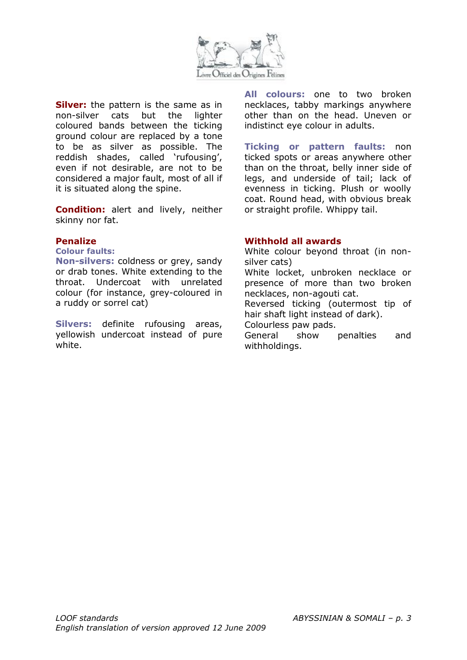

**Silver:** the pattern is the same as in non-silver cats but the lighter coloured bands between the ticking ground colour are replaced by a tone to be as silver as possible. The reddish shades, called 'rufousing', even if not desirable, are not to be considered a major fault, most of all if it is situated along the spine.

**Condition:** alert and lively, neither skinny nor fat.

#### **Penalize**

**Colour faults:**

**Non-silvers:** coldness or grey, sandy or drab tones. White extending to the throat. Undercoat with unrelated colour (for instance, grey-coloured in a ruddy or sorrel cat)

**Silvers:** definite rufousing areas, yellowish undercoat instead of pure white.

**All colours:** one to two broken necklaces, tabby markings anywhere other than on the head. Uneven or indistinct eye colour in adults.

**Ticking or pattern faults:** non ticked spots or areas anywhere other than on the throat, belly inner side of legs, and underside of tail; lack of evenness in ticking. Plush or woolly coat. Round head, with obvious break or straight profile. Whippy tail.

#### **Withhold all awards**

White colour beyond throat (in nonsilver cats)

White locket, unbroken necklace or presence of more than two broken necklaces, non-agouti cat.

Reversed ticking (outermost tip of hair shaft light instead of dark).

Colourless paw pads.

General show penalties and withholdings.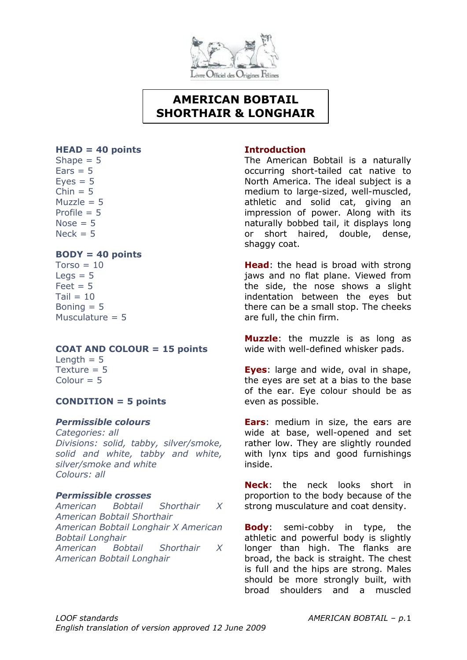

## **AMERICAN BOBTAIL SHORTHAIR & LONGHAIR**

#### **HEAD = 40 points**

Shape  $= 5$  $Ears = 5$  $Eves = 5$  $Chin = 5$ Muzzle  $= 5$ Profile  $= 5$  $Nose = 5$  $Nerk = 5$ 

## **BODY = 40 points**

 $Torso = 10$  $Leas = 5$  $Feet = 5$  $Tail = 10$ Boning  $= 5$ Musculature  $= 5$ 

## **COAT AND COLOUR = 15 points**

Length  $= 5$ Texture  $= 5$  $Colour = 5$ 

## **CONDITION = 5 points**

## *Permissible colours*

*Categories: all Divisions: solid, tabby, silver/smoke, solid and white, tabby and white, silver/smoke and white Colours: all*

## *Permissible crosses*

*American Bobtail Shorthair X American Bobtail Shorthair American Bobtail Longhair X American Bobtail Longhair American Bobtail Shorthair X American Bobtail Longhair*

## **Introduction**

The American Bobtail is a naturally occurring short-tailed cat native to North America. The ideal subject is a medium to large-sized, well-muscled, athletic and solid cat, giving an impression of power. Along with its naturally bobbed tail, it displays long or short haired, double, dense, shaggy coat.

**Head**: the head is broad with strong jaws and no flat plane. Viewed from the side, the nose shows a slight indentation between the eyes but there can be a small stop. The cheeks are full, the chin firm.

**Muzzle**: the muzzle is as long as wide with well-defined whisker pads.

**Eyes**: large and wide, oval in shape, the eyes are set at a bias to the base of the ear. Eye colour should be as even as possible.

**Ears**: medium in size, the ears are wide at base, well-opened and set rather low. They are slightly rounded with lynx tips and good furnishings inside.

**Neck**: the neck looks short in proportion to the body because of the strong musculature and coat density.

**Body**: semi-cobby in type, the athletic and powerful body is slightly longer than high. The flanks are broad, the back is straight. The chest is full and the hips are strong. Males should be more strongly built, with broad shoulders and a muscled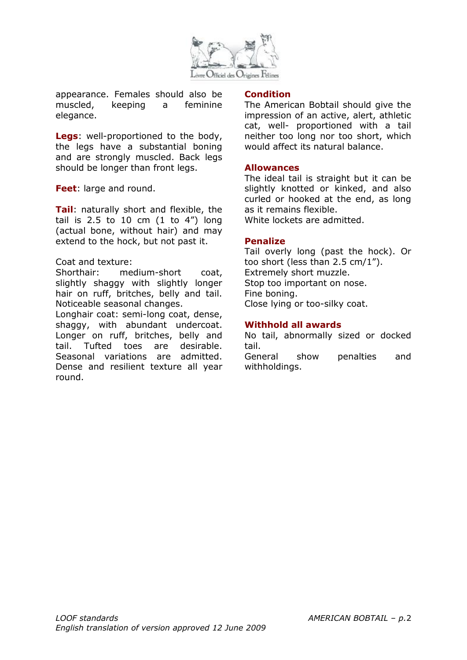

appearance. Females should also be muscled, keeping a feminine elegance.

**Legs**: well-proportioned to the body, the legs have a substantial boning and are strongly muscled. Back legs should be longer than front legs.

**Feet**: large and round.

**Tail**: naturally short and flexible, the tail is  $2.5$  to  $10$  cm  $(1 \text{ to } 4")$  long (actual bone, without hair) and may extend to the hock, but not past it.

### Coat and texture:

Shorthair: medium-short coat, slightly shaggy with slightly longer hair on ruff, britches, belly and tail. Noticeable seasonal changes.

Longhair coat: semi-long coat, dense, shaggy, with abundant undercoat. Longer on ruff, britches, belly and tail. Tufted toes are desirable. Seasonal variations are admitted. Dense and resilient texture all year round.

#### **Condition**

The American Bobtail should give the impression of an active, alert, athletic cat, well- proportioned with a tail neither too long nor too short, which would affect its natural balance.

### **Allowances**

The ideal tail is straight but it can be slightly knotted or kinked, and also curled or hooked at the end, as long as it remains flexible. White lockets are admitted.

### **Penalize**

Tail overly long (past the hock). Or too short (less than 2.5 cm/1"). Extremely short muzzle. Stop too important on nose. Fine boning. Close lying or too-silky coat.

## **Withhold all awards**

No tail, abnormally sized or docked tail.

General show penalties and withholdings.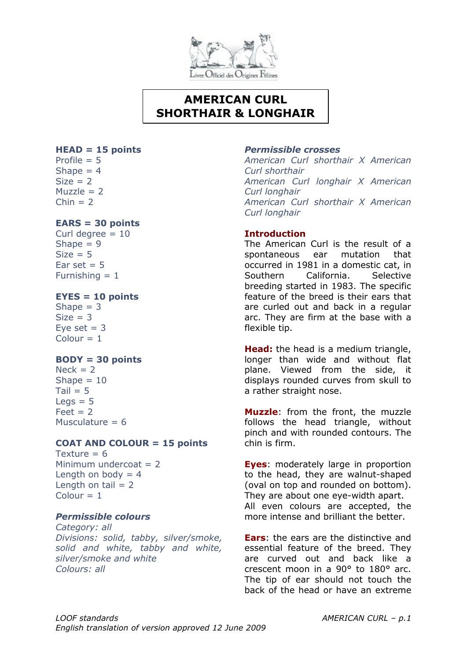

## **AMERICAN CURL SHORTHAIR & LONGHAIR**

### **HEAD = 15 points**

Profile  $= 5$ Shape  $= 4$  $Size = 2$  $Muzzle = 2$  $Chin = 2$ 

## **EARS = 30 points**

Curl degree  $= 10$ Shape  $= 9$  $Size = 5$ Ear set  $= 5$ Furnishing  $= 1$ 

## **EYES = 10 points**

Shape  $= 3$  $Size = 3$ Eve set  $= 3$  $Colour = 1$ 

## **BODY = 30 points**

 $Nack = 2$ Shape  $= 10$  $Tail = 5$  $Leqs = 5$  $Feet = 2$ Musculature  $= 6$ 

## **COAT AND COLOUR = 15 points**

Texture  $= 6$ Minimum undercoat  $= 2$ Length on body  $= 4$ Length on tail  $= 2$  $Colour = 1$ 

## *Permissible colours*

*Category: all Divisions: solid, tabby, silver/smoke, solid and white, tabby and white, silver/smoke and white Colours: all*

### *Permissible crosses*

*American Curl shorthair X American Curl shorthair American Curl longhair X American Curl longhair American Curl shorthair X American Curl longhair*

## **Introduction**

The American Curl is the result of a spontaneous ear mutation that occurred in 1981 in a domestic cat, in Southern California. Selective breeding started in 1983. The specific feature of the breed is their ears that are curled out and back in a regular arc. They are firm at the base with a flexible tip.

**Head:** the head is a medium triangle, longer than wide and without flat plane. Viewed from the side, it displays rounded curves from skull to a rather straight nose.

**Muzzle**: from the front, the muzzle follows the head triangle, without pinch and with rounded contours. The chin is firm.

**Eyes**: moderately large in proportion to the head, they are walnut-shaped (oval on top and rounded on bottom). They are about one eye-width apart. All even colours are accepted, the more intense and brilliant the better.

**Ears**: the ears are the distinctive and essential feature of the breed. They are curved out and back like a crescent moon in a 90° to 180° arc. The tip of ear should not touch the back of the head or have an extreme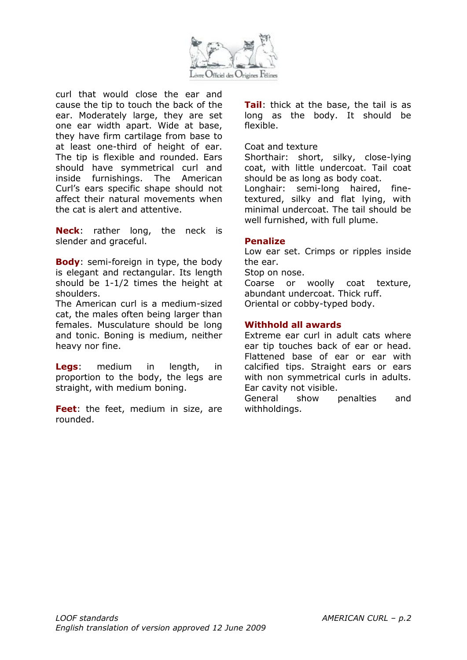

curl that would close the ear and cause the tip to touch the back of the ear. Moderately large, they are set one ear width apart. Wide at base, they have firm cartilage from base to at least one-third of height of ear. The tip is flexible and rounded. Ears should have symmetrical curl and inside furnishings. The American Curl's ears specific shape should not affect their natural movements when the cat is alert and attentive.

**Neck**: rather long, the neck is slender and graceful.

**Body**: semi-foreign in type, the body is elegant and rectangular. Its length should be 1-1/2 times the height at shoulders.

The American curl is a medium-sized cat, the males often being larger than females. Musculature should be long and tonic. Boning is medium, neither heavy nor fine.

**Legs**: medium in length, in proportion to the body, the legs are straight, with medium boning.

**Feet**: the feet, medium in size, are rounded.

**Tail**: thick at the base, the tail is as long as the body. It should be flexible.

#### Coat and texture

Shorthair: short, silky, close-lying coat, with little undercoat. Tail coat should be as long as body coat.

Longhair: semi-long haired, finetextured, silky and flat lying, with minimal undercoat. The tail should be well furnished, with full plume.

## **Penalize**

Low ear set. Crimps or ripples inside the ear.

Stop on nose.

Coarse or woolly coat texture, abundant undercoat. Thick ruff. Oriental or cobby-typed body.

## **Withhold all awards**

Extreme ear curl in adult cats where ear tip touches back of ear or head. Flattened base of ear or ear with calcified tips. Straight ears or ears with non symmetrical curls in adults. Ear cavity not visible.

General show penalties and withholdings.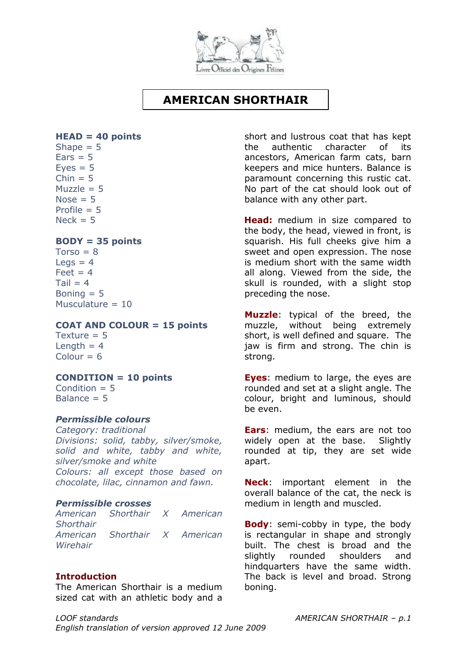

## **AMERICAN SHORTHAIR**

#### <span id="page-8-0"></span>**HEAD = 40 points**

Shape  $= 5$  $Ears = 5$  $Eves = 5$  $Chin = 5$  $Muzzle = 5$ Nose  $= 5$ Profile  $= 5$  $Nerk = 5$ 

## **BODY = 35 points**

 $Torso = 8$ Legs  $= 4$  $Feet = 4$  $Tail = 4$ Boning  $= 5$ Musculature = 10

#### **COAT AND COLOUR = 15 points**

Texture  $= 5$ Length  $= 4$  $Colour = 6$ 

## **CONDITION = 10 points**

Condition  $= 5$ Balance  $= 5$ 

## *Permissible colours*

*Category: traditional Divisions: solid, tabby, silver/smoke, solid and white, tabby and white, silver/smoke and white Colours: all except those based on chocolate, lilac, cinnamon and fawn.*

#### *Permissible crosses*

*American Shorthair X American Shorthair American Shorthair X American Wirehair*

## **Introduction**

The American Shorthair is a medium sized cat with an athletic body and a

*LOOF standards AMERICAN SHORTHAIR – p.1 English translation of version approved 12 June 2009*

short and lustrous coat that has kept the authentic character of its ancestors, American farm cats, barn keepers and mice hunters. Balance is paramount concerning this rustic cat. No part of the cat should look out of balance with any other part.

**Head:** medium in size compared to the body, the head, viewed in front, is squarish. His full cheeks give him a sweet and open expression. The nose is medium short with the same width all along. Viewed from the side, the skull is rounded, with a slight stop preceding the nose.

**Muzzle**: typical of the breed, the muzzle, without being extremely short, is well defined and square. The jaw is firm and strong. The chin is strong.

**Eyes**: medium to large, the eyes are rounded and set at a slight angle. The colour, bright and luminous, should be even.

**Ears**: medium, the ears are not too widely open at the base. Slightly rounded at tip, they are set wide apart.

**Neck**: important element in the overall balance of the cat, the neck is medium in length and muscled.

**Body**: semi-cobby in type, the body is rectangular in shape and strongly built. The chest is broad and the slightly rounded shoulders and hindquarters have the same width. The back is level and broad. Strong boning.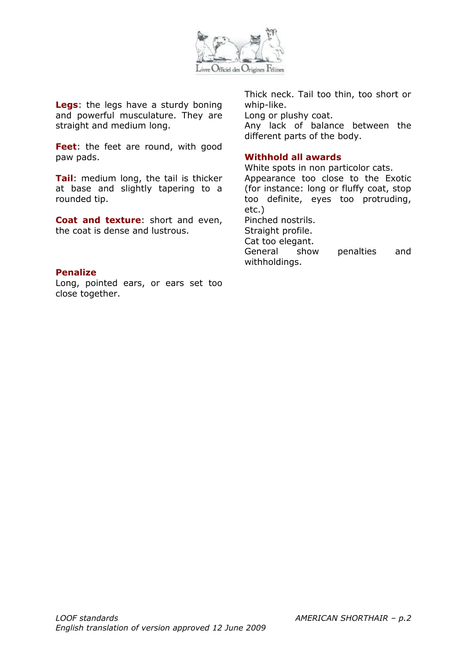

**Legs**: the legs have a sturdy boning and powerful musculature. They are straight and medium long.

Feet: the feet are round, with good paw pads.

**Tail**: medium long, the tail is thicker at base and slightly tapering to a rounded tip.

**Coat and texture**: short and even, the coat is dense and lustrous.

### **Penalize**

Long, pointed ears, or ears set too close together.

Thick neck. Tail too thin, too short or whip-like. Long or plushy coat.

Any lack of balance between the different parts of the body.

#### **Withhold all awards**

White spots in non particolor cats. Appearance too close to the Exotic (for instance: long or fluffy coat, stop too definite, eyes too protruding, etc.) Pinched nostrils. Straight profile. Cat too elegant. General show penalties and withholdings.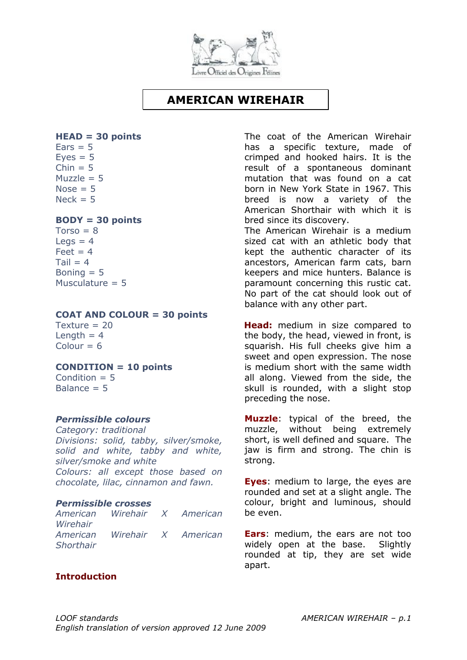![](_page_10_Picture_0.jpeg)

## **AMERICAN WIREHAIR**

### <span id="page-10-0"></span>**HEAD = 30 points**

 $Ears = 5$  $Eves = 5$  $Chin = 5$  $Muzzle = 5$ Nose  $= 5$  $Neck = 5$ 

### **BODY = 30 points**

 $Torso = 8$  $Legs = 4$  $Feet = 4$  $Tail = 4$ Boning  $= 5$ Musculature  $= 5$ 

#### **COAT AND COLOUR = 30 points**

Texture  $= 20$ Length  $= 4$  $Colour = 6$ 

#### **CONDITION = 10 points**

Condition  $= 5$ Balance  $= 5$ 

### *Permissible colours*

*Category: traditional Divisions: solid, tabby, silver/smoke, solid and white, tabby and white, silver/smoke and white Colours: all except those based on chocolate, lilac, cinnamon and fawn.*

#### *Permissible crosses*

*American Wirehair X American Wirehair American Wirehair X American Shorthair* 

## **Introduction**

The coat of the American Wirehair has a specific texture, made of crimped and hooked hairs. It is the result of a spontaneous dominant mutation that was found on a cat born in New York State in 1967. This breed is now a variety of the American Shorthair with which it is bred since its discovery.

The American Wirehair is a medium sized cat with an athletic body that kept the authentic character of its ancestors, American farm cats, barn keepers and mice hunters. Balance is paramount concerning this rustic cat. No part of the cat should look out of balance with any other part.

**Head:** medium in size compared to the body, the head, viewed in front, is squarish. His full cheeks give him a sweet and open expression. The nose is medium short with the same width all along. Viewed from the side, the skull is rounded, with a slight stop preceding the nose.

**Muzzle**: typical of the breed, the muzzle, without being extremely short, is well defined and square. The jaw is firm and strong. The chin is strong.

**Eves:** medium to large, the eyes are rounded and set at a slight angle. The colour, bright and luminous, should be even.

**Ears**: medium, the ears are not too widely open at the base. Slightly rounded at tip, they are set wide apart.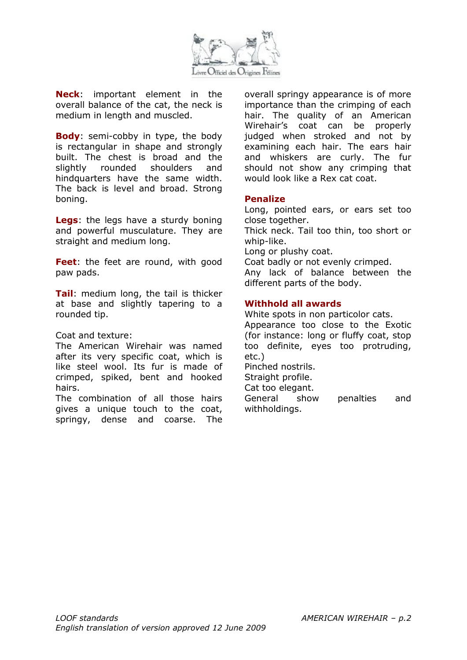![](_page_11_Picture_0.jpeg)

**Neck**: important element in the overall balance of the cat, the neck is medium in length and muscled.

**Body**: semi-cobby in type, the body is rectangular in shape and strongly built. The chest is broad and the slightly rounded shoulders and hindquarters have the same width. The back is level and broad. Strong boning.

**Legs**: the legs have a sturdy boning and powerful musculature. They are straight and medium long.

**Feet**: the feet are round, with good paw pads.

**Tail**: medium long, the tail is thicker at base and slightly tapering to a rounded tip.

Coat and texture:

The American Wirehair was named after its very specific coat, which is like steel wool. Its fur is made of crimped, spiked, bent and hooked hairs.

The combination of all those hairs gives a unique touch to the coat, springy, dense and coarse. The overall springy appearance is of more importance than the crimping of each hair. The quality of an American Wirehair's coat can be properly judged when stroked and not by examining each hair. The ears hair and whiskers are curly. The fur should not show any crimping that would look like a Rex cat coat.

#### **Penalize**

Long, pointed ears, or ears set too close together.

Thick neck. Tail too thin, too short or whip-like.

Long or plushy coat.

Coat badly or not evenly crimped.

Any lack of balance between the different parts of the body.

#### **Withhold all awards**

White spots in non particolor cats. Appearance too close to the Exotic (for instance: long or fluffy coat, stop too definite, eyes too protruding, etc.) Pinched nostrils. Straight profile.

Cat too elegant.

General show penalties and withholdings.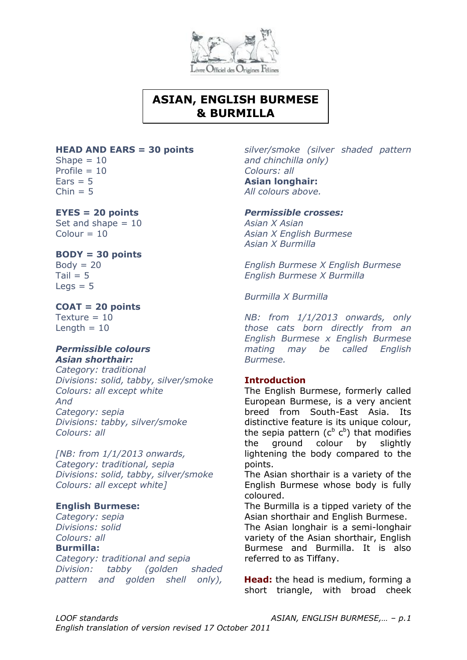![](_page_12_Picture_0.jpeg)

## **ASIAN, ENGLISH BURMESE & BURMILLA**

#### **HEAD AND EARS = 30 points**

Shape  $= 10$ Profile  $= 10$  $Ears = 5$  $Chin = 5$ 

## **EYES = 20 points**

Set and shape  $= 10$  $Colour = 10$ 

### **BODY = 30 points**

 $Body = 20$  $Tail = 5$  $Leqs = 5$ 

## **COAT = 20 points**

Texture  $= 10$ Length  $= 10$ 

### *Permissible colours Asian shorthair:*

*Category: traditional Divisions: solid, tabby, silver/smoke Colours: all except white And Category: sepia Divisions: tabby, silver/smoke Colours: all*

*[NB: from 1/1/2013 onwards, Category: traditional, sepia Divisions: solid, tabby, silver/smoke Colours: all except white]*

## **English Burmese:**

*Category: sepia Divisions: solid Colours: all*

#### **Burmilla:**

*Category: traditional and sepia Division: tabby (golden shaded pattern and golden shell only),* 

*silver/smoke (silver shaded pattern and chinchilla only) Colours: all* **Asian longhair:** *All colours above.*

#### *Permissible crosses:*

*Asian X Asian Asian X English Burmese Asian X Burmilla*

*English Burmese X English Burmese English Burmese X Burmilla*

*Burmilla X Burmilla*

*NB: from 1/1/2013 onwards, only those cats born directly from an English Burmese x English Burmese mating may be called English Burmese.*

## **Introduction**

The English Burmese, formerly called European Burmese, is a very ancient breed from South-East Asia. Its distinctive feature is its unique colour, the sepia pattern  $(c^b c^b)$  that modifies the ground colour by slightly lightening the body compared to the points.

The Asian shorthair is a variety of the English Burmese whose body is fully coloured.

The Burmilla is a tipped variety of the Asian shorthair and English Burmese.

The Asian longhair is a semi-longhair variety of the Asian shorthair, English Burmese and Burmilla. It is also referred to as Tiffany.

**Head:** the head is medium, forming a short triangle, with broad cheek

*LOOF standards ASIAN, ENGLISH BURMESE,… – p.1*

*English translation of version revised 17 October 2011*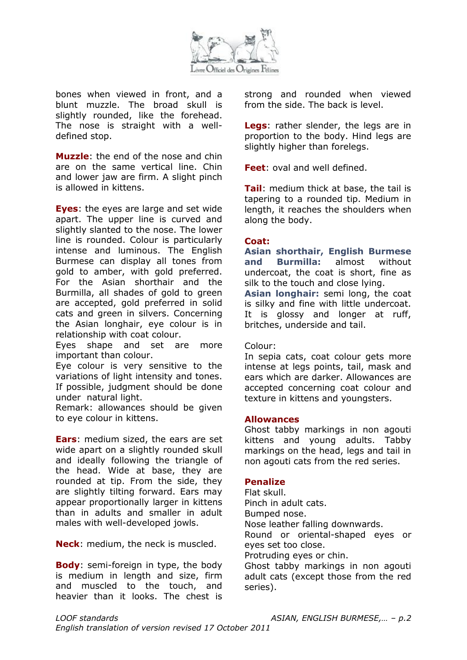![](_page_13_Picture_0.jpeg)

bones when viewed in front, and a blunt muzzle. The broad skull is slightly rounded, like the forehead. The nose is straight with a welldefined stop.

**Muzzle**: the end of the nose and chin are on the same vertical line. Chin and lower jaw are firm. A slight pinch is allowed in kittens.

**Eyes**: the eyes are large and set wide apart. The upper line is curved and slightly slanted to the nose. The lower line is rounded. Colour is particularly intense and luminous. The English Burmese can display all tones from gold to amber, with gold preferred. For the Asian shorthair and the Burmilla, all shades of gold to green are accepted, gold preferred in solid cats and green in silvers. Concerning the Asian longhair, eye colour is in relationship with coat colour.

Eyes shape and set are more important than colour.

Eye colour is very sensitive to the variations of light intensity and tones. If possible, judgment should be done under natural light.

Remark: allowances should be given to eye colour in kittens.

**Ears**: medium sized, the ears are set wide apart on a slightly rounded skull and ideally following the triangle of the head. Wide at base, they are rounded at tip. From the side, they are slightly tilting forward. Ears may appear proportionally larger in kittens than in adults and smaller in adult males with well-developed jowls.

**Neck**: medium, the neck is muscled.

**Body**: semi-foreign in type, the body is medium in length and size, firm and muscled to the touch, and heavier than it looks. The chest is strong and rounded when viewed from the side. The back is level.

**Legs**: rather slender, the legs are in proportion to the body. Hind legs are slightly higher than forelegs.

**Feet**: oval and well defined.

**Tail**: medium thick at base, the tail is tapering to a rounded tip. Medium in length, it reaches the shoulders when along the body.

### **Coat:**

**Asian shorthair, English Burmese and Burmilla:** almost without undercoat, the coat is short, fine as silk to the touch and close lying.

**Asian longhair:** semi long, the coat is silky and fine with little undercoat. It is glossy and longer at ruff, britches, underside and tail.

#### Colour:

In sepia cats, coat colour gets more intense at legs points, tail, mask and ears which are darker. Allowances are accepted concerning coat colour and texture in kittens and youngsters.

#### **Allowances**

Ghost tabby markings in non agouti kittens and young adults. Tabby markings on the head, legs and tail in non agouti cats from the red series.

## **Penalize**

Flat skull. Pinch in adult cats. Bumped nose. Nose leather falling downwards. Round or oriental-shaped eyes or eyes set too close. Protruding eyes or chin. Ghost tabby markings in non agouti

adult cats (except those from the red series).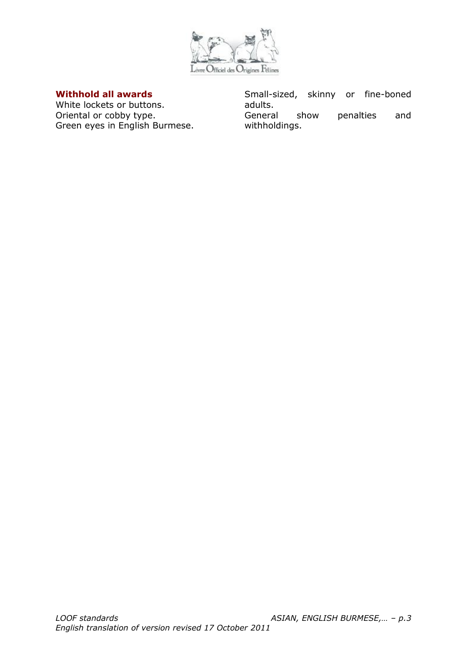![](_page_14_Picture_0.jpeg)

## **Withhold all awards**

White lockets or buttons. Oriental or cobby type. Green eyes in English Burmese. Small-sized, skinny or fine-boned adults. General show penalties and withholdings.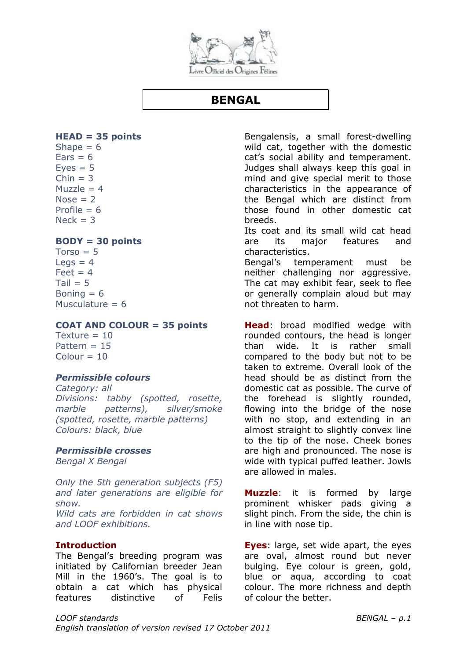![](_page_15_Picture_0.jpeg)

## **BENGAL**

### <span id="page-15-0"></span>**HEAD = 35 points**

Shape  $= 6$  $Ears = 6$  $Eves = 5$  $Chin = 3$ Muzzle  $= 4$  $Nose = 2$ Profile  $= 6$  $Nerk = 3$ 

## **BODY = 30 points**

 $Torso = 5$ Legs  $= 4$  $F$ et = 4  $Tail = 5$ Boning  $= 6$ Musculature  $= 6$ 

#### **COAT AND COLOUR = 35 points**

Texture  $= 10$ Pattern  $= 15$  $Colour = 10$ 

## *Permissible colours*

*Category: all Divisions: tabby (spotted, rosette, marble patterns), silver/smoke (spotted, rosette, marble patterns) Colours: black, blue*

#### *Permissible crosses*

*Bengal X Bengal* 

*Only the 5th generation subjects (F5) and later generations are eligible for show. Wild cats are forbidden in cat shows and LOOF exhibitions.*

## **Introduction**

The Bengal's breeding program was initiated by Californian breeder Jean Mill in the 1960's. The goal is to obtain a cat which has physical features distinctive of Felis Bengalensis, a small forest-dwelling wild cat, together with the domestic cat's social ability and temperament. Judges shall always keep this goal in mind and give special merit to those characteristics in the appearance of the Bengal which are distinct from those found in other domestic cat breeds.

Its coat and its small wild cat head are its major features and characteristics.

Bengal's temperament must be neither challenging nor aggressive. The cat may exhibit fear, seek to flee or generally complain aloud but may not threaten to harm.

**Head**: broad modified wedge with rounded contours, the head is longer than wide. It is rather small compared to the body but not to be taken to extreme. Overall look of the head should be as distinct from the domestic cat as possible. The curve of the forehead is slightly rounded, flowing into the bridge of the nose with no stop, and extending in an almost straight to slightly convex line to the tip of the nose. Cheek bones are high and pronounced. The nose is wide with typical puffed leather. Jowls are allowed in males.

**Muzzle**: it is formed by large prominent whisker pads giving a slight pinch. From the side, the chin is in line with nose tip.

**Eyes**: large, set wide apart, the eyes are oval, almost round but never bulging. Eye colour is green, gold, blue or aqua, according to coat colour. The more richness and depth of colour the better.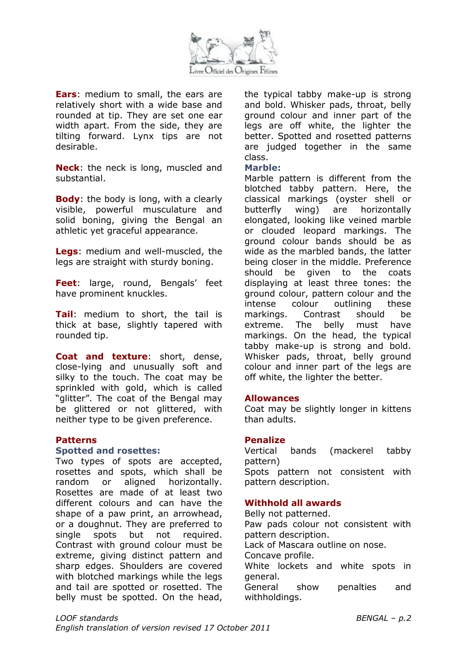![](_page_16_Picture_0.jpeg)

**Ears**: medium to small, the ears are relatively short with a wide base and rounded at tip. They are set one ear width apart. From the side, they are tilting forward. Lynx tips are not desirable.

**Neck**: the neck is long, muscled and substantial.

**Body**: the body is long, with a clearly visible, powerful musculature and solid boning, giving the Bengal an athletic yet graceful appearance.

**Legs**: medium and well-muscled, the legs are straight with sturdy boning.

**Feet**: large, round, Bengals' feet have prominent knuckles.

**Tail**: medium to short, the tail is thick at base, slightly tapered with rounded tip.

**Coat and texture**: short, dense, close-lying and unusually soft and silky to the touch. The coat may be sprinkled with gold, which is called "glitter". The coat of the Bengal may be glittered or not glittered, with neither type to be given preference.

## **Patterns**

#### **Spotted and rosettes:**

Two types of spots are accepted, rosettes and spots, which shall be random or aligned horizontally. Rosettes are made of at least two different colours and can have the shape of a paw print, an arrowhead, or a doughnut. They are preferred to single spots but not required. Contrast with ground colour must be extreme, giving distinct pattern and sharp edges. Shoulders are covered with blotched markings while the legs and tail are spotted or rosetted. The belly must be spotted. On the head, the typical tabby make-up is strong and bold. Whisker pads, throat, belly ground colour and inner part of the legs are off white, the lighter the better. Spotted and rosetted patterns are judged together in the same class.

#### **Marble:**

Marble pattern is different from the blotched tabby pattern. Here, the classical markings (oyster shell or butterfly wing) are horizontally elongated, looking like veined marble or clouded leopard markings. The ground colour bands should be as wide as the marbled bands, the latter being closer in the middle. Preference should be given to the coats displaying at least three tones: the ground colour, pattern colour and the intense colour outlining these markings. Contrast should be extreme. The belly must have markings. On the head, the typical tabby make-up is strong and bold. Whisker pads, throat, belly ground colour and inner part of the legs are off white, the lighter the better.

#### **Allowances**

Coat may be slightly longer in kittens than adults.

#### **Penalize**

Vertical bands (mackerel tabby pattern) Spots pattern not consistent with pattern description.

## **Withhold all awards**

Belly not patterned. Paw pads colour not consistent with pattern description. Lack of Mascara outline on nose. Concave profile. White lockets and white spots in general. General show penalties and withholdings.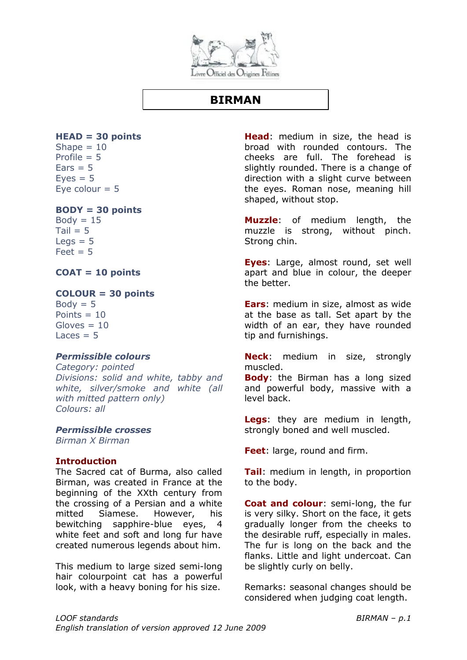![](_page_17_Picture_0.jpeg)

## **BIRMAN**

#### <span id="page-17-0"></span>**HEAD = 30 points** Shape  $= 10$

Profile  $= 5$  $Ears = 5$  $Eves = 5$ Eye colour  $= 5$ 

### **BODY = 30 points**

 $Body = 15$  $Tail = 5$  $Leqs = 5$  $Feet = 5$ 

**COAT = 10 points**

## **COLOUR = 30 points**

 $Body = 5$ Points  $= 10$  $Gloves = 10$  $L<sub>aces</sub> = 5$ 

## *Permissible colours*

*Category: pointed Divisions: solid and white, tabby and white, silver/smoke and white (all with mitted pattern only) Colours: all*

*Permissible crosses*

*Birman X Birman*

## **Introduction**

The Sacred cat of Burma, also called Birman, was created in France at the beginning of the XXth century from the crossing of a Persian and a white mitted Siamese. However, his bewitching sapphire-blue eyes, 4 white feet and soft and long fur have created numerous legends about him.

This medium to large sized semi-long hair colourpoint cat has a powerful look, with a heavy boning for his size.

**Head**: medium in size, the head is broad with rounded contours. The cheeks are full. The forehead is slightly rounded. There is a change of direction with a slight curve between the eyes. Roman nose, meaning hill shaped, without stop.

**Muzzle**: of medium length, the muzzle is strong, without pinch. Strong chin.

**Eyes**: Large, almost round, set well apart and blue in colour, the deeper the better.

**Ears**: medium in size, almost as wide at the base as tall. Set apart by the width of an ear, they have rounded tip and furnishings.

**Neck**: medium in size, strongly muscled.

**Body**: the Birman has a long sized and powerful body, massive with a level back.

**Legs**: they are medium in length, strongly boned and well muscled.

**Feet**: large, round and firm.

**Tail**: medium in length, in proportion to the body.

**Coat and colour**: semi-long, the fur is very silky. Short on the face, it gets gradually longer from the cheeks to the desirable ruff, especially in males. The fur is long on the back and the flanks. Little and light undercoat. Can be slightly curly on belly.

Remarks: seasonal changes should be considered when judging coat length.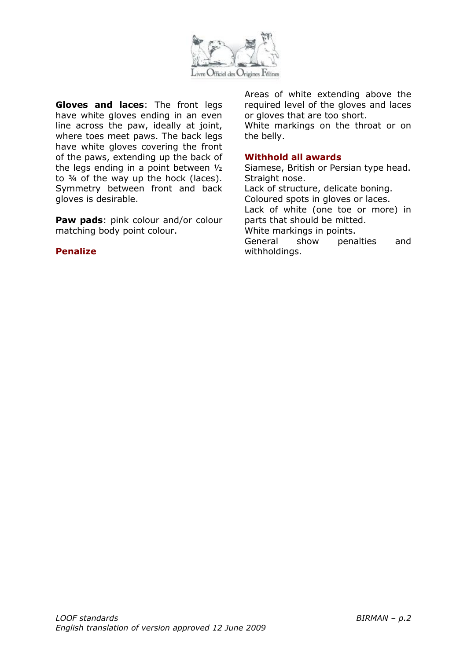![](_page_18_Picture_0.jpeg)

**Gloves and laces**: The front legs have white gloves ending in an even line across the paw, ideally at joint, where toes meet paws. The back legs have white gloves covering the front of the paws, extending up the back of the legs ending in a point between ½ to  $\frac{3}{4}$  of the way up the hock (laces). Symmetry between front and back gloves is desirable.

**Paw pads**: pink colour and/or colour matching body point colour.

### **Penalize**

Areas of white extending above the required level of the gloves and laces or gloves that are too short.

White markings on the throat or on the belly.

### **Withhold all awards**

Siamese, British or Persian type head. Straight nose. Lack of structure, delicate boning. Coloured spots in gloves or laces. Lack of white (one toe or more) in parts that should be mitted. White markings in points. General show penalties and withholdings.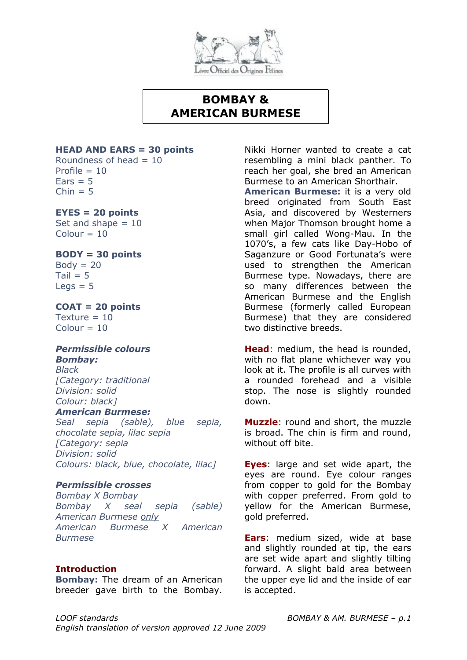![](_page_19_Picture_0.jpeg)

## **BOMBAY & AMERICAN BURMESE**

#### **HEAD AND EARS = 30 points**

Roundness of head  $= 10$ Profile  $= 10$  $Ears = 5$  $Chin = 5$ 

### **EYES = 20 points**

Set and shape  $= 10$  $Colour = 10$ 

### **BODY = 30 points**

 $Body = 20$  $Tail = 5$  $Leas = 5$ 

#### **COAT = 20 points**  $Texture = 10$  $Colour = 10$

## *Permissible colours Bombay:*

*Black [Category: traditional Division: solid Colour: black]*

### *American Burmese:*

*Seal sepia (sable), blue sepia, chocolate sepia, lilac sepia [Category: sepia Division: solid Colours: black, blue, chocolate, lilac]*

## *Permissible crosses*

*Bombay X Bombay Bombay X seal sepia (sable) American Burmese only American Burmese X American Burmese* 

#### **Introduction**

**Bombay:** The dream of an American breeder gave birth to the Bombay. Nikki Horner wanted to create a cat resembling a mini black panther. To reach her goal, she bred an American Burmese to an American Shorthair.

**American Burmese:** it is a very old breed originated from South East Asia, and discovered by Westerners when Major Thomson brought home a small girl called Wong-Mau. In the 1070's, a few cats like Day-Hobo of Saganzure or Good Fortunata's were used to strengthen the American Burmese type. Nowadays, there are so many differences between the American Burmese and the English Burmese (formerly called European Burmese) that they are considered two distinctive breeds.

**Head**: medium, the head is rounded, with no flat plane whichever way you look at it. The profile is all curves with a rounded forehead and a visible stop. The nose is slightly rounded down.

**Muzzle**: round and short, the muzzle is broad. The chin is firm and round, without off bite.

**Eyes**: large and set wide apart, the eyes are round. Eye colour ranges from copper to gold for the Bombay with copper preferred. From gold to yellow for the American Burmese, gold preferred.

**Ears**: medium sized, wide at base and slightly rounded at tip, the ears are set wide apart and slightly tilting forward. A slight bald area between the upper eye lid and the inside of ear is accepted.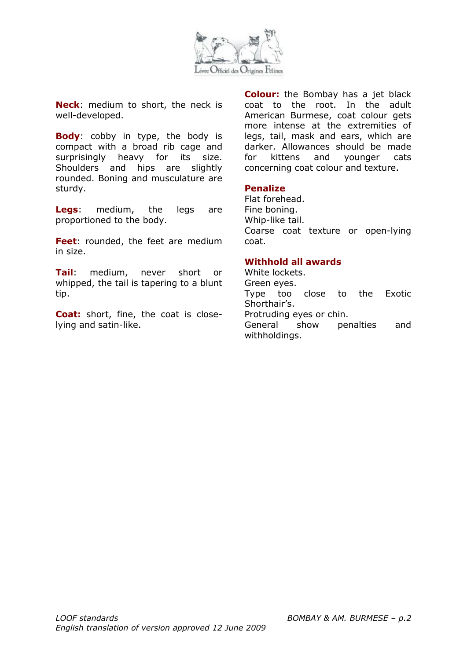![](_page_20_Picture_0.jpeg)

**Neck**: medium to short, the neck is well-developed.

**Body**: cobby in type, the body is compact with a broad rib cage and surprisingly heavy for its size. Shoulders and hips are slightly rounded. Boning and musculature are sturdy.

**Legs**: medium, the legs are proportioned to the body.

**Feet**: rounded, the feet are medium in size.

**Tail**: medium, never short or whipped, the tail is tapering to a blunt tip.

**Coat:** short, fine, the coat is closelying and satin-like.

**Colour:** the Bombay has a jet black coat to the root. In the adult American Burmese, coat colour gets more intense at the extremities of legs, tail, mask and ears, which are darker. Allowances should be made for kittens and younger cats concerning coat colour and texture.

#### **Penalize**

Flat forehead. Fine boning. Whip-like tail. Coarse coat texture or open-lying coat.

### **Withhold all awards**

White lockets. Green eyes. Type too close to the Exotic Shorthair's. Protruding eyes or chin. General show penalties and withholdings.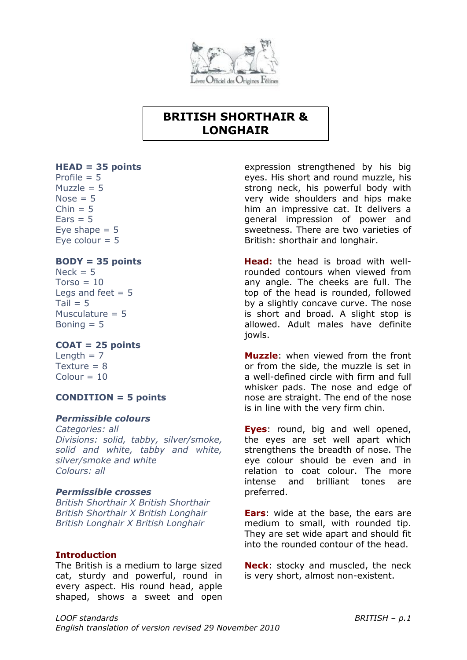![](_page_21_Picture_0.jpeg)

## **BRITISH SHORTHAIR & LONGHAIR**

### <span id="page-21-0"></span>**HEAD = 35 points**

Profile  $= 5$  $Muzzle = 5$ Nose  $= 5$  $Chin = 5$  $Ears = 5$ Eye shape  $= 5$ Eye colour  $= 5$ 

## **BODY = 35 points**

 $Neck = 5$  $Torso = 10$ Legs and feet  $= 5$  $Tail = 5$ Musculature  $= 5$ Boning  $= 5$ 

## **COAT = 25 points**

Length  $= 7$  $T$ exture = 8  $Colour = 10$ 

## **CONDITION = 5 points**

#### *Permissible colours*

*Categories: all Divisions: solid, tabby, silver/smoke, solid and white, tabby and white, silver/smoke and white Colours: all*

#### *Permissible crosses*

*British Shorthair X British Shorthair British Shorthair X British Longhair British Longhair X British Longhair*

#### **Introduction**

The British is a medium to large sized cat, sturdy and powerful, round in every aspect. His round head, apple shaped, shows a sweet and open

expression strengthened by his big eyes. His short and round muzzle, his strong neck, his powerful body with very wide shoulders and hips make him an impressive cat. It delivers a general impression of power and sweetness. There are two varieties of British: shorthair and longhair.

**Head:** the head is broad with wellrounded contours when viewed from any angle. The cheeks are full. The top of the head is rounded, followed by a slightly concave curve. The nose is short and broad. A slight stop is allowed. Adult males have definite jowls.

**Muzzle**: when viewed from the front or from the side, the muzzle is set in a well-defined circle with firm and full whisker pads. The nose and edge of nose are straight. The end of the nose is in line with the very firm chin.

**Eyes**: round, big and well opened, the eyes are set well apart which strengthens the breadth of nose. The eye colour should be even and in relation to coat colour. The more intense and brilliant tones are preferred.

**Ears**: wide at the base, the ears are medium to small, with rounded tip. They are set wide apart and should fit into the rounded contour of the head.

**Neck**: stocky and muscled, the neck is very short, almost non-existent.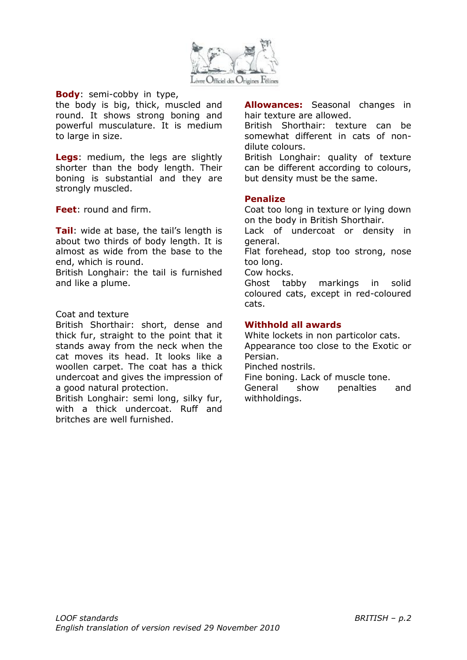![](_page_22_Picture_0.jpeg)

**Body**: semi-cobby in type,

the body is big, thick, muscled and round. It shows strong boning and powerful musculature. It is medium to large in size.

**Legs**: medium, the legs are slightly shorter than the body length. Their boning is substantial and they are strongly muscled.

**Feet**: round and firm.

**Tail:** wide at base, the tail's length is about two thirds of body length. It is almost as wide from the base to the end, which is round.

British Longhair: the tail is furnished and like a plume.

#### Coat and texture

British Shorthair: short, dense and thick fur, straight to the point that it stands away from the neck when the cat moves its head. It looks like a woollen carpet. The coat has a thick undercoat and gives the impression of a good natural protection.

British Longhair: semi long, silky fur, with a thick undercoat. Ruff and britches are well furnished.

**Allowances:** Seasonal changes in hair texture are allowed.

British Shorthair: texture can be somewhat different in cats of nondilute colours.

British Longhair: quality of texture can be different according to colours, but density must be the same.

#### **Penalize**

Coat too long in texture or lying down on the body in British Shorthair.

Lack of undercoat or density in general.

Flat forehead, stop too strong, nose too long.

Cow hocks.

Ghost tabby markings in solid coloured cats, except in red-coloured cats.

### **Withhold all awards**

White lockets in non particolor cats. Appearance too close to the Exotic or

Persian.

Pinched nostrils.

Fine boning. Lack of muscle tone.

General show penalties and withholdings.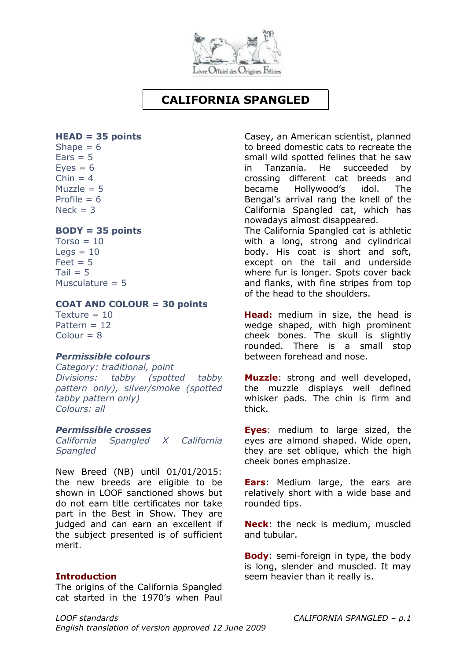![](_page_23_Picture_0.jpeg)

## **CALIFORNIA SPANGLED**

#### <span id="page-23-0"></span>**HEAD = 35 points**

Shape  $= 6$  $Ears = 5$  $Eves = 6$  $Chin = 4$ Muzzle  $= 5$ Profile  $= 6$  $Nerk = 3$ 

### **BODY = 35 points**

 $Torso = 10$  $Leqs = 10$  $Feet = 5$  $Tail = 5$ Musculature  $= 5$ 

## **COAT AND COLOUR = 30 points**

 $T$ exture = 10 Pattern = 12  $Colour = 8$ 

## *Permissible colours*

*Category: traditional, point Divisions: tabby (spotted tabby pattern only), silver/smoke (spotted tabby pattern only) Colours: all*

#### *Permissible crosses*

*California Spangled X California Spangled* 

New Breed (NB) until 01/01/2015: the new breeds are eligible to be shown in LOOF sanctioned shows but do not earn title certificates nor take part in the Best in Show. They are judged and can earn an excellent if the subject presented is of sufficient merit.

## **Introduction**

The origins of the California Spangled cat started in the 1970's when Paul Casey, an American scientist, planned to breed domestic cats to recreate the small wild spotted felines that he saw in Tanzania. He succeeded by crossing different cat breeds and became Hollywood's idol. The Bengal's arrival rang the knell of the California Spangled cat, which has nowadays almost disappeared.

The California Spangled cat is athletic with a long, strong and cylindrical body. His coat is short and soft, except on the tail and underside where fur is longer. Spots cover back and flanks, with fine stripes from top of the head to the shoulders.

**Head:** medium in size, the head is wedge shaped, with high prominent cheek bones. The skull is slightly rounded. There is a small stop between forehead and nose.

**Muzzle**: strong and well developed, the muzzle displays well defined whisker pads. The chin is firm and thick.

**Eyes**: medium to large sized, the eyes are almond shaped. Wide open, they are set oblique, which the high cheek bones emphasize.

**Ears**: Medium large, the ears are relatively short with a wide base and rounded tips.

**Neck**: the neck is medium, muscled and tubular.

**Body**: semi-foreign in type, the body is long, slender and muscled. It may seem heavier than it really is.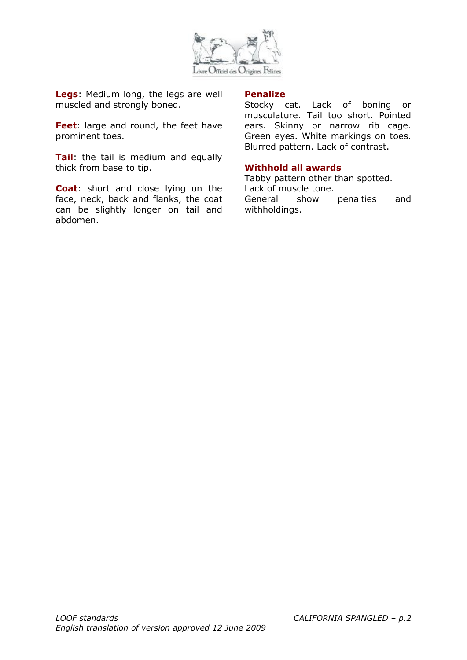![](_page_24_Picture_0.jpeg)

**Legs**: Medium long, the legs are well muscled and strongly boned.

**Feet**: large and round, the feet have prominent toes.

**Tail**: the tail is medium and equally thick from base to tip.

**Coat**: short and close lying on the face, neck, back and flanks, the coat can be slightly longer on tail and abdomen.

#### **Penalize**

Stocky cat. Lack of boning or musculature. Tail too short. Pointed ears. Skinny or narrow rib cage. Green eyes. White markings on toes. Blurred pattern. Lack of contrast.

## **Withhold all awards**

Tabby pattern other than spotted. Lack of muscle tone. General show penalties and withholdings.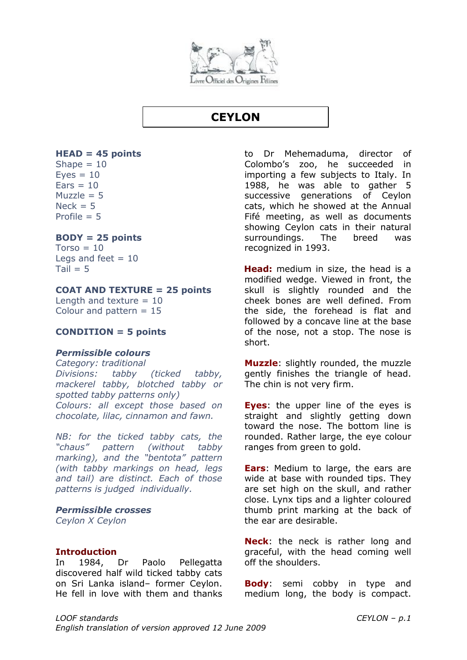![](_page_25_Picture_0.jpeg)

## **CEYLON**

#### <span id="page-25-0"></span>**HEAD = 45 points**

Shape  $= 10$  $Eyes = 10$  $Ears = 10$ Muzzle  $= 5$  $Neck = 5$ Profile  $= 5$ 

#### **BODY = 25 points**

 $Torso = 10$ Legs and feet  $= 10$  $Tail = 5$ 

#### **COAT AND TEXTURE = 25 points**

Length and texture  $= 10$ Colour and pattern  $= 15$ 

#### **CONDITION = 5 points**

#### *Permissible colours*

*Category: traditional Divisions: tabby (ticked tabby, mackerel tabby, blotched tabby or spotted tabby patterns only) Colours: all except those based on chocolate, lilac, cinnamon and fawn.*

*NB: for the ticked tabby cats, the "chaus" pattern (without tabby marking), and the "bentota" pattern (with tabby markings on head, legs and tail) are distinct. Each of those patterns is judged individually.*

#### *Permissible crosses*

*Ceylon X Ceylon* 

#### **Introduction**

In 1984, Dr Paolo Pellegatta discovered half wild ticked tabby cats on Sri Lanka island– former Ceylon. He fell in love with them and thanks to Dr Mehemaduma, director of Colombo's zoo, he succeeded in importing a few subjects to Italy. In 1988, he was able to gather 5 successive generations of Ceylon cats, which he showed at the Annual Fifé meeting, as well as documents showing Ceylon cats in their natural surroundings. The breed was recognized in 1993.

**Head:** medium in size, the head is a modified wedge. Viewed in front, the skull is slightly rounded and the cheek bones are well defined. From the side, the forehead is flat and followed by a concave line at the base of the nose, not a stop. The nose is short.

**Muzzle**: slightly rounded, the muzzle gently finishes the triangle of head. The chin is not very firm.

**Eyes**: the upper line of the eyes is straight and slightly getting down toward the nose. The bottom line is rounded. Rather large, the eye colour ranges from green to gold.

**Ears**: Medium to large, the ears are wide at base with rounded tips. They are set high on the skull, and rather close. Lynx tips and a lighter coloured thumb print marking at the back of the ear are desirable.

**Neck**: the neck is rather long and graceful, with the head coming well off the shoulders.

**Body**: semi cobby in type and medium long, the body is compact.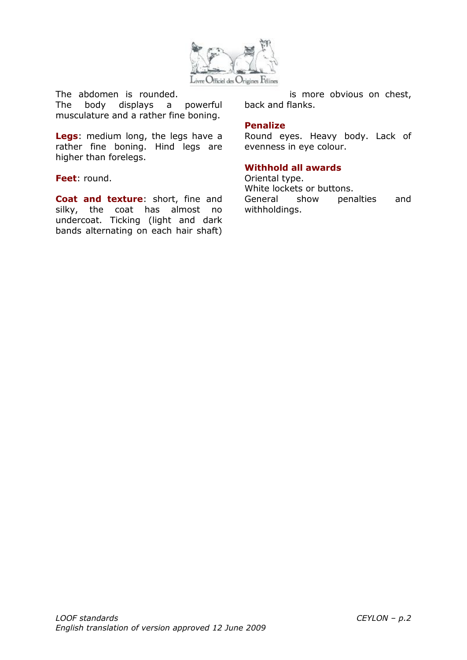![](_page_26_Picture_0.jpeg)

The abdomen is rounded.

The body displays a powerful musculature and a rather fine boning.

**Legs**: medium long, the legs have a rather fine boning. Hind legs are higher than forelegs.

#### **Feet**: round.

**Coat and texture**: short, fine and silky, the coat has almost no undercoat. Ticking (light and dark bands alternating on each hair shaft)

is more obvious on chest, back and flanks.

#### **Penalize**

Round eyes. Heavy body. Lack of evenness in eye colour.

## **Withhold all awards**

Oriental type. White lockets or buttons. General show penalties and withholdings.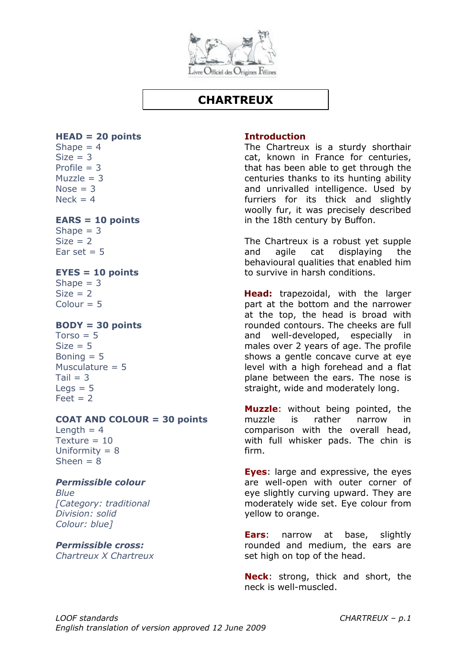![](_page_27_Picture_0.jpeg)

## **CHARTREUX**

## <span id="page-27-0"></span>**HEAD = 20 points**

Shape  $= 4$  $Size = 3$ Profile  $= 3$  $Muzzle = 3$ Nose  $= 3$  $Neck = 4$ 

### **EARS = 10 points**

Shape  $= 3$  $Size = 2$ Ear set  $= 5$ 

### **EYES = 10 points**

Shape  $= 3$  $Size = 2$  $Colour = 5$ 

### **BODY = 30 points**

 $Torso = 5$  $Size = 5$ Boning  $= 5$ Musculature  $= 5$  $Tail = 3$  $Leqs = 5$  $Feet = 2$ 

#### **COAT AND COLOUR = 30 points**

Length  $= 4$ Texture  $= 10$ Uniformity  $= 8$  $Sheen = 8$ 

## *Permissible colour*

*Blue [Category: traditional Division: solid Colour: blue]*

## *Permissible cross:*

*Chartreux X Chartreux* 

### **Introduction**

The Chartreux is a sturdy shorthair cat, known in France for centuries, that has been able to get through the centuries thanks to its hunting ability and unrivalled intelligence. Used by furriers for its thick and slightly woolly fur, it was precisely described in the 18th century by Buffon.

The Chartreux is a robust yet supple and agile cat displaying the behavioural qualities that enabled him to survive in harsh conditions.

**Head:** trapezoidal, with the larger part at the bottom and the narrower at the top, the head is broad with rounded contours. The cheeks are full and well-developed, especially in males over 2 years of age. The profile shows a gentle concave curve at eye level with a high forehead and a flat plane between the ears. The nose is straight, wide and moderately long.

**Muzzle**: without being pointed, the muzzle is rather narrow in comparison with the overall head, with full whisker pads. The chin is firm.

**Eyes**: large and expressive, the eyes are well-open with outer corner of eye slightly curving upward. They are moderately wide set. Eye colour from yellow to orange.

**Ears**: narrow at base, slightly rounded and medium, the ears are set high on top of the head.

**Neck**: strong, thick and short, the neck is well-muscled.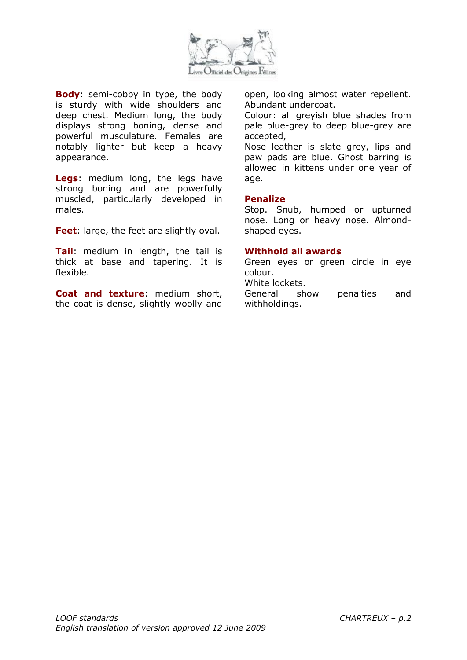![](_page_28_Picture_0.jpeg)

**Body**: semi-cobby in type, the body is sturdy with wide shoulders and deep chest. Medium long, the body displays strong boning, dense and powerful musculature. Females are notably lighter but keep a heavy appearance.

**Legs**: medium long, the legs have strong boning and are powerfully muscled, particularly developed in males.

**Feet**: large, the feet are slightly oval.

**Tail**: medium in length, the tail is thick at base and tapering. It is flexible.

**Coat and texture**: medium short, the coat is dense, slightly woolly and open, looking almost water repellent. Abundant undercoat.

Colour: all greyish blue shades from pale blue-grey to deep blue-grey are accepted,

Nose leather is slate grey, lips and paw pads are blue. Ghost barring is allowed in kittens under one year of age.

#### **Penalize**

Stop. Snub, humped or upturned nose. Long or heavy nose. Almondshaped eyes.

#### **Withhold all awards**

Green eyes or green circle in eye colour.

White lockets.

General show penalties and withholdings.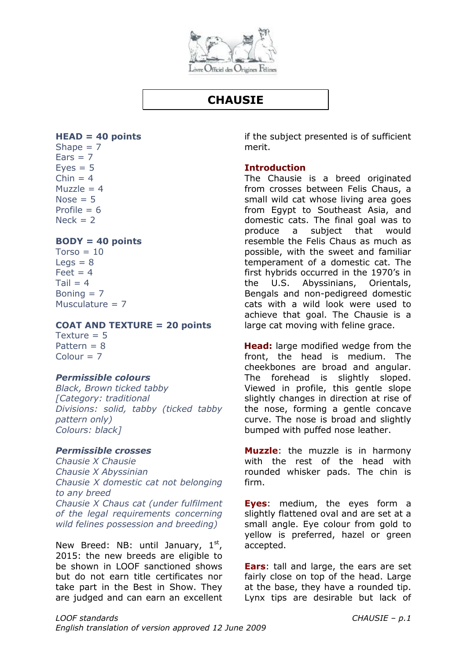![](_page_29_Picture_0.jpeg)

## **CHAUSIE**

### <span id="page-29-0"></span>**HEAD = 40 points**

Shape  $= 7$  $Ears = 7$  $Eves = 5$  $Chin = 4$ Muzzle  $= 4$  $Nose = 5$ Profile  $= 6$  $Nerk = 2$ 

## **BODY = 40 points**

 $Torso = 10$  $Leas = 8$  $Feet = 4$  $Tail = 4$ Boning  $= 7$ Musculature  $= 7$ 

### **COAT AND TEXTURE = 20 points**

Texture  $= 5$ Pattern  $= 8$  $Colour = 7$ 

## *Permissible colours*

*Black, Brown ticked tabby [Category: traditional Divisions: solid, tabby (ticked tabby pattern only) Colours: black]*

## *Permissible crosses*

*Chausie X Chausie Chausie X Abyssinian Chausie X domestic cat not belonging to any breed Chausie X Chaus cat (under fulfilment of the legal requirements concerning wild felines possession and breeding)*

New Breed: NB: until January,  $1<sup>st</sup>$ , 2015: the new breeds are eligible to be shown in LOOF sanctioned shows but do not earn title certificates nor take part in the Best in Show. They are judged and can earn an excellent

if the subject presented is of sufficient merit.

## **Introduction**

The Chausie is a breed originated from crosses between Felis Chaus, a small wild cat whose living area goes from Egypt to Southeast Asia, and domestic cats. The final goal was to produce a subject that would resemble the Felis Chaus as much as possible, with the sweet and familiar temperament of a domestic cat. The first hybrids occurred in the 1970's in the U.S. Abyssinians, Orientals, Bengals and non-pedigreed domestic cats with a wild look were used to achieve that goal. The Chausie is a large cat moving with feline grace.

**Head:** large modified wedge from the front, the head is medium. The cheekbones are broad and angular. The forehead is slightly sloped. Viewed in profile, this gentle slope slightly changes in direction at rise of the nose, forming a gentle concave curve. The nose is broad and slightly bumped with puffed nose leather.

**Muzzle**: the muzzle is in harmony with the rest of the head with rounded whisker pads. The chin is firm.

**Eyes**: medium, the eyes form a slightly flattened oval and are set at a small angle. Eye colour from gold to yellow is preferred, hazel or green accepted.

**Ears**: tall and large, the ears are set fairly close on top of the head. Large at the base, they have a rounded tip. Lynx tips are desirable but lack of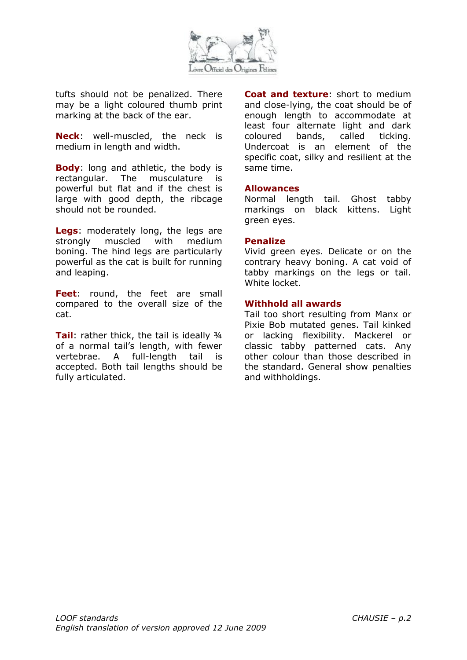![](_page_30_Picture_0.jpeg)

tufts should not be penalized. There may be a light coloured thumb print marking at the back of the ear.

**Neck**: well-muscled, the neck is medium in length and width.

**Body**: long and athletic, the body is rectangular. The musculature is powerful but flat and if the chest is large with good depth, the ribcage should not be rounded.

**Legs**: moderately long, the legs are strongly muscled with medium boning. The hind legs are particularly powerful as the cat is built for running and leaping.

**Feet**: round, the feet are small compared to the overall size of the cat.

**Tail**: rather thick, the tail is ideally 3/4 of a normal tail's length, with fewer vertebrae. A full-length tail is accepted. Both tail lengths should be fully articulated.

**Coat and texture**: short to medium and close-lying, the coat should be of enough length to accommodate at least four alternate light and dark coloured bands, called ticking. Undercoat is an element of the specific coat, silky and resilient at the same time.

#### **Allowances**

Normal length tail. Ghost tabby markings on black kittens. Light green eyes.

#### **Penalize**

Vivid green eyes. Delicate or on the contrary heavy boning. A cat void of tabby markings on the legs or tail. White locket.

#### **Withhold all awards**

Tail too short resulting from Manx or Pixie Bob mutated genes. Tail kinked or lacking flexibility. Mackerel or classic tabby patterned cats. Any other colour than those described in the standard. General show penalties and withholdings.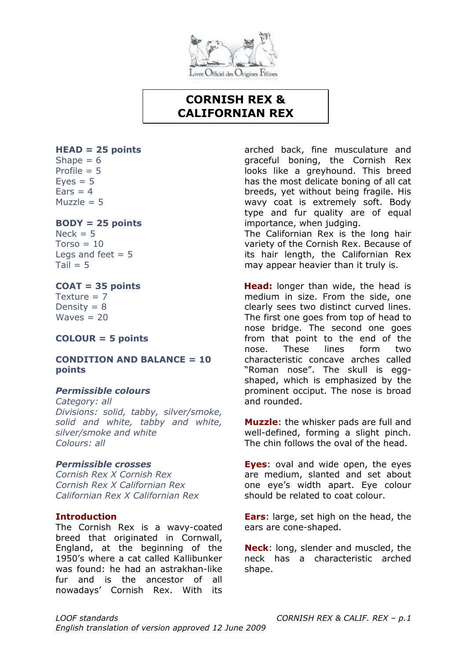![](_page_31_Picture_0.jpeg)

## **CORNISH REX & CALIFORNIAN REX**

## **HEAD = 25 points**

Shape  $= 6$ Profile  $= 5$  $Eves = 5$  $Ears = 4$ Muzzle  $= 5$ 

## **BODY = 25 points**

 $Nerk = 5$  $Torso = 10$ Legs and feet  $= 5$  $Tail = 5$ 

#### **COAT = 35 points** Texture  $= 7$ Density  $= 8$  $Waves = 20$

## **COLOUR = 5 points**

### **CONDITION AND BALANCE = 10 points**

## *Permissible colours*

*Category: all Divisions: solid, tabby, silver/smoke, solid and white, tabby and white, silver/smoke and white Colours: all*

## *Permissible crosses*

*Cornish Rex X Cornish Rex Cornish Rex X Californian Rex Californian Rex X Californian Rex*

## **Introduction**

The Cornish Rex is a wavy-coated breed that originated in Cornwall, England, at the beginning of the 1950's where a cat called Kallibunker was found: he had an astrakhan-like fur and is the ancestor of all nowadays' Cornish Rex. With its arched back, fine musculature and graceful boning, the Cornish Rex looks like a greyhound. This breed has the most delicate boning of all cat breeds, yet without being fragile. His wavy coat is extremely soft. Body type and fur quality are of equal importance, when judging.

The Californian Rex is the long hair variety of the Cornish Rex. Because of its hair length, the Californian Rex may appear heavier than it truly is.

**Head:** longer than wide, the head is medium in size. From the side, one clearly sees two distinct curved lines. The first one goes from top of head to nose bridge. The second one goes from that point to the end of the nose. These lines form two characteristic concave arches called "Roman nose". The skull is eggshaped, which is emphasized by the prominent occiput. The nose is broad and rounded.

**Muzzle**: the whisker pads are full and well-defined, forming a slight pinch. The chin follows the oval of the head.

**Eyes**: oval and wide open, the eyes are medium, slanted and set about one eye's width apart. Eye colour should be related to coat colour.

**Ears**: large, set high on the head, the ears are cone-shaped.

**Neck**: long, slender and muscled, the neck has a characteristic arched shape.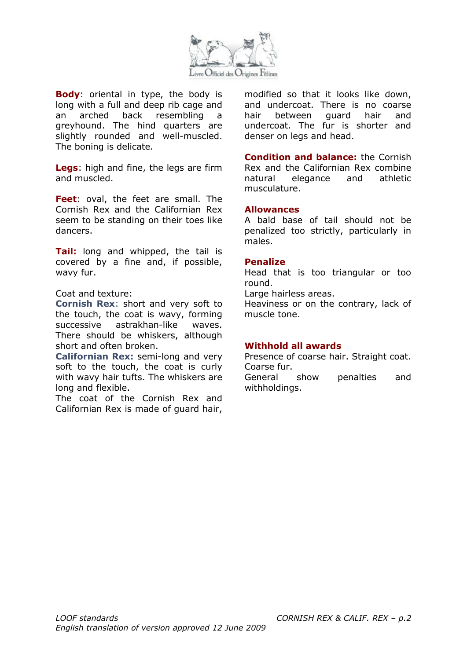![](_page_32_Picture_0.jpeg)

**Body**: oriental in type, the body is long with a full and deep rib cage and an arched back resembling a greyhound. The hind quarters are slightly rounded and well-muscled. The boning is delicate.

**Legs**: high and fine, the legs are firm and muscled.

**Feet**: oval, the feet are small. The Cornish Rex and the Californian Rex seem to be standing on their toes like dancers.

**Tail:** long and whipped, the tail is covered by a fine and, if possible, wavy fur.

#### Coat and texture:

**Cornish Rex**: short and very soft to the touch, the coat is wavy, forming successive astrakhan-like waves. There should be whiskers, although short and often broken.

**Californian Rex:** semi-long and very soft to the touch, the coat is curly with wavy hair tufts. The whiskers are long and flexible.

The coat of the Cornish Rex and Californian Rex is made of guard hair, modified so that it looks like down, and undercoat. There is no coarse hair between guard hair and undercoat. The fur is shorter and denser on legs and head.

**Condition and balance:** the Cornish Rex and the Californian Rex combine natural elegance and athletic musculature.

#### **Allowances**

A bald base of tail should not be penalized too strictly, particularly in males.

#### **Penalize**

Head that is too triangular or too round.

Large hairless areas.

Heaviness or on the contrary, lack of muscle tone.

#### **Withhold all awards**

Presence of coarse hair. Straight coat. Coarse fur.

General show penalties and withholdings.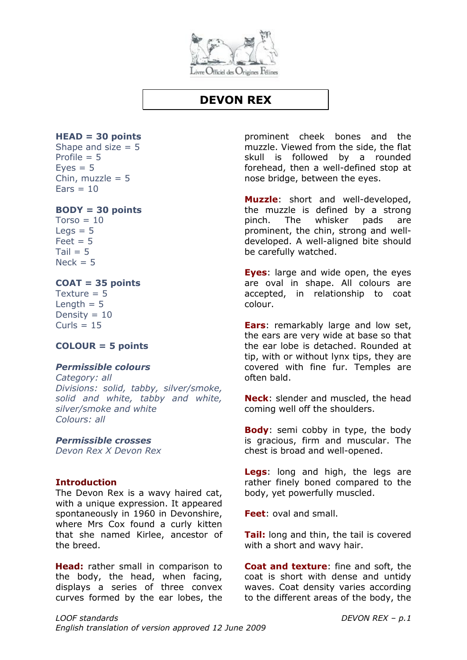![](_page_33_Picture_0.jpeg)

## **DEVON REX**

#### <span id="page-33-0"></span>**HEAD = 30 points**

Shape and size  $= 5$ Profile  $= 5$  $Eves = 5$ Chin, muzzle  $= 5$  $Ears = 10$ 

#### **BODY = 30 points**

 $Torso = 10$  $Leas = 5$  $Feet = 5$  $Tail = 5$  $Neck = 5$ 

#### **COAT = 35 points**

Texture  $= 5$ Length  $= 5$ Density =  $10$  $Curls = 15$ 

## **COLOUR = 5 points**

#### *Permissible colours*

*Category: all Divisions: solid, tabby, silver/smoke, solid and white, tabby and white, silver/smoke and white Colours: all*

## *Permissible crosses*

*Devon Rex X Devon Rex*

#### **Introduction**

The Devon Rex is a wavy haired cat, with a unique expression. It appeared spontaneously in 1960 in Devonshire, where Mrs Cox found a curly kitten that she named Kirlee, ancestor of the breed.

**Head:** rather small in comparison to the body, the head, when facing, displays a series of three convex curves formed by the ear lobes, the prominent cheek bones and the muzzle. Viewed from the side, the flat skull is followed by a rounded forehead, then a well-defined stop at nose bridge, between the eyes.

**Muzzle**: short and well-developed, the muzzle is defined by a strong pinch. The whisker pads are prominent, the chin, strong and welldeveloped. A well-aligned bite should be carefully watched.

**Eyes**: large and wide open, the eyes are oval in shape. All colours are accepted, in relationship to coat colour.

**Ears**: remarkably large and low set, the ears are very wide at base so that the ear lobe is detached. Rounded at tip, with or without lynx tips, they are covered with fine fur. Temples are often bald.

**Neck**: slender and muscled, the head coming well off the shoulders.

**Body**: semi cobby in type, the body is gracious, firm and muscular. The chest is broad and well-opened.

**Legs**: long and high, the legs are rather finely boned compared to the body, yet powerfully muscled.

**Feet**: oval and small.

**Tail:** long and thin, the tail is covered with a short and wavy hair.

**Coat and texture**: fine and soft, the coat is short with dense and untidy waves. Coat density varies according to the different areas of the body, the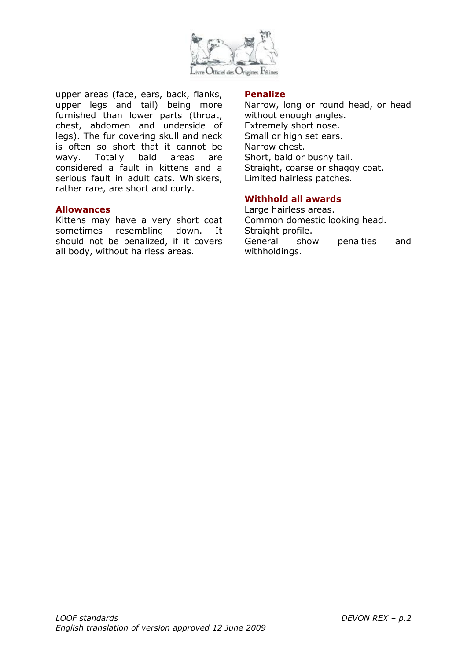![](_page_34_Picture_0.jpeg)

upper areas (face, ears, back, flanks, upper legs and tail) being more furnished than lower parts (throat, chest, abdomen and underside of legs). The fur covering skull and neck is often so short that it cannot be wavy. Totally bald areas are considered a fault in kittens and a serious fault in adult cats. Whiskers, rather rare, are short and curly.

#### **Allowances**

Kittens may have a very short coat sometimes resembling down. It should not be penalized, if it covers all body, without hairless areas.

#### **Penalize**

Narrow, long or round head, or head without enough angles. Extremely short nose. Small or high set ears. Narrow chest. Short, bald or bushy tail. Straight, coarse or shaggy coat. Limited hairless patches.

#### **Withhold all awards**

Large hairless areas. Common domestic looking head. Straight profile. General show penalties and withholdings.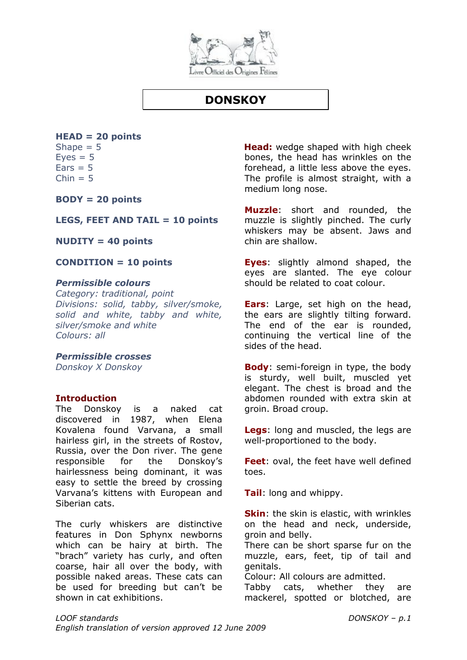![](_page_35_Picture_0.jpeg)

## **DONSKOY**

## <span id="page-35-0"></span>**HEAD = 20 points**

Shape  $= 5$  $Eves = 5$  $Ears = 5$  $Chin = 5$ 

**BODY = 20 points**

### **LEGS, FEET AND TAIL = 10 points**

**NUDITY = 40 points**

**CONDITION = 10 points**

#### *Permissible colours*

*Category: traditional, point Divisions: solid, tabby, silver/smoke, solid and white, tabby and white, silver/smoke and white Colours: all*

#### *Permissible crosses*

*Donskoy X Donskoy* 

#### **Introduction**

The Donskoy is a naked cat discovered in 1987, when Elena Kovalena found Varvana, a small hairless girl, in the streets of Rostov, Russia, over the Don river. The gene responsible for the Donskoy's hairlessness being dominant, it was easy to settle the breed by crossing Varvana's kittens with European and Siberian cats.

The curly whiskers are distinctive features in Don Sphynx newborns which can be hairy at birth. The "brach" variety has curly, and often coarse, hair all over the body, with possible naked areas. These cats can be used for breeding but can't be shown in cat exhibitions.

**Head:** wedge shaped with high cheek bones, the head has wrinkles on the forehead, a little less above the eyes. The profile is almost straight, with a medium long nose.

**Muzzle**: short and rounded, the muzzle is slightly pinched. The curly whiskers may be absent. Jaws and chin are shallow.

**Eyes**: slightly almond shaped, the eyes are slanted. The eye colour should be related to coat colour.

**Ears**: Large, set high on the head, the ears are slightly tilting forward. The end of the ear is rounded, continuing the vertical line of the sides of the head.

**Body**: semi-foreign in type, the body is sturdy, well built, muscled yet elegant. The chest is broad and the abdomen rounded with extra skin at groin. Broad croup.

**Legs**: long and muscled, the legs are well-proportioned to the body.

**Feet**: oval, the feet have well defined toes.

**Tail**: long and whippy.

**Skin**: the skin is elastic, with wrinkles on the head and neck, underside, groin and belly.

There can be short sparse fur on the muzzle, ears, feet, tip of tail and genitals.

Colour: All colours are admitted.

Tabby cats, whether they are mackerel, spotted or blotched, are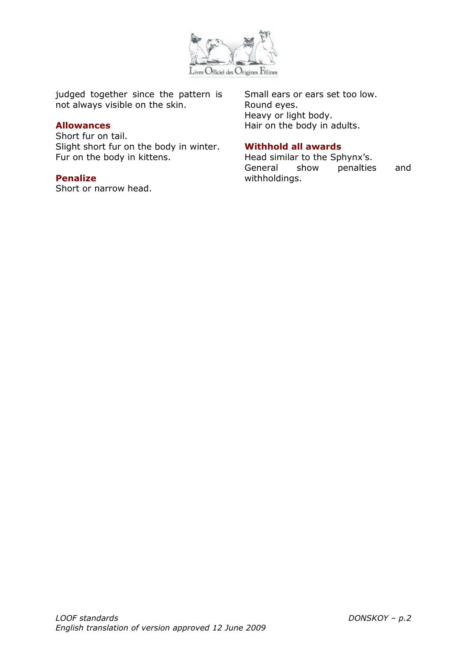

judged together since the pattern is not always visible on the skin.

#### **Allowances**

Short fur on tail. Slight short fur on the body in winter. Fur on the body in kittens.

#### **Penalize**

Short or narrow head.

Small ears or ears set too low. Round eyes. Heavy or light body. Hair on the body in adults.

## **Withhold all awards**

Head similar to the Sphynx's. General show penalties and withholdings.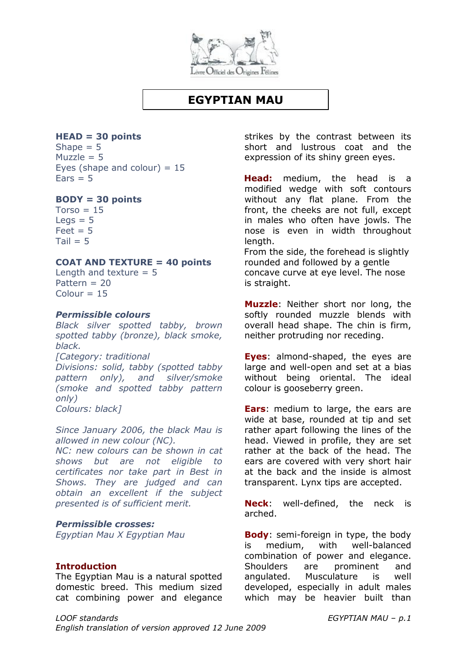

## **EGYPTIAN MAU**

## **HEAD = 30 points**

Shape  $= 5$ Muzzle  $= 5$ Eyes (shape and colour)  $= 15$  $Fars = 5$ 

## **BODY = 30 points**

 $Torso = 15$  $\text{Leas} = 5$  $Feet = 5$  $Tail = 5$ 

#### **COAT AND TEXTURE = 40 points**

Length and texture  $= 5$ Pattern = 20  $Colour = 15$ 

#### *Permissible colours*

*Black silver spotted tabby, brown spotted tabby (bronze), black smoke, black. [Category: traditional Divisions: solid, tabby (spotted tabby pattern only), and silver/smoke (smoke and spotted tabby pattern only) Colours: black]*

*Since January 2006, the black Mau is allowed in new colour (NC).*

*NC: new colours can be shown in cat shows but are not eligible to certificates nor take part in Best in Shows. They are judged and can obtain an excellent if the subject presented is of sufficient merit.*

## *Permissible crosses:*

*Egyptian Mau X Egyptian Mau* 

#### **Introduction**

The Egyptian Mau is a natural spotted domestic breed. This medium sized cat combining power and elegance strikes by the contrast between its short and lustrous coat and the expression of its shiny green eyes.

**Head:** medium, the head is a modified wedge with soft contours without any flat plane. From the front, the cheeks are not full, except in males who often have jowls. The nose is even in width throughout length.

From the side, the forehead is slightly rounded and followed by a gentle concave curve at eye level. The nose is straight.

**Muzzle**: Neither short nor long, the softly rounded muzzle blends with overall head shape. The chin is firm, neither protruding nor receding.

**Eyes**: almond-shaped, the eyes are large and well-open and set at a bias without being oriental. The ideal colour is gooseberry green.

**Ears**: medium to large, the ears are wide at base, rounded at tip and set rather apart following the lines of the head. Viewed in profile, they are set rather at the back of the head. The ears are covered with very short hair at the back and the inside is almost transparent. Lynx tips are accepted.

**Neck**: well-defined, the neck is arched.

**Body**: semi-foreign in type, the body is medium, with well-balanced combination of power and elegance. Shoulders are prominent and angulated. Musculature is well developed, especially in adult males which may be heavier built than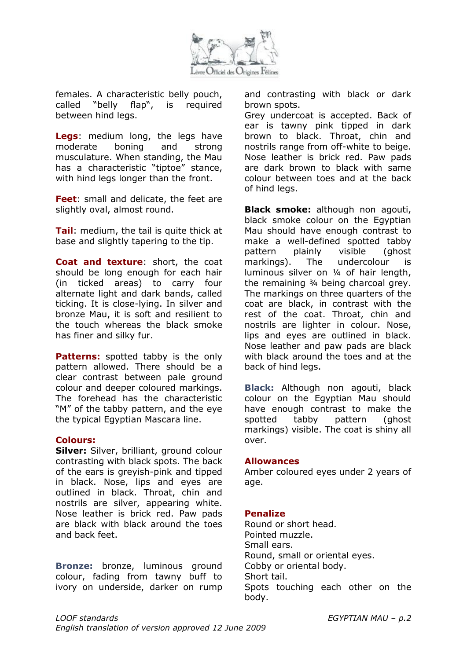

females. A characteristic belly pouch, called "belly flap", is required between hind legs.

**Legs**: medium long, the legs have moderate boning and strong musculature. When standing, the Mau has a characteristic "tiptoe" stance, with hind legs longer than the front.

**Feet**: small and delicate, the feet are slightly oval, almost round.

**Tail**: medium, the tail is quite thick at base and slightly tapering to the tip.

**Coat and texture**: short, the coat should be long enough for each hair (in ticked areas) to carry four alternate light and dark bands, called ticking. It is close-lying. In silver and bronze Mau, it is soft and resilient to the touch whereas the black smoke has finer and silky fur.

**Patterns:** spotted tabby is the only pattern allowed. There should be a clear contrast between pale ground colour and deeper coloured markings. The forehead has the characteristic "M" of the tabby pattern, and the eye the typical Egyptian Mascara line.

#### **Colours:**

**Silver:** Silver, brilliant, ground colour contrasting with black spots. The back of the ears is greyish-pink and tipped in black. Nose, lips and eyes are outlined in black. Throat, chin and nostrils are silver, appearing white. Nose leather is brick red. Paw pads are black with black around the toes and back feet.

**Bronze:** bronze, luminous ground colour, fading from tawny buff to ivory on underside, darker on rump and contrasting with black or dark brown spots.

Grey undercoat is accepted. Back of ear is tawny pink tipped in dark brown to black. Throat, chin and nostrils range from off-white to beige. Nose leather is brick red. Paw pads are dark brown to black with same colour between toes and at the back of hind legs.

**Black smoke:** although non agouti, black smoke colour on the Egyptian Mau should have enough contrast to make a well-defined spotted tabby pattern plainly visible (ghost markings). The undercolour is luminous silver on ¼ of hair length, the remaining ¾ being charcoal grey. The markings on three quarters of the coat are black, in contrast with the rest of the coat. Throat, chin and nostrils are lighter in colour. Nose, lips and eyes are outlined in black. Nose leather and paw pads are black with black around the toes and at the back of hind legs.

**Black:** Although non agouti, black colour on the Egyptian Mau should have enough contrast to make the spotted tabby pattern (ghost markings) visible. The coat is shiny all over.

#### **Allowances**

Amber coloured eyes under 2 years of age.

#### **Penalize**

Round or short head. Pointed muzzle. Small ears. Round, small or oriental eyes. Cobby or oriental body. Short tail. Spots touching each other on the body.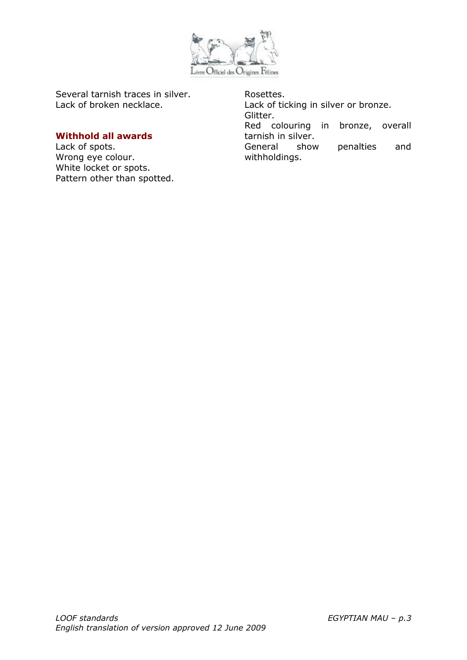

Several tarnish traces in silver. Lack of broken necklace.

#### **Withhold all awards**

Lack of spots. Wrong eye colour. White locket or spots. Pattern other than spotted. Rosettes. Lack of ticking in silver or bronze. Glitter. Red colouring in bronze, overall tarnish in silver. General show penalties and withholdings.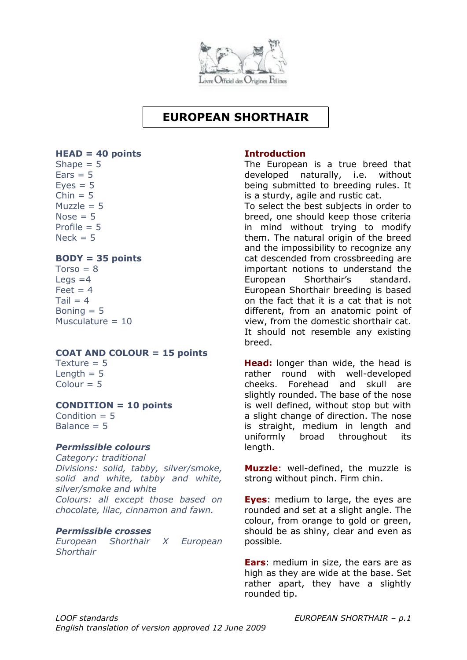

# **EUROPEAN SHORTHAIR**

#### **HEAD = 40 points**

Shape  $= 5$  $Ears = 5$  $Eves = 5$  $Chin = 5$  $Muzzle = 5$  $Nose = 5$ Profile  $= 5$  $Nack = 5$ 

#### **BODY = 35 points**

 $Torso = 8$ Legs  $=4$  $F$ eet = 4  $Tail = 4$ Boning  $= 5$ Musculature  $= 10$ 

#### **COAT AND COLOUR = 15 points**

Texture  $= 5$ Length  $= 5$  $Colour = 5$ 

## **CONDITION = 10 points**

Condition  $= 5$ Balance  $= 5$ 

#### *Permissible colours*

*Category: traditional Divisions: solid, tabby, silver/smoke, solid and white, tabby and white, silver/smoke and white Colours: all except those based on chocolate, lilac, cinnamon and fawn.*

#### *Permissible crosses*

*European Shorthair X European Shorthair* 

#### **Introduction**

The European is a true breed that developed naturally, i.e. without being submitted to breeding rules. It is a sturdy, agile and rustic cat.

To select the best subjects in order to breed, one should keep those criteria in mind without trying to modify them. The natural origin of the breed and the impossibility to recognize any cat descended from crossbreeding are important notions to understand the European Shorthair's standard. European Shorthair breeding is based on the fact that it is a cat that is not different, from an anatomic point of view, from the domestic shorthair cat. It should not resemble any existing breed.

**Head:** longer than wide, the head is rather round with well-developed cheeks. Forehead and skull are slightly rounded. The base of the nose is well defined, without stop but with a slight change of direction. The nose is straight, medium in length and uniformly broad throughout its length.

**Muzzle**: well-defined, the muzzle is strong without pinch. Firm chin.

**Eyes**: medium to large, the eyes are rounded and set at a slight angle. The colour, from orange to gold or green, should be as shiny, clear and even as possible.

**Ears**: medium in size, the ears are as high as they are wide at the base. Set rather apart, they have a slightly rounded tip.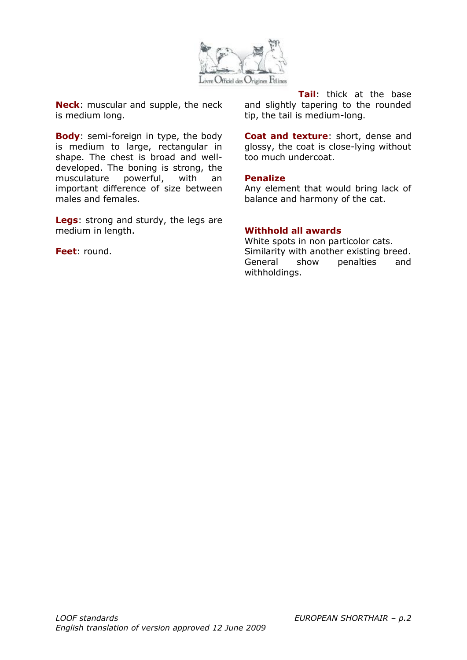

**Neck**: muscular and supple, the neck is medium long.

**Body**: semi-foreign in type, the body is medium to large, rectangular in shape. The chest is broad and welldeveloped. The boning is strong, the musculature powerful, with an important difference of size between males and females.

**Legs**: strong and sturdy, the legs are medium in length.

**Feet**: round.

**Tail**: thick at the base and slightly tapering to the rounded tip, the tail is medium-long.

**Coat and texture**: short, dense and glossy, the coat is close-lying without too much undercoat.

#### **Penalize**

Any element that would bring lack of balance and harmony of the cat.

#### **Withhold all awards**

White spots in non particolor cats. Similarity with another existing breed. General show penalties and withholdings.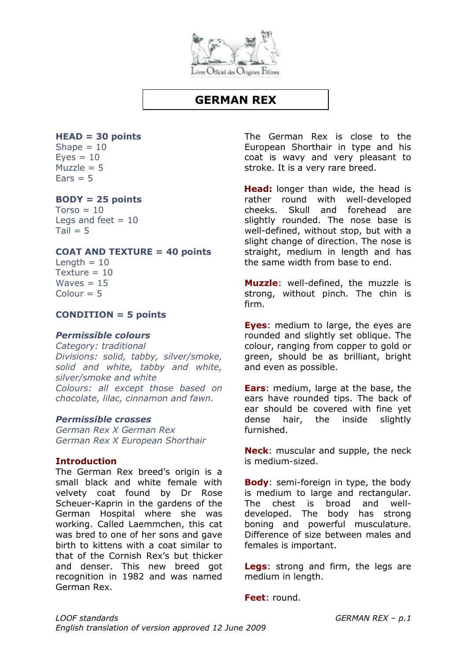

## **GERMAN REX**

## **HEAD = 30 points**

Shape  $= 10$  $Eves = 10$  $Muzzle = 5$  $Fars = 5$ 

#### **BODY = 25 points**

 $Torso = 10$ Legs and feet  $= 10$  $Tail = 5$ 

#### **COAT AND TEXTURE = 40 points**

Length  $= 10$ Texture  $= 10$ Waves  $= 15$  $Colour = 5$ 

#### **CONDITION = 5 points**

#### *Permissible colours*

*Category: traditional Divisions: solid, tabby, silver/smoke, solid and white, tabby and white, silver/smoke and white Colours: all except those based on chocolate, lilac, cinnamon and fawn.*

#### *Permissible crosses*

*German Rex X German Rex German Rex X European Shorthair*

#### **Introduction**

The German Rex breed's origin is a small black and white female with velvety coat found by Dr Rose Scheuer-Kaprin in the gardens of the German Hospital where she was working. Called Laemmchen, this cat was bred to one of her sons and gave birth to kittens with a coat similar to that of the Cornish Rex's but thicker and denser. This new breed got recognition in 1982 and was named German Rex.

The German Rex is close to the European Shorthair in type and his coat is wavy and very pleasant to stroke. It is a very rare breed.

**Head:** longer than wide, the head is rather round with well-developed cheeks. Skull and forehead are slightly rounded. The nose base is well-defined, without stop, but with a slight change of direction. The nose is straight, medium in length and has the same width from base to end.

**Muzzle**: well-defined, the muzzle is strong, without pinch. The chin is firm.

**Eyes**: medium to large, the eyes are rounded and slightly set oblique. The colour, ranging from copper to gold or green, should be as brilliant, bright and even as possible.

**Ears**: medium, large at the base, the ears have rounded tips. The back of ear should be covered with fine yet dense hair, the inside slightly furnished.

**Neck**: muscular and supple, the neck is medium-sized.

**Body**: semi-foreign in type, the body is medium to large and rectangular. The chest is broad and welldeveloped. The body has strong boning and powerful musculature. Difference of size between males and females is important.

**Legs**: strong and firm, the legs are medium in length.

**Feet**: round.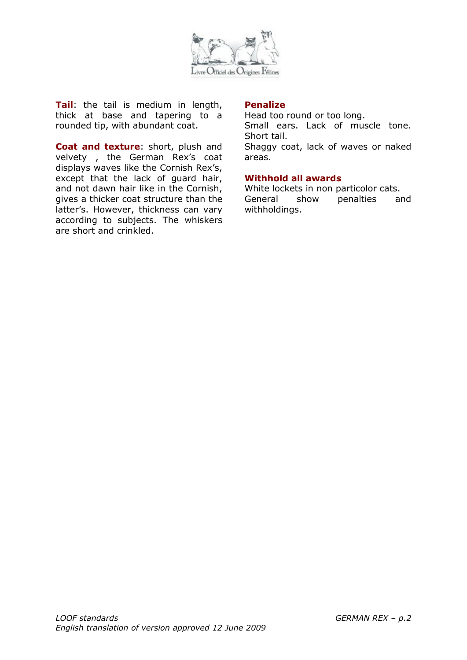

**Tail**: the tail is medium in length, thick at base and tapering to a rounded tip, with abundant coat.

**Coat and texture**: short, plush and velvety , the German Rex's coat displays waves like the Cornish Rex's, except that the lack of guard hair, and not dawn hair like in the Cornish, gives a thicker coat structure than the latter's. However, thickness can vary according to subjects. The whiskers are short and crinkled.

#### **Penalize**

Head too round or too long. Small ears. Lack of muscle tone. Short tail. Shaggy coat, lack of waves or naked

areas.

## **Withhold all awards**

White lockets in non particolor cats. General show penalties and withholdings.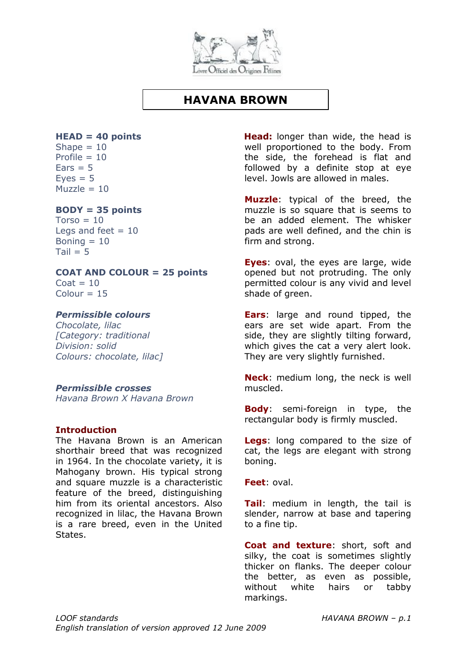

## **HAVANA BROWN**

# **HEAD = 40 points**

Shape  $= 10$ Profile  $= 10$  $Ears = 5$  $Eves = 5$  $Muzz$ e = 10

## **BODY = 35 points**

 $Torso = 10$ Legs and feet  $= 10$ Boning  $= 10$  $Tail = 5$ 

#### **COAT AND COLOUR = 25 points**  $\text{Coat} = 10$

 $Colour = 15$ 

## *Permissible colours*

*Chocolate, lilac [Category: traditional Division: solid Colours: chocolate, lilac]*

## *Permissible crosses*

*Havana Brown X Havana Brown* 

## **Introduction**

The Havana Brown is an American shorthair breed that was recognized in 1964. In the chocolate variety, it is Mahogany brown. His typical strong and square muzzle is a characteristic feature of the breed, distinguishing him from its oriental ancestors. Also recognized in lilac, the Havana Brown is a rare breed, even in the United States.

**Head:** longer than wide, the head is well proportioned to the body. From the side, the forehead is flat and followed by a definite stop at eye level. Jowls are allowed in males.

**Muzzle**: typical of the breed, the muzzle is so square that is seems to be an added element. The whisker pads are well defined, and the chin is firm and strong.

**Eyes**: oval, the eyes are large, wide opened but not protruding. The only permitted colour is any vivid and level shade of green.

**Ears**: large and round tipped, the ears are set wide apart. From the side, they are slightly tilting forward, which gives the cat a very alert look. They are very slightly furnished.

**Neck**: medium long, the neck is well muscled.

**Body**: semi-foreign in type, the rectangular body is firmly muscled.

**Legs**: long compared to the size of cat, the legs are elegant with strong boning.

**Feet**: oval.

**Tail**: medium in length, the tail is slender, narrow at base and tapering to a fine tip.

**Coat and texture**: short, soft and silky, the coat is sometimes slightly thicker on flanks. The deeper colour the better, as even as possible, without white hairs or tabby markings.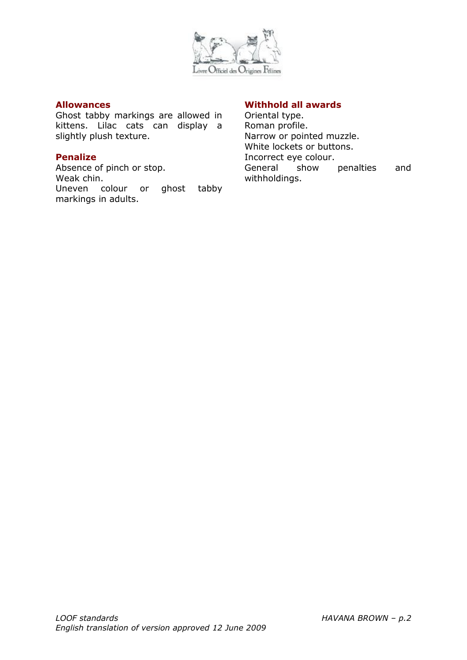

#### **Allowances**

Ghost tabby markings are allowed in kittens. Lilac cats can display a slightly plush texture.

#### **Penalize**

Absence of pinch or stop. Weak chin. Uneven colour or ghost tabby markings in adults.

#### **Withhold all awards**

Oriental type. Roman profile. Narrow or pointed muzzle. White lockets or buttons. Incorrect eye colour. General show penalties and withholdings.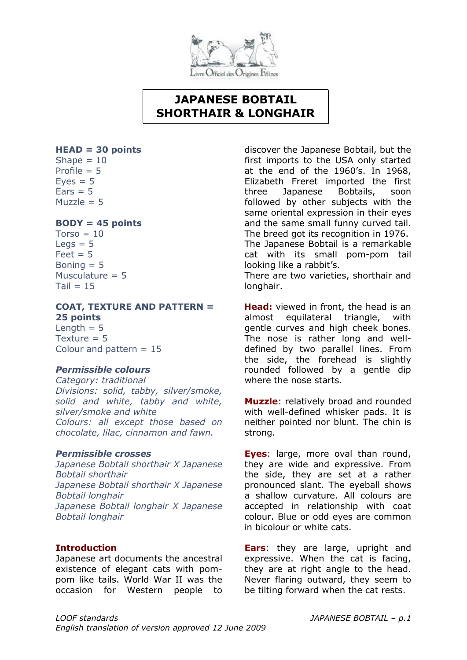

# **JAPANESE BOBTAIL SHORTHAIR & LONGHAIR**

#### **HEAD = 30 points**

Shape  $= 10$ Profile  $= 5$  $Eyes = 5$  $Ears = 5$ Muzzle  $= 5$ 

#### **BODY = 45 points**

 $Torso = 10$  $Leas = 5$  $Feet = 5$ Boning  $= 5$ Musculature  $= 5$  $Tail = 15$ 

## **COAT, TEXTURE AND PATTERN = 25 points**

Length  $= 5$ Texture  $= 5$ Colour and pattern  $= 15$ 

#### *Permissible colours*

*Category: traditional Divisions: solid, tabby, silver/smoke, solid and white, tabby and white, silver/smoke and white Colours: all except those based on chocolate, lilac, cinnamon and fawn.*

#### *Permissible crosses*

*Japanese Bobtail shorthair X Japanese Bobtail shorthair Japanese Bobtail shorthair X Japanese Bobtail longhair Japanese Bobtail longhair X Japanese Bobtail longhair*

## **Introduction**

Japanese art documents the ancestral existence of elegant cats with pompom like tails. World War II was the occasion for Western people to discover the Japanese Bobtail, but the first imports to the USA only started at the end of the 1960's. In 1968, Elizabeth Freret imported the first three Japanese Bobtails, soon followed by other subjects with the same oriental expression in their eyes and the same small funny curved tail. The breed got its recognition in 1976. The Japanese Bobtail is a remarkable cat with its small pom-pom tail looking like a rabbit's.

There are two varieties, shorthair and longhair.

**Head:** viewed in front, the head is an almost equilateral triangle, with gentle curves and high cheek bones. The nose is rather long and welldefined by two parallel lines. From the side, the forehead is slightly rounded followed by a gentle dip where the nose starts.

**Muzzle**: relatively broad and rounded with well-defined whisker pads. It is neither pointed nor blunt. The chin is strong.

**Eyes**: large, more oval than round, they are wide and expressive. From the side, they are set at a rather pronounced slant. The eyeball shows a shallow curvature. All colours are accepted in relationship with coat colour. Blue or odd eyes are common in bicolour or white cats.

**Ears**: they are large, upright and expressive. When the cat is facing, they are at right angle to the head. Never flaring outward, they seem to be tilting forward when the cat rests.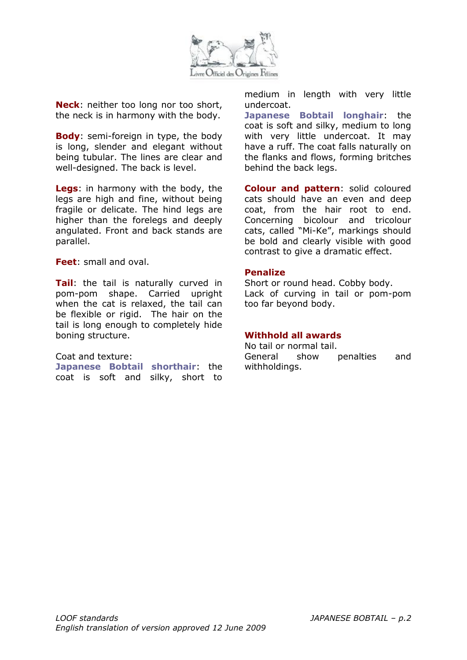

**Neck**: neither too long nor too short, the neck is in harmony with the body.

**Body**: semi-foreign in type, the body is long, slender and elegant without being tubular. The lines are clear and well-designed. The back is level.

**Legs**: in harmony with the body, the legs are high and fine, without being fragile or delicate. The hind legs are higher than the forelegs and deeply angulated. Front and back stands are parallel.

**Feet**: small and oval.

**Tail**: the tail is naturally curved in pom-pom shape. Carried upright when the cat is relaxed, the tail can be flexible or rigid. The hair on the tail is long enough to completely hide boning structure.

#### Coat and texture:

**Japanese Bobtail shorthair**: the coat is soft and silky, short to medium in length with very little undercoat.

**Japanese Bobtail longhair**: the coat is soft and silky, medium to long with very little undercoat. It may have a ruff. The coat falls naturally on the flanks and flows, forming britches behind the back legs.

**Colour and pattern**: solid coloured cats should have an even and deep coat, from the hair root to end. Concerning bicolour and tricolour cats, called "Mi-Ke", markings should be bold and clearly visible with good contrast to give a dramatic effect.

#### **Penalize**

Short or round head. Cobby body. Lack of curving in tail or pom-pom too far beyond body.

#### **Withhold all awards**

No tail or normal tail. General show penalties and withholdings.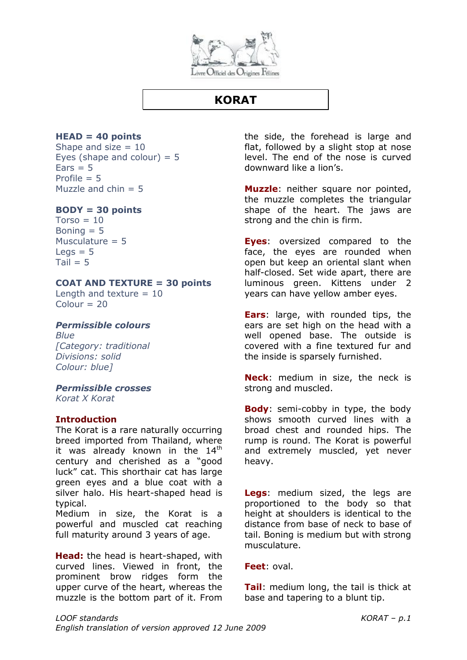

## **KORAT**

## **HEAD = 40 points**

Shape and size  $= 10$ Eyes (shape and colour)  $= 5$  $Ears = 5$ Profile  $= 5$ Muzzle and  $chin = 5$ 

#### **BODY = 30 points**

 $Torso = 10$ Boning  $= 5$ Musculature  $= 5$  $Leqs = 5$  $Tail = 5$ 

#### **COAT AND TEXTURE = 30 points**

Length and texture  $= 10$  $Colour = 20$ 

#### *Permissible colours*

*Blue [Category: traditional Divisions: solid Colour: blue]*

#### *Permissible crosses*

*Korat X Korat*

## **Introduction**

The Korat is a rare naturally occurring breed imported from Thailand, where it was already known in the  $14<sup>th</sup>$ century and cherished as a "good luck" cat. This shorthair cat has large green eyes and a blue coat with a silver halo. His heart-shaped head is typical.

Medium in size, the Korat is a powerful and muscled cat reaching full maturity around 3 years of age.

**Head:** the head is heart-shaped, with curved lines. Viewed in front, the prominent brow ridges form the upper curve of the heart, whereas the muzzle is the bottom part of it. From the side, the forehead is large and flat, followed by a slight stop at nose level. The end of the nose is curved downward like a lion's.

**Muzzle**: neither square nor pointed, the muzzle completes the triangular shape of the heart. The jaws are strong and the chin is firm.

**Eyes**: oversized compared to the face, the eyes are rounded when open but keep an oriental slant when half-closed. Set wide apart, there are luminous green. Kittens under 2 years can have yellow amber eyes.

**Ears**: large, with rounded tips, the ears are set high on the head with a well opened base. The outside is covered with a fine textured fur and the inside is sparsely furnished.

**Neck**: medium in size, the neck is strong and muscled.

**Body**: semi-cobby in type, the body shows smooth curved lines with a broad chest and rounded hips. The rump is round. The Korat is powerful and extremely muscled, yet never heavy.

**Legs**: medium sized, the legs are proportioned to the body so that height at shoulders is identical to the distance from base of neck to base of tail. Boning is medium but with strong musculature.

**Feet**: oval.

**Tail**: medium long, the tail is thick at base and tapering to a blunt tip.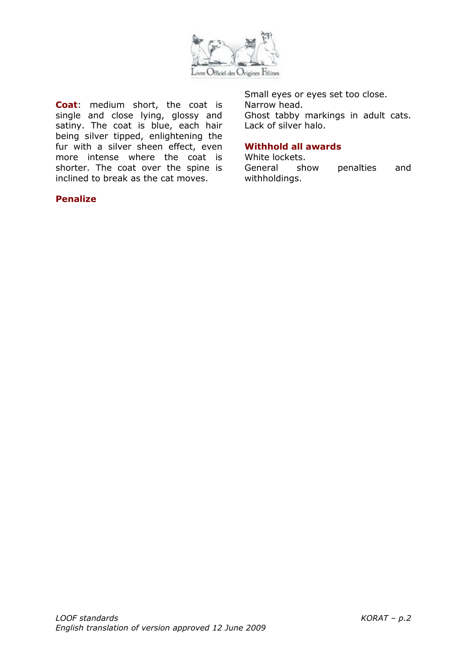

**Coat**: medium short, the coat is single and close lying, glossy and satiny. The coat is blue, each hair being silver tipped, enlightening the fur with a silver sheen effect, even more intense where the coat is shorter. The coat over the spine is inclined to break as the cat moves.

## **Penalize**

Small eyes or eyes set too close. Narrow head. Ghost tabby markings in adult cats. Lack of silver halo.

## **Withhold all awards**

White lockets. General show penalties and withholdings.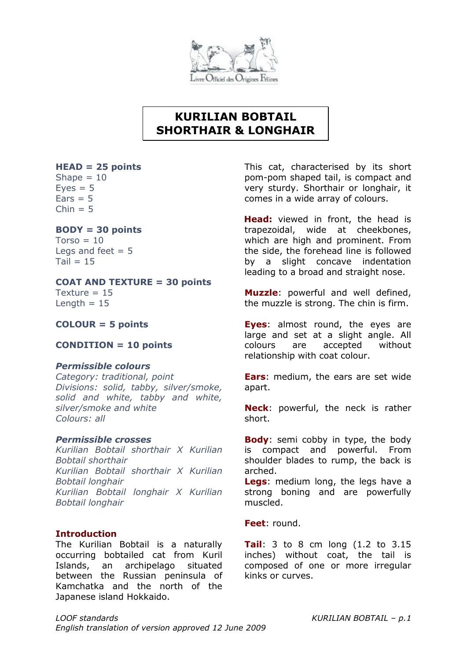

# **KURILIAN BOBTAIL SHORTHAIR & LONGHAIR**

## **HEAD = 25 points**

Shape  $= 10$  $Eves = 5$  $Ears = 5$  $Chin = 5$ 

## **BODY = 30 points**

 $Torso = 10$ Legs and feet  $= 5$  $Tail = 15$ 

## **COAT AND TEXTURE = 30 points**

Texture  $= 15$ Length  $= 15$ 

## **COLOUR = 5 points**

## **CONDITION = 10 points**

## *Permissible colours*

*Category: traditional, point Divisions: solid, tabby, silver/smoke, solid and white, tabby and white, silver/smoke and white Colours: all*

#### *Permissible crosses*

*Kurilian Bobtail shorthair X Kurilian Bobtail shorthair Kurilian Bobtail shorthair X Kurilian Bobtail longhair Kurilian Bobtail longhair X Kurilian Bobtail longhair*

## **Introduction**

The Kurilian Bobtail is a naturally occurring bobtailed cat from Kuril Islands, an archipelago situated between the Russian peninsula of Kamchatka and the north of the Japanese island Hokkaido.

This cat, characterised by its short pom-pom shaped tail, is compact and very sturdy. Shorthair or longhair, it comes in a wide array of colours.

**Head:** viewed in front, the head is trapezoidal, wide at cheekbones, which are high and prominent. From the side, the forehead line is followed by a slight concave indentation leading to a broad and straight nose.

**Muzzle**: powerful and well defined, the muzzle is strong. The chin is firm.

**Eyes**: almost round, the eyes are large and set at a slight angle. All colours are accepted without relationship with coat colour.

**Ears**: medium, the ears are set wide apart.

**Neck**: powerful, the neck is rather short.

**Body**: semi cobby in type, the body is compact and powerful. From shoulder blades to rump, the back is arched.

**Legs**: medium long, the legs have a strong boning and are powerfully muscled.

**Feet**: round.

**Tail**: 3 to 8 cm long (1.2 to 3.15 inches) without coat, the tail is composed of one or more irregular kinks or curves.

*LOOF standards KURILIAN BOBTAIL – p.1 English translation of version approved 12 June 2009*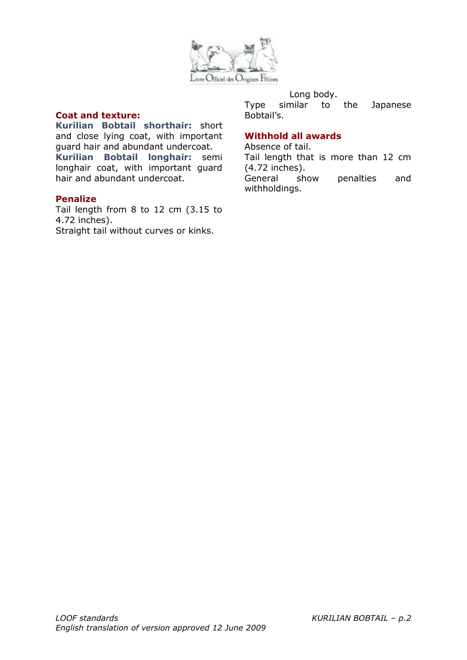

#### Long body.

Type similar to the Japanese Bobtail's.

#### **Coat and texture:**

**Kurilian Bobtail shorthair:** short and close lying coat, with important guard hair and abundant undercoat. **Kurilian Bobtail longhair:** semi longhair coat, with important guard hair and abundant undercoat.

#### **Penalize**

Tail length from 8 to 12 cm (3.15 to 4.72 inches). Straight tail without curves or kinks.

## **Withhold all awards**

Absence of tail. Tail length that is more than 12 cm (4.72 inches). General show penalties and withholdings.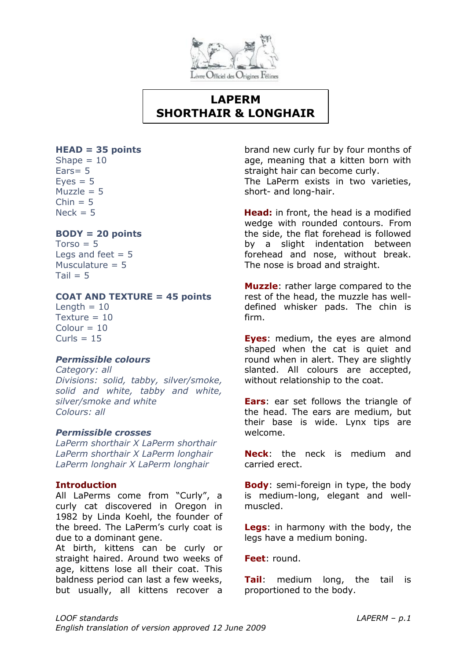

# **LAPERM SHORTHAIR & LONGHAIR**

#### **HEAD = 35 points**

Shape  $= 10$ Ears= 5  $Eves = 5$ Muzzle  $= 5$  $Chin = 5$  $Nerk = 5$ 

## **BODY = 20 points**

 $Torso = 5$ Legs and feet  $= 5$ Musculature  $= 5$  $Tail = 5$ 

## **COAT AND TEXTURE = 45 points**

Length  $= 10$ Texture  $= 10$  $Colour = 10$  $Curls = 15$ 

## *Permissible colours*

*Category: all Divisions: solid, tabby, silver/smoke, solid and white, tabby and white, silver/smoke and white Colours: all*

#### *Permissible crosses*

*LaPerm shorthair X LaPerm shorthair LaPerm shorthair X LaPerm longhair LaPerm longhair X LaPerm longhair*

#### **Introduction**

All LaPerms come from "Curly", a curly cat discovered in Oregon in 1982 by Linda Koehl, the founder of the breed. The LaPerm's curly coat is due to a dominant gene.

At birth, kittens can be curly or straight haired. Around two weeks of age, kittens lose all their coat. This baldness period can last a few weeks, but usually, all kittens recover a brand new curly fur by four months of age, meaning that a kitten born with straight hair can become curly. The LaPerm exists in two varieties, short- and long-hair.

**Head:** in front, the head is a modified wedge with rounded contours. From the side, the flat forehead is followed by a slight indentation between forehead and nose, without break. The nose is broad and straight.

**Muzzle**: rather large compared to the rest of the head, the muzzle has welldefined whisker pads. The chin is firm.

**Eyes**: medium, the eyes are almond shaped when the cat is quiet and round when in alert. They are slightly slanted. All colours are accepted, without relationship to the coat.

**Ears**: ear set follows the triangle of the head. The ears are medium, but their base is wide. Lynx tips are welcome.

**Neck**: the neck is medium and carried erect.

**Body**: semi-foreign in type, the body is medium-long, elegant and wellmuscled.

**Legs**: in harmony with the body, the legs have a medium boning.

**Feet**: round.

**Tail**: medium long, the tail is proportioned to the body.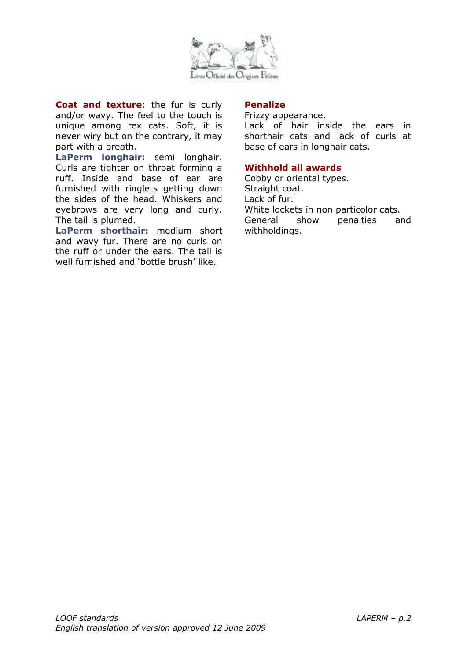

**Coat and texture**: the fur is curly and/or wavy. The feel to the touch is unique among rex cats. Soft, it is never wiry but on the contrary, it may part with a breath.

**LaPerm longhair:** semi longhair. Curls are tighter on throat forming a ruff. Inside and base of ear are furnished with ringlets getting down the sides of the head. Whiskers and eyebrows are very long and curly. The tail is plumed.

**LaPerm shorthair:** medium short and wavy fur. There are no curls on the ruff or under the ears. The tail is well furnished and 'bottle brush' like.

## **Penalize**

Frizzy appearance. Lack of hair inside the ears in shorthair cats and lack of curls at base of ears in longhair cats.

## **Withhold all awards**

Cobby or oriental types. Straight coat. Lack of fur. White lockets in non particolor cats. General show penalties and withholdings.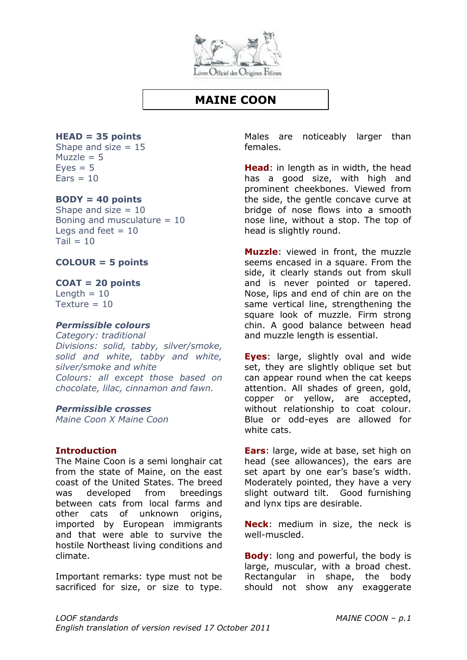

## **MAINE COON**

#### **HEAD = 35 points**

Shape and size  $= 15$ Muzzle  $= 5$  $Eves = 5$  $Fars = 10$ 

#### **BODY = 40 points**

Shape and size  $= 10$ Boning and musculature  $= 10$ Legs and feet  $= 10$  $Tail = 10$ 

**COLOUR = 5 points**

#### **COAT = 20 points**

Length  $= 10$ Texture  $= 10$ 

#### *Permissible colours*

*Category: traditional Divisions: solid, tabby, silver/smoke, solid and white, tabby and white, silver/smoke and white Colours: all except those based on chocolate, lilac, cinnamon and fawn.*

#### *Permissible crosses*

*Maine Coon X Maine Coon*

#### **Introduction**

The Maine Coon is a semi longhair cat from the state of Maine, on the east coast of the United States. The breed was developed from breedings between cats from local farms and other cats of unknown origins, imported by European immigrants and that were able to survive the hostile Northeast living conditions and climate.

Important remarks: type must not be sacrificed for size, or size to type.

Males are noticeably larger than females.

**Head**: in length as in width, the head has a good size, with high and prominent cheekbones. Viewed from the side, the gentle concave curve at bridge of nose flows into a smooth nose line, without a stop. The top of head is slightly round.

**Muzzle**: viewed in front, the muzzle seems encased in a square. From the side, it clearly stands out from skull and is never pointed or tapered. Nose, lips and end of chin are on the same vertical line, strengthening the square look of muzzle. Firm strong chin. A good balance between head and muzzle length is essential.

**Eyes**: large, slightly oval and wide set, they are slightly oblique set but can appear round when the cat keeps attention. All shades of green, gold, copper or yellow, are accepted, without relationship to coat colour. Blue or odd-eyes are allowed for white cats.

**Ears**: large, wide at base, set high on head (see allowances), the ears are set apart by one ear's base's width. Moderately pointed, they have a very slight outward tilt. Good furnishing and lynx tips are desirable.

**Neck**: medium in size, the neck is well-muscled.

**Body**: long and powerful, the body is large, muscular, with a broad chest. Rectangular in shape, the body should not show any exaggerate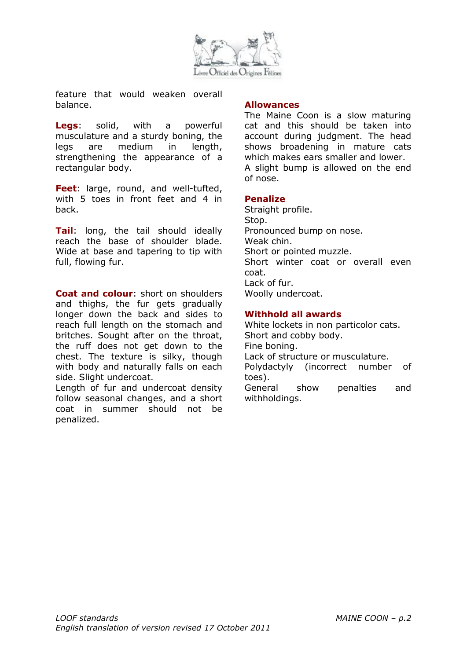

feature that would weaken overall balance.

**Legs**: solid, with a powerful musculature and a sturdy boning, the legs are medium in length, strengthening the appearance of a rectangular body.

**Feet:** large, round, and well-tufted, with 5 toes in front feet and 4 in back.

**Tail**: long, the tail should ideally reach the base of shoulder blade. Wide at base and tapering to tip with full, flowing fur.

**Coat and colour**: short on shoulders and thighs, the fur gets gradually longer down the back and sides to reach full length on the stomach and britches. Sought after on the throat, the ruff does not get down to the chest. The texture is silky, though with body and naturally falls on each side. Slight undercoat.

Length of fur and undercoat density follow seasonal changes, and a short coat in summer should not be penalized.

#### **Allowances**

The Maine Coon is a slow maturing cat and this should be taken into account during judgment. The head shows broadening in mature cats which makes ears smaller and lower. A slight bump is allowed on the end of nose.

#### **Penalize**

Straight profile. Stop. Pronounced bump on nose. Weak chin. Short or pointed muzzle. Short winter coat or overall even coat. Lack of fur. Woolly undercoat.

#### **Withhold all awards**

White lockets in non particolor cats. Short and cobby body. Fine boning. Lack of structure or musculature. Polydactyly (incorrect number of toes). General show penalties and withholdings.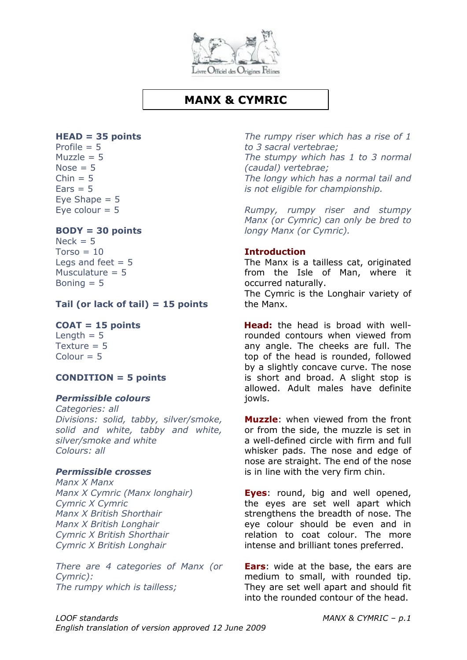

## **MANX & CYMRIC**

## **HEAD = 35 points**

Profile  $= 5$ Muzzle  $= 5$ Nose  $= 5$  $Chin = 5$  $Ears = 5$ Eye Shape  $= 5$ Eye colour  $= 5$ 

## **BODY = 30 points**

 $Neck = 5$  $Torso = 10$ Legs and feet  $= 5$ Musculature  $= 5$ Boning  $= 5$ 

#### **Tail (or lack of tail) = 15 points**

#### **COAT = 15 points**

Length  $= 5$ Texture  $= 5$  $Colour = 5$ 

#### **CONDITION = 5 points**

#### *Permissible colours*

*Categories: all Divisions: solid, tabby, silver/smoke, solid and white, tabby and white, silver/smoke and white Colours: all*

## *Permissible crosses*

*Manx X Manx Manx X Cymric (Manx longhair) Cymric X Cymric Manx X British Shorthair Manx X British Longhair Cymric X British Shorthair Cymric X British Longhair*

*There are 4 categories of Manx (or Cymric): The rumpy which is tailless;*

*The rumpy riser which has a rise of 1 to 3 sacral vertebrae; The stumpy which has 1 to 3 normal (caudal) vertebrae; The longy which has a normal tail and is not eligible for championship.*

*Rumpy, rumpy riser and stumpy Manx (or Cymric) can only be bred to longy Manx (or Cymric).*

#### **Introduction**

The Manx is a tailless cat, originated from the Isle of Man, where it occurred naturally.

The Cymric is the Longhair variety of the Manx.

**Head:** the head is broad with wellrounded contours when viewed from any angle. The cheeks are full. The top of the head is rounded, followed by a slightly concave curve. The nose is short and broad. A slight stop is allowed. Adult males have definite jowls.

**Muzzle**: when viewed from the front or from the side, the muzzle is set in a well-defined circle with firm and full whisker pads. The nose and edge of nose are straight. The end of the nose is in line with the very firm chin.

**Eyes**: round, big and well opened, the eyes are set well apart which strengthens the breadth of nose. The eye colour should be even and in relation to coat colour. The more intense and brilliant tones preferred.

**Ears**: wide at the base, the ears are medium to small, with rounded tip. They are set well apart and should fit into the rounded contour of the head.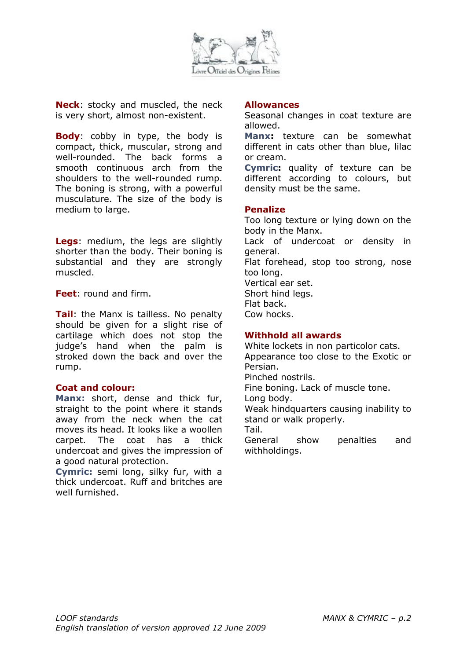

**Neck**: stocky and muscled, the neck is very short, almost non-existent.

**Body**: cobby in type, the body is compact, thick, muscular, strong and well-rounded. The back forms a smooth continuous arch from the shoulders to the well-rounded rump. The boning is strong, with a powerful musculature. The size of the body is medium to large.

**Legs**: medium, the legs are slightly shorter than the body. Their boning is substantial and they are strongly muscled.

**Feet**: round and firm.

**Tail**: the Manx is tailless. No penalty should be given for a slight rise of cartilage which does not stop the judge's hand when the palm is stroked down the back and over the rump.

#### **Coat and colour:**

**Manx:** short, dense and thick fur, straight to the point where it stands away from the neck when the cat moves its head. It looks like a woollen carpet. The coat has a thick undercoat and gives the impression of a good natural protection.

**Cymric:** semi long, silky fur, with a thick undercoat. Ruff and britches are well furnished.

#### **Allowances**

Seasonal changes in coat texture are allowed.

**Manx:** texture can be somewhat different in cats other than blue, lilac or cream.

**Cymric:** quality of texture can be different according to colours, but density must be the same.

#### **Penalize**

Too long texture or lying down on the body in the Manx.

Lack of undercoat or density in general.

Flat forehead, stop too strong, nose too long.

Vertical ear set. Short hind legs.

Flat back.

Cow hocks.

#### **Withhold all awards**

White lockets in non particolor cats. Appearance too close to the Exotic or Persian. Pinched nostrils. Fine boning. Lack of muscle tone. Long body. Weak hindquarters causing inability to stand or walk properly. Tail. General show penalties and withholdings.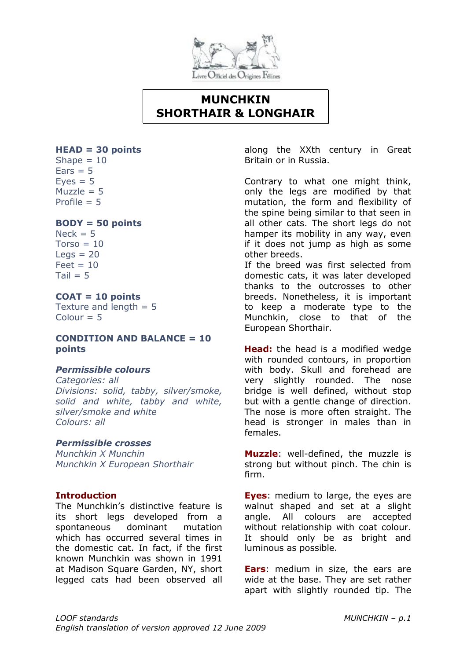

# **MUNCHKIN SHORTHAIR & LONGHAIR**

#### **HEAD = 30 points**

Shape  $= 10$  $Ears = 5$  $Eves = 5$  $Muzzle = 5$ Profile  $= 5$ 

## **BODY = 50 points**

 $Nack = 5$  $Torso = 10$  $Leas = 20$  $Feet = 10$  $Tail = 5$ 

## **COAT = 10 points**

Texture and length  $= 5$  $Colour = 5$ 

#### **CONDITION AND BALANCE = 10 points**

#### *Permissible colours*

*Categories: all Divisions: solid, tabby, silver/smoke, solid and white, tabby and white, silver/smoke and white Colours: all*

#### *Permissible crosses*

*Munchkin X Munchin Munchkin X European Shorthair* 

## **Introduction**

The Munchkin's distinctive feature is its short legs developed from a spontaneous dominant mutation which has occurred several times in the domestic cat. In fact, if the first known Munchkin was shown in 1991 at Madison Square Garden, NY, short legged cats had been observed all along the XXth century in Great Britain or in Russia.

Contrary to what one might think, only the legs are modified by that mutation, the form and flexibility of the spine being similar to that seen in all other cats. The short legs do not hamper its mobility in any way, even if it does not jump as high as some other breeds.

If the breed was first selected from domestic cats, it was later developed thanks to the outcrosses to other breeds. Nonetheless, it is important to keep a moderate type to the Munchkin, close to that of the European Shorthair.

**Head:** the head is a modified wedge with rounded contours, in proportion with body. Skull and forehead are very slightly rounded. The nose bridge is well defined, without stop but with a gentle change of direction. The nose is more often straight. The head is stronger in males than in females.

**Muzzle**: well-defined, the muzzle is strong but without pinch. The chin is firm.

**Eyes**: medium to large, the eyes are walnut shaped and set at a slight angle. All colours are accepted without relationship with coat colour. It should only be as bright and luminous as possible.

**Ears**: medium in size, the ears are wide at the base. They are set rather apart with slightly rounded tip. The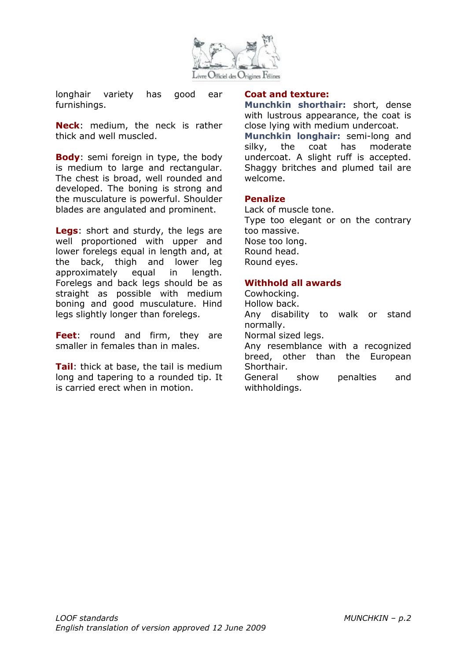

longhair variety has good ear furnishings.

**Neck**: medium, the neck is rather thick and well muscled.

**Body**: semi foreign in type, the body is medium to large and rectangular. The chest is broad, well rounded and developed. The boning is strong and the musculature is powerful. Shoulder blades are angulated and prominent.

**Legs**: short and sturdy, the legs are well proportioned with upper and lower forelegs equal in length and, at the back, thigh and lower leg approximately equal in length. Forelegs and back legs should be as straight as possible with medium boning and good musculature. Hind legs slightly longer than forelegs.

**Feet**: round and firm, they are smaller in females than in males.

**Tail**: thick at base, the tail is medium long and tapering to a rounded tip. It is carried erect when in motion.

#### **Coat and texture:**

**Munchkin shorthair:** short, dense with lustrous appearance, the coat is close lying with medium undercoat. **Munchkin longhair:** semi-long and silky, the coat has moderate undercoat. A slight ruff is accepted. Shaggy britches and plumed tail are welcome.

#### **Penalize**

Lack of muscle tone. Type too elegant or on the contrary too massive. Nose too long. Round head. Round eyes.

## **Withhold all awards**

Cowhocking. Hollow back. Any disability to walk or stand normally. Normal sized legs. Any resemblance with a recognized breed, other than the European Shorthair. General show penalties and withholdings.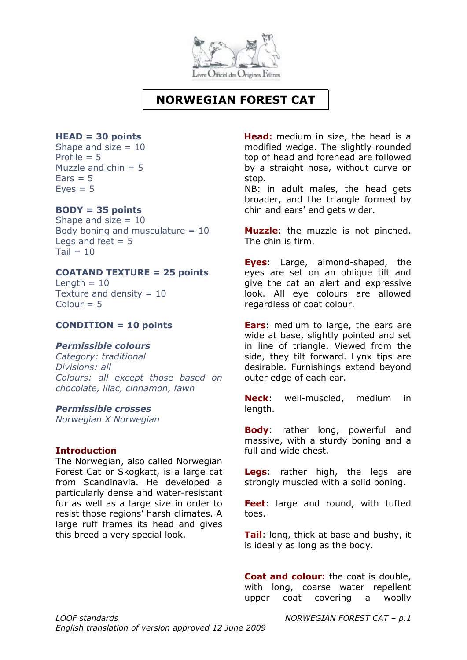

# **NORWEGIAN FOREST CAT**

#### **HEAD = 30 points**

Shape and size  $= 10$ Profile  $= 5$ Muzzle and  $chin = 5$  $Fars = 5$  $Eves = 5$ 

#### **BODY = 35 points**

Shape and size  $= 10$ Body boning and musculature  $= 10$ Legs and feet  $= 5$  $Tail = 10$ 

#### **COATAND TEXTURE = 25 points**

Length  $= 10$ Texture and density  $= 10$  $Colour = 5$ 

#### **CONDITION = 10 points**

#### *Permissible colours*

*Category: traditional Divisions: all Colours: all except those based on chocolate, lilac, cinnamon, fawn*

#### *Permissible crosses*

*Norwegian X Norwegian*

#### **Introduction**

The Norwegian, also called Norwegian Forest Cat or Skogkatt, is a large cat from Scandinavia. He developed a particularly dense and water-resistant fur as well as a large size in order to resist those regions' harsh climates. A large ruff frames its head and gives this breed a very special look.

**Head:** medium in size, the head is a modified wedge. The slightly rounded top of head and forehead are followed by a straight nose, without curve or stop.

NB: in adult males, the head gets broader, and the triangle formed by chin and ears' end gets wider.

**Muzzle**: the muzzle is not pinched. The chin is firm.

**Eyes**: Large, almond-shaped, the eyes are set on an oblique tilt and give the cat an alert and expressive look. All eye colours are allowed regardless of coat colour.

**Ears**: medium to large, the ears are wide at base, slightly pointed and set in line of triangle. Viewed from the side, they tilt forward. Lynx tips are desirable. Furnishings extend beyond outer edge of each ear.

**Neck**: well-muscled, medium in length.

**Body**: rather long, powerful and massive, with a sturdy boning and a full and wide chest.

**Legs**: rather high, the legs are strongly muscled with a solid boning.

**Feet**: large and round, with tufted toes.

**Tail**: long, thick at base and bushy, it is ideally as long as the body.

**Coat and colour:** the coat is double, with long, coarse water repellent upper coat covering a woolly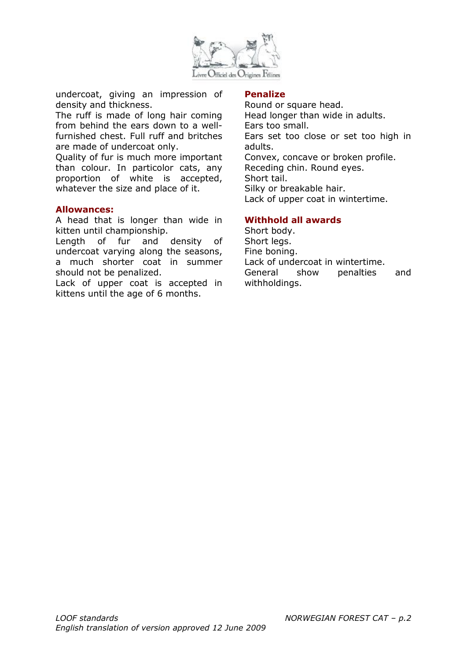

undercoat, giving an impression of density and thickness.

The ruff is made of long hair coming from behind the ears down to a wellfurnished chest. Full ruff and britches are made of undercoat only.

Quality of fur is much more important than colour. In particolor cats, any proportion of white is accepted, whatever the size and place of it.

#### **Allowances:**

A head that is longer than wide in kitten until championship.

Length of fur and density of undercoat varying along the seasons, a much shorter coat in summer should not be penalized.

Lack of upper coat is accepted in kittens until the age of 6 months.

#### **Penalize**

Round or square head. Head longer than wide in adults. Ears too small. Ears set too close or set too high in adults. Convex, concave or broken profile. Receding chin. Round eyes. Short tail. Silky or breakable hair. Lack of upper coat in wintertime.

#### **Withhold all awards**

Short body. Short leas. Fine boning. Lack of undercoat in wintertime. General show penalties and withholdings.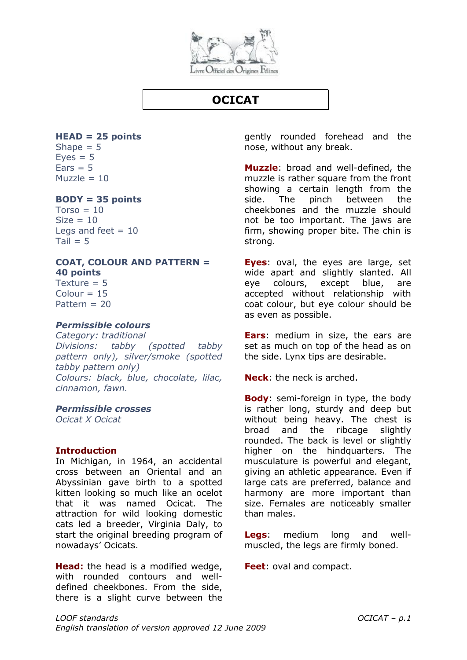

# **OCICAT**

## **HEAD = 25 points**

Shape  $= 5$  $Eves = 5$  $Ears = 5$  $Muzzle = 10$ 

## **BODY = 35 points**

 $Torso = 10$  $Size = 10$ Legs and feet  $= 10$  $Tail = 5$ 

#### **COAT, COLOUR AND PATTERN = 40 points**

Texture  $= 5$  $Colour = 15$ Pattern = 20

## *Permissible colours*

*Category: traditional Divisions: tabby (spotted tabby pattern only), silver/smoke (spotted tabby pattern only) Colours: black, blue, chocolate, lilac, cinnamon, fawn.*

#### *Permissible crosses*

*Ocicat X Ocicat* 

#### **Introduction**

In Michigan, in 1964, an accidental cross between an Oriental and an Abyssinian gave birth to a spotted kitten looking so much like an ocelot that it was named Ocicat. The attraction for wild looking domestic cats led a breeder, Virginia Daly, to start the original breeding program of nowadays' Ocicats.

**Head:** the head is a modified wedge, with rounded contours and welldefined cheekbones. From the side, there is a slight curve between the gently rounded forehead and the nose, without any break.

**Muzzle**: broad and well-defined, the muzzle is rather square from the front showing a certain length from the side. The pinch between the cheekbones and the muzzle should not be too important. The jaws are firm, showing proper bite. The chin is strong.

**Eyes**: oval, the eyes are large, set wide apart and slightly slanted. All eye colours, except blue, are accepted without relationship with coat colour, but eye colour should be as even as possible.

**Ears**: medium in size, the ears are set as much on top of the head as on the side. Lynx tips are desirable.

**Neck**: the neck is arched.

**Body**: semi-foreign in type, the body is rather long, sturdy and deep but without being heavy. The chest is broad and the ribcage slightly rounded. The back is level or slightly higher on the hindquarters. The musculature is powerful and elegant, giving an athletic appearance. Even if large cats are preferred, balance and harmony are more important than size. Females are noticeably smaller than males.

**Legs**: medium long and wellmuscled, the legs are firmly boned.

**Feet**: oval and compact.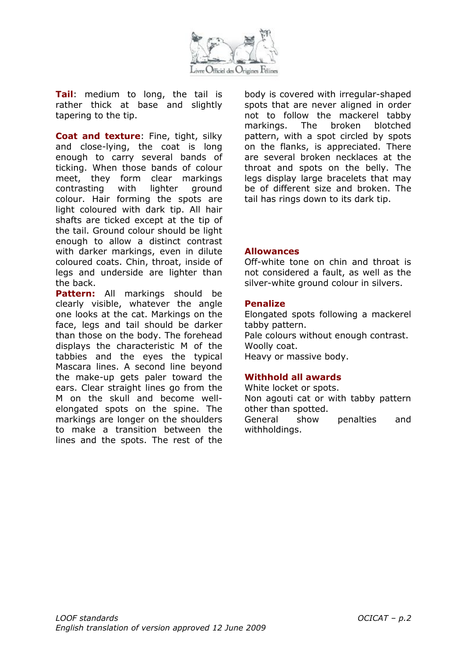

**Tail**: medium to long, the tail is rather thick at base and slightly tapering to the tip.

**Coat and texture**: Fine, tight, silky and close-lying, the coat is long enough to carry several bands of ticking. When those bands of colour meet, they form clear markings contrasting with lighter ground colour. Hair forming the spots are light coloured with dark tip. All hair shafts are ticked except at the tip of the tail. Ground colour should be light enough to allow a distinct contrast with darker markings, even in dilute coloured coats. Chin, throat, inside of legs and underside are lighter than the back.

**Pattern:** All markings should be clearly visible, whatever the angle one looks at the cat. Markings on the face, legs and tail should be darker than those on the body. The forehead displays the characteristic M of the tabbies and the eyes the typical Mascara lines. A second line beyond the make-up gets paler toward the ears. Clear straight lines go from the M on the skull and become wellelongated spots on the spine. The markings are longer on the shoulders to make a transition between the lines and the spots. The rest of the body is covered with irregular-shaped spots that are never aligned in order not to follow the mackerel tabby markings. The broken blotched pattern, with a spot circled by spots on the flanks, is appreciated. There are several broken necklaces at the throat and spots on the belly. The legs display large bracelets that may be of different size and broken. The tail has rings down to its dark tip.

#### **Allowances**

Off-white tone on chin and throat is not considered a fault, as well as the silver-white ground colour in silvers.

#### **Penalize**

Elongated spots following a mackerel tabby pattern. Pale colours without enough contrast. Woolly coat. Heavy or massive body.

#### **Withhold all awards**

White locket or spots. Non agouti cat or with tabby pattern other than spotted. General show penalties and withholdings.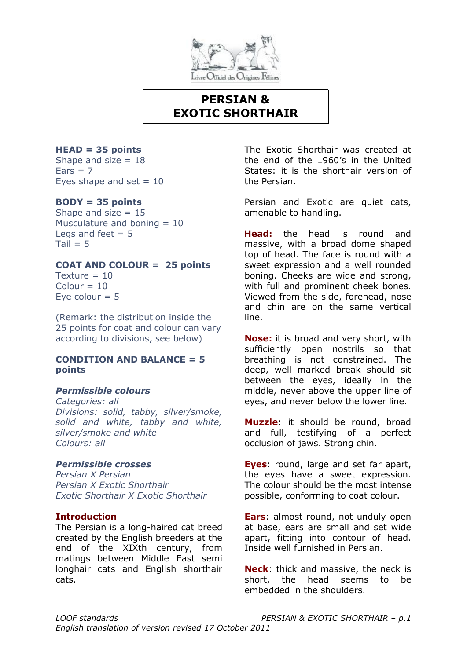

# **PERSIAN & EXOTIC SHORTHAIR**

#### **HEAD = 35 points**

Shape and size  $= 18$  $Ears = 7$ Eyes shape and set  $= 10$ 

## **BODY = 35 points**

Shape and size  $= 15$ Musculature and boning  $= 10$ Legs and feet  $= 5$  $Tail = 5$ 

## **COAT AND COLOUR = 25 points**

 $T$ exture = 10  $Colour = 10$ Eve colour  $= 5$ 

(Remark: the distribution inside the 25 points for coat and colour can vary according to divisions, see below)

#### **CONDITION AND BALANCE = 5 points**

## *Permissible colours*

*Categories: all Divisions: solid, tabby, silver/smoke, solid and white, tabby and white, silver/smoke and white Colours: all*

## *Permissible crosses*

*Persian X Persian Persian X Exotic Shorthair Exotic Shorthair X Exotic Shorthair*

## **Introduction**

The Persian is a long-haired cat breed created by the English breeders at the end of the XIXth century, from matings between Middle East semi longhair cats and English shorthair cats.

The Exotic Shorthair was created at the end of the 1960's in the United States: it is the shorthair version of the Persian.

Persian and Exotic are quiet cats, amenable to handling.

**Head:** the head is round and massive, with a broad dome shaped top of head. The face is round with a sweet expression and a well rounded boning. Cheeks are wide and strong, with full and prominent cheek bones. Viewed from the side, forehead, nose and chin are on the same vertical line.

**Nose:** it is broad and very short, with sufficiently open nostrils so that breathing is not constrained. The deep, well marked break should sit between the eyes, ideally in the middle, never above the upper line of eyes, and never below the lower line.

**Muzzle**: it should be round, broad and full, testifying of a perfect occlusion of jaws. Strong chin.

**Eyes**: round, large and set far apart, the eyes have a sweet expression. The colour should be the most intense possible, conforming to coat colour.

**Ears**: almost round, not unduly open at base, ears are small and set wide apart, fitting into contour of head. Inside well furnished in Persian.

**Neck**: thick and massive, the neck is short, the head seems to be embedded in the shoulders.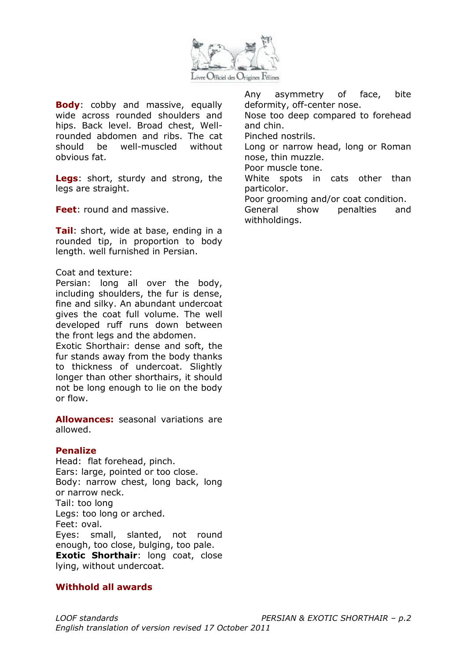

**Body**: cobby and massive, equally wide across rounded shoulders and hips. Back level. Broad chest, Wellrounded abdomen and ribs. The cat should be well-muscled without obvious fat.

**Legs**: short, sturdy and strong, the legs are straight.

**Feet**: round and massive.

**Tail**: short, wide at base, ending in a rounded tip, in proportion to body length. well furnished in Persian.

#### Coat and texture:

Persian: long all over the body, including shoulders, the fur is dense, fine and silky. An abundant undercoat gives the coat full volume. The well developed ruff runs down between the front legs and the abdomen.

Exotic Shorthair: dense and soft, the fur stands away from the body thanks to thickness of undercoat. Slightly longer than other shorthairs, it should not be long enough to lie on the body or flow.

**Allowances:** seasonal variations are allowed.

#### **Penalize**

Head: flat forehead, pinch. Ears: large, pointed or too close. Body: narrow chest, long back, long or narrow neck. Tail: too long Legs: too long or arched. Feet: oval. Eyes: small, slanted, not round enough, too close, bulging, too pale. **Exotic Shorthair:** long coat, close lying, without undercoat.

#### **Withhold all awards**

Any asymmetry of face, bite deformity, off-center nose.

Nose too deep compared to forehead and chin.

Pinched nostrils.

Long or narrow head, long or Roman nose, thin muzzle.

Poor muscle tone.

White spots in cats other than particolor.

Poor grooming and/or coat condition.

General show penalties and withholdings.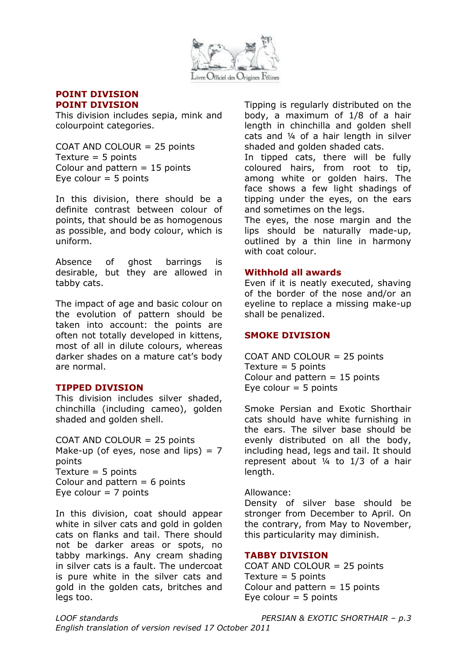

#### **POINT DIVISION POINT DIVISION**

This division includes sepia, mink and colourpoint categories.

COAT AND COLOUR = 25 points Texture  $=$  5 points Colour and pattern  $= 15$  points Eye colour  $= 5$  points

In this division, there should be a definite contrast between colour of points, that should be as homogenous as possible, and body colour, which is uniform.

Absence of ghost barrings is desirable, but they are allowed in tabby cats.

The impact of age and basic colour on the evolution of pattern should be taken into account: the points are often not totally developed in kittens, most of all in dilute colours, whereas darker shades on a mature cat's body are normal.

#### **TIPPED DIVISION**

This division includes silver shaded, chinchilla (including cameo), golden shaded and golden shell.

COAT AND COLOUR = 25 points Make-up (of eyes, nose and lips)  $= 7$ points Texture  $=$  5 points Colour and pattern  $= 6$  points Eye colour  $= 7$  points

In this division, coat should appear white in silver cats and gold in golden cats on flanks and tail. There should not be darker areas or spots, no tabby markings. Any cream shading in silver cats is a fault. The undercoat is pure white in the silver cats and gold in the golden cats, britches and legs too.

Tipping is regularly distributed on the body, a maximum of 1/8 of a hair length in chinchilla and golden shell cats and ¼ of a hair length in silver shaded and golden shaded cats.

In tipped cats, there will be fully coloured hairs, from root to tip, among white or golden hairs. The face shows a few light shadings of tipping under the eyes, on the ears and sometimes on the legs.

The eyes, the nose margin and the lips should be naturally made-up, outlined by a thin line in harmony with coat colour.

#### **Withhold all awards**

Even if it is neatly executed, shaving of the border of the nose and/or an eyeline to replace a missing make-up shall be penalized.

#### **SMOKE DIVISION**

COAT AND COLOUR = 25 points Texture  $=$  5 points Colour and pattern  $= 15$  points Eye colour  $=$  5 points

Smoke Persian and Exotic Shorthair cats should have white furnishing in the ears. The silver base should be evenly distributed on all the body, including head, legs and tail. It should represent about ¼ to 1/3 of a hair length.

Allowance:

Density of silver base should be stronger from December to April. On the contrary, from May to November, this particularity may diminish.

#### **TABBY DIVISION**

COAT AND COLOUR = 25 points Texture  $=$  5 points Colour and pattern  $= 15$  points Eye colour  $=$  5 points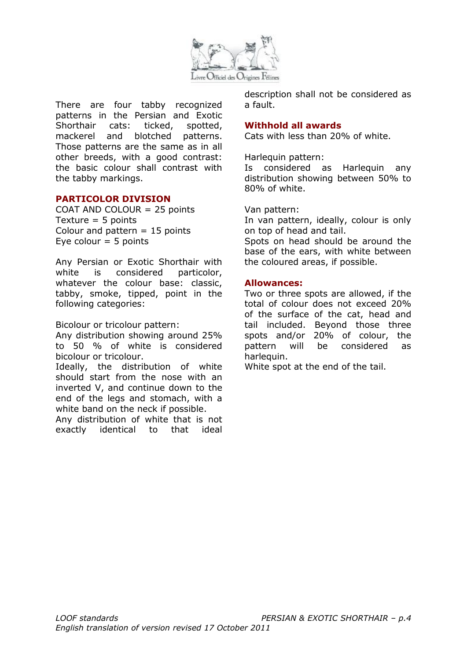

There are four tabby recognized patterns in the Persian and Exotic Shorthair cats: ticked, spotted, mackerel and blotched patterns. Those patterns are the same as in all other breeds, with a good contrast: the basic colour shall contrast with the tabby markings.

#### **PARTICOLOR DIVISION**

COAT AND COLOUR = 25 points Texture  $=$  5 points Colour and pattern  $= 15$  points Eye colour  $= 5$  points

Any Persian or Exotic Shorthair with white is considered particolor, whatever the colour base: classic, tabby, smoke, tipped, point in the following categories:

Bicolour or tricolour pattern:

Any distribution showing around 25% to 50 % of white is considered bicolour or tricolour.

Ideally, the distribution of white should start from the nose with an inverted V, and continue down to the end of the legs and stomach, with a white band on the neck if possible.

Any distribution of white that is not exactly identical to that ideal description shall not be considered as a fault.

#### **Withhold all awards**

Cats with less than 20% of white.

Harlequin pattern:

Is considered as Harlequin any distribution showing between 50% to 80% of white.

Van pattern:

In van pattern, ideally, colour is only on top of head and tail.

Spots on head should be around the base of the ears, with white between the coloured areas, if possible.

#### **Allowances:**

Two or three spots are allowed, if the total of colour does not exceed 20% of the surface of the cat, head and tail included. Beyond those three spots and/or 20% of colour, the pattern will be considered as harlequin.

White spot at the end of the tail.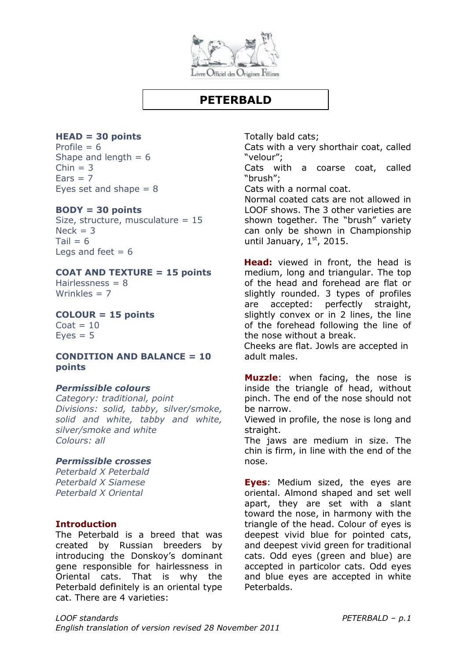

## **PETERBALD**

#### **HEAD = 30 points** Profile  $= 6$

Shape and length  $= 6$  $Chin = 3$  $Fars = 7$ Eyes set and shape  $= 8$ 

#### **BODY = 30 points**

Size, structure, musculature = 15  $Nerk = 3$  $Tail = 6$ Legs and feet  $= 6$ 

#### **COAT AND TEXTURE = 15 points**

Hairlessness  $= 8$ Wrinkles  $= 7$ 

**COLOUR = 15 points**  $Coat = 10$ 

 $Eves = 5$ 

#### **CONDITION AND BALANCE = 10 points**

#### *Permissible colours*

*Category: traditional, point Divisions: solid, tabby, silver/smoke, solid and white, tabby and white, silver/smoke and white Colours: all*

#### *Permissible crosses*

*Peterbald X Peterbald Peterbald X Siamese Peterbald X Oriental*

#### **Introduction**

The Peterbald is a breed that was created by Russian breeders by introducing the Donskoy's dominant gene responsible for hairlessness in Oriental cats. That is why the Peterbald definitely is an oriental type cat. There are 4 varieties:

Totally bald cats;

Cats with a very shorthair coat, called "velour";

Cats with a coarse coat, called "brush";

Cats with a normal coat.

Normal coated cats are not allowed in LOOF shows. The 3 other varieties are shown together. The "brush" variety can only be shown in Championship until January,  $1<sup>st</sup>$ , 2015.

**Head:** viewed in front, the head is medium, long and triangular. The top of the head and forehead are flat or slightly rounded. 3 types of profiles are accepted: perfectly straight, slightly convex or in 2 lines, the line of the forehead following the line of the nose without a break.

Cheeks are flat. Jowls are accepted in adult males.

**Muzzle**: when facing, the nose is inside the triangle of head, without pinch. The end of the nose should not be narrow.

Viewed in profile, the nose is long and straight.

The jaws are medium in size. The chin is firm, in line with the end of the nose.

**Eyes**: Medium sized, the eyes are oriental. Almond shaped and set well apart, they are set with a slant toward the nose, in harmony with the triangle of the head. Colour of eyes is deepest vivid blue for pointed cats, and deepest vivid green for traditional cats. Odd eyes (green and blue) are accepted in particolor cats. Odd eyes and blue eyes are accepted in white Peterbalds.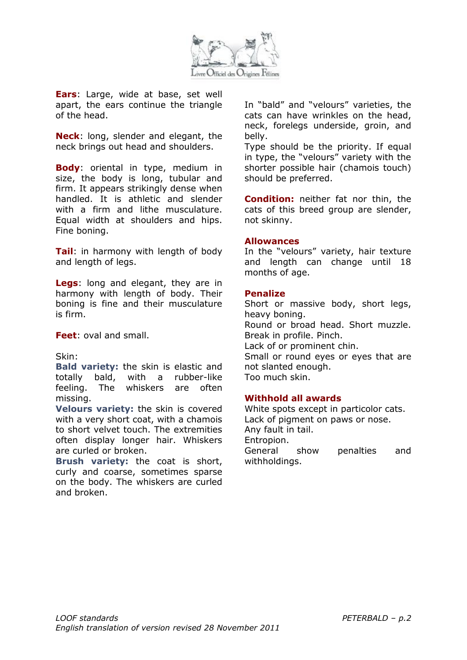

**Ears**: Large, wide at base, set well apart, the ears continue the triangle of the head.

**Neck**: long, slender and elegant, the neck brings out head and shoulders.

**Body**: oriental in type, medium in size, the body is long, tubular and firm. It appears strikingly dense when handled. It is athletic and slender with a firm and lithe musculature. Equal width at shoulders and hips. Fine boning.

**Tail**: in harmony with length of body and length of legs.

**Legs**: long and elegant, they are in harmony with length of body. Their boning is fine and their musculature is firm.

**Feet**: oval and small.

#### Skin:

**Bald variety:** the skin is elastic and totally bald, with a rubber-like feeling. The whiskers are often missing.

**Velours variety:** the skin is covered with a very short coat, with a chamois to short velvet touch. The extremities often display longer hair. Whiskers are curled or broken.

**Brush variety:** the coat is short, curly and coarse, sometimes sparse on the body. The whiskers are curled and broken.

In "bald" and "velours" varieties, the cats can have wrinkles on the head, neck, forelegs underside, groin, and belly.

Type should be the priority. If equal in type, the "velours" variety with the shorter possible hair (chamois touch) should be preferred.

**Condition:** neither fat nor thin, the cats of this breed group are slender, not skinny.

#### **Allowances**

In the "velours" variety, hair texture and length can change until 18 months of age.

#### **Penalize**

Short or massive body, short legs, heavy boning. Round or broad head. Short muzzle. Break in profile. Pinch. Lack of or prominent chin. Small or round eyes or eyes that are not slanted enough. Too much skin.

#### **Withhold all awards**

White spots except in particolor cats. Lack of pigment on paws or nose. Any fault in tail. Entropion. General show penalties and withholdings.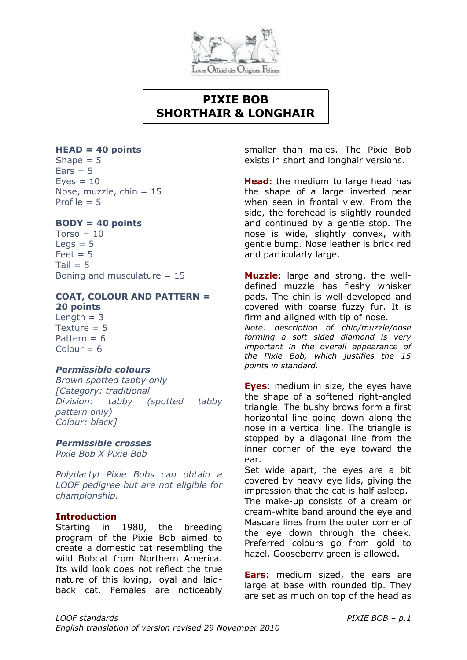

# **PIXIE BOB SHORTHAIR & LONGHAIR**

#### **HEAD = 40 points**

Shape  $= 5$  $Ears = 5$  $Eves = 10$ Nose, muzzle, chin  $= 15$ Profile  $= 5$ 

#### **BODY = 40 points**

 $Torso = 10$  $Leas = 5$  $Feet = 5$  $Tail = 5$ Boning and musculature = 15

#### **COAT, COLOUR AND PATTERN = 20 points**

Length  $= 3$ Texture  $= 5$ Pattern  $= 6$  $Colour = 6$ 

## *Permissible colours*

*Brown spotted tabby only [Category: traditional Division: tabby (spotted tabby pattern only) Colour: black]*

#### *Permissible crosses*

*Pixie Bob X Pixie Bob*

*Polydactyl Pixie Bobs can obtain a LOOF pedigree but are not eligible for championship.* 

#### **Introduction**

Starting in 1980, the breeding program of the Pixie Bob aimed to create a domestic cat resembling the wild Bobcat from Northern America. Its wild look does not reflect the true nature of this loving, loyal and laidback cat. Females are noticeably smaller than males. The Pixie Bob exists in short and longhair versions.

**Head:** the medium to large head has the shape of a large inverted pear when seen in frontal view. From the side, the forehead is slightly rounded and continued by a gentle stop. The nose is wide, slightly convex, with gentle bump. Nose leather is brick red and particularly large.

**Muzzle**: large and strong, the welldefined muzzle has fleshy whisker pads. The chin is well-developed and covered with coarse fuzzy fur. It is firm and aligned with tip of nose.

*Note: description of chin/muzzle/nose forming a soft sided diamond is very important in the overall appearance of the Pixie Bob, which justifies the 15 points in standard.*

**Eyes**: medium in size, the eyes have the shape of a softened right-angled triangle. The bushy brows form a first horizontal line going down along the nose in a vertical line. The triangle is stopped by a diagonal line from the inner corner of the eye toward the ear.

Set wide apart, the eyes are a bit covered by heavy eye lids, giving the impression that the cat is half asleep.

The make-up consists of a cream or cream-white band around the eye and Mascara lines from the outer corner of the eye down through the cheek. Preferred colours go from gold to hazel. Gooseberry green is allowed.

**Ears**: medium sized, the ears are large at base with rounded tip. They are set as much on top of the head as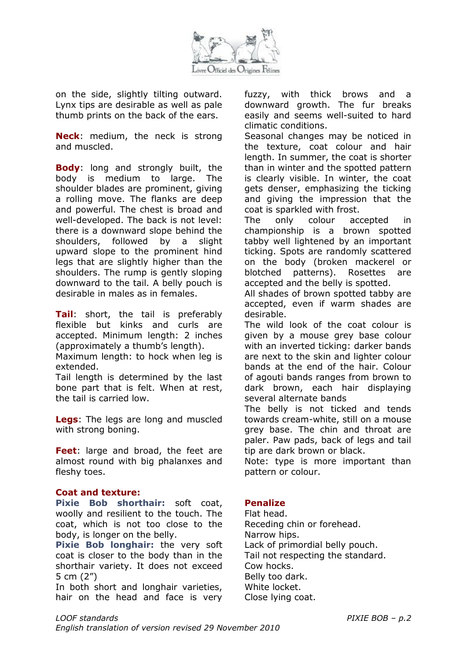

on the side, slightly tilting outward. Lynx tips are desirable as well as pale thumb prints on the back of the ears.

**Neck**: medium, the neck is strong and muscled.

**Body**: long and strongly built, the body is medium to large. The shoulder blades are prominent, giving a rolling move. The flanks are deep and powerful. The chest is broad and well-developed. The back is not level: there is a downward slope behind the shoulders, followed by a slight upward slope to the prominent hind legs that are slightly higher than the shoulders. The rump is gently sloping downward to the tail. A belly pouch is desirable in males as in females.

**Tail**: short, the tail is preferably flexible but kinks and curls are accepted. Minimum length: 2 inches (approximately a thumb's length).

Maximum length: to hock when leg is extended.

Tail length is determined by the last bone part that is felt. When at rest, the tail is carried low.

**Legs**: The legs are long and muscled with strong boning.

**Feet**: large and broad, the feet are almost round with big phalanxes and fleshy toes.

#### **Coat and texture:**

**Pixie Bob shorthair:** soft coat, woolly and resilient to the touch. The coat, which is not too close to the body, is longer on the belly.

**Pixie Bob longhair:** the very soft coat is closer to the body than in the shorthair variety. It does not exceed 5 cm (2")

In both short and longhair varieties, hair on the head and face is very fuzzy, with thick brows and a downward growth. The fur breaks easily and seems well-suited to hard climatic conditions.

Seasonal changes may be noticed in the texture, coat colour and hair length. In summer, the coat is shorter than in winter and the spotted pattern is clearly visible. In winter, the coat gets denser, emphasizing the ticking and giving the impression that the coat is sparkled with frost.

The only colour accepted in championship is a brown spotted tabby well lightened by an important ticking. Spots are randomly scattered on the body (broken mackerel or blotched patterns). Rosettes are accepted and the belly is spotted.

All shades of brown spotted tabby are accepted, even if warm shades are desirable.

The wild look of the coat colour is given by a mouse grey base colour with an inverted ticking: darker bands are next to the skin and lighter colour bands at the end of the hair. Colour of agouti bands ranges from brown to dark brown, each hair displaying several alternate bands

The belly is not ticked and tends towards cream-white, still on a mouse grey base. The chin and throat are paler. Paw pads, back of legs and tail tip are dark brown or black.

Note: type is more important than pattern or colour.

## **Penalize**

Flat head. Receding chin or forehead. Narrow hips. Lack of primordial belly pouch. Tail not respecting the standard. Cow hocks. Belly too dark. White locket. Close lying coat.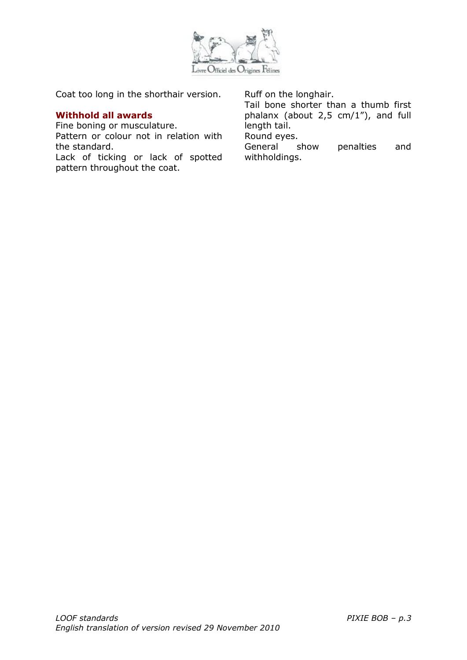

Coat too long in the shorthair version.

### **Withhold all awards**

Fine boning or musculature.

Pattern or colour not in relation with the standard.

Lack of ticking or lack of spotted pattern throughout the coat.

Ruff on the longhair.

Tail bone shorter than a thumb first phalanx (about 2,5 cm/1"), and full length tail.

Round eyes.

General show penalties and withholdings.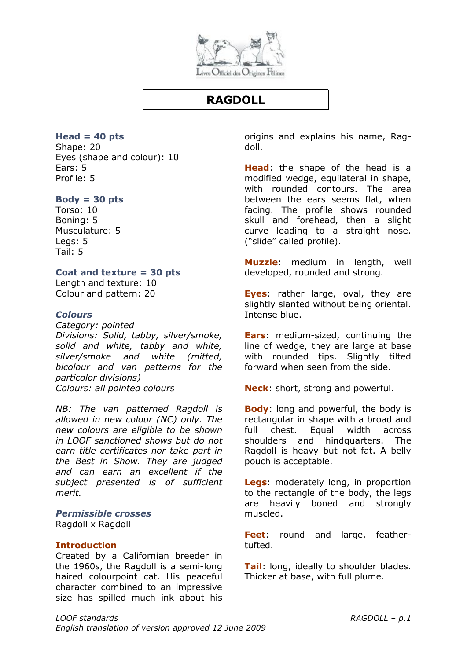

# **RAGDOLL**

**Head = 40 pts**

Shape: 20 Eyes (shape and colour): 10 Ears: 5 Profile: 5

### **Body = 30 pts**

Torso: 10 Boning: 5 Musculature: 5 Legs: 5 Tail: 5

### **Coat and texture = 30 pts**

Length and texture: 10 Colour and pattern: 20

### *Colours*

*Category: pointed Divisions: Solid, tabby, silver/smoke, solid and white, tabby and white, silver/smoke and white (mitted, bicolour and van patterns for the particolor divisions) Colours: all pointed colours*

*NB: The van patterned Ragdoll is allowed in new colour (NC) only. The new colours are eligible to be shown in LOOF sanctioned shows but do not earn title certificates nor take part in the Best in Show. They are judged and can earn an excellent if the subject presented is of sufficient merit.*

*Permissible crosses* Ragdoll x Ragdoll

### **Introduction**

Created by a Californian breeder in the 1960s, the Ragdoll is a semi-long haired colourpoint cat. His peaceful character combined to an impressive size has spilled much ink about his

origins and explains his name, Ragdoll.

**Head**: the shape of the head is a modified wedge, equilateral in shape, with rounded contours. The area between the ears seems flat, when facing. The profile shows rounded skull and forehead, then a slight curve leading to a straight nose. ("slide" called profile).

**Muzzle**: medium in length, well developed, rounded and strong.

**Eyes**: rather large, oval, they are slightly slanted without being oriental. Intense blue.

**Ears**: medium-sized, continuing the line of wedge, they are large at base with rounded tips. Slightly tilted forward when seen from the side.

**Neck**: short, strong and powerful.

**Body**: long and powerful, the body is rectangular in shape with a broad and full chest. Equal width across shoulders and hindquarters. The Ragdoll is heavy but not fat. A belly pouch is acceptable.

**Legs**: moderately long, in proportion to the rectangle of the body, the legs are heavily boned and strongly muscled.

**Feet**: round and large, feathertufted.

**Tail**: long, ideally to shoulder blades. Thicker at base, with full plume.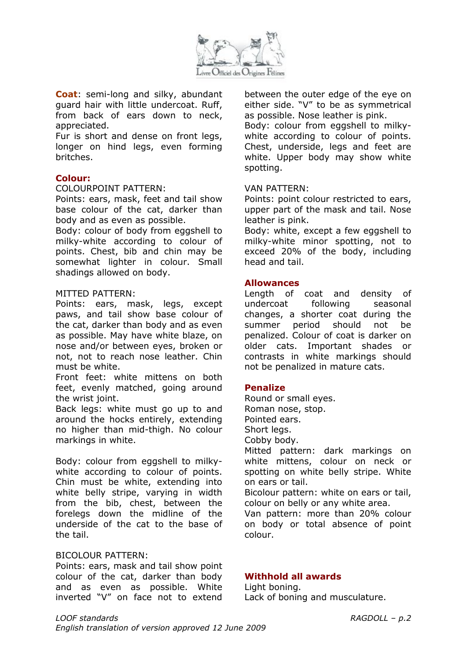

**Coat**: semi-long and silky, abundant guard hair with little undercoat. Ruff, from back of ears down to neck, appreciated.

Fur is short and dense on front legs, longer on hind legs, even forming britches.

### **Colour:**

#### COLOURPOINT PATTERN:

Points: ears, mask, feet and tail show base colour of the cat, darker than body and as even as possible.

Body: colour of body from eggshell to milky-white according to colour of points. Chest, bib and chin may be somewhat lighter in colour. Small shadings allowed on body.

#### MITTED PATTERN:

Points: ears, mask, legs, except paws, and tail show base colour of the cat, darker than body and as even as possible. May have white blaze, on nose and/or between eyes, broken or not, not to reach nose leather. Chin must be white.

Front feet: white mittens on both feet, evenly matched, going around the wrist joint.

Back legs: white must go up to and around the hocks entirely, extending no higher than mid-thigh. No colour markings in white.

Body: colour from eggshell to milkywhite according to colour of points. Chin must be white, extending into white belly stripe, varying in width from the bib, chest, between the forelegs down the midline of the underside of the cat to the base of the tail.

#### BICOLOUR PATTERN:

Points: ears, mask and tail show point colour of the cat, darker than body and as even as possible. White inverted "V" on face not to extend between the outer edge of the eye on either side. "V" to be as symmetrical as possible. Nose leather is pink.

Body: colour from eggshell to milkywhite according to colour of points. Chest, underside, legs and feet are white. Upper body may show white spotting.

#### VAN PATTERN:

Points: point colour restricted to ears, upper part of the mask and tail. Nose leather is pink.

Body: white, except a few eggshell to milky-white minor spotting, not to exceed 20% of the body, including head and tail.

#### **Allowances**

Length of coat and density of undercoat following seasonal changes, a shorter coat during the summer period should not be penalized. Colour of coat is darker on older cats. Important shades or contrasts in white markings should not be penalized in mature cats.

### **Penalize**

Round or small eyes. Roman nose, stop. Pointed ears. Short legs. Cobby body. Mitted pattern: dark markings on white mittens, colour on neck or

spotting on white belly stripe. White on ears or tail.

Bicolour pattern: white on ears or tail, colour on belly or any white area.

Van pattern: more than 20% colour on body or total absence of point colour.

### **Withhold all awards**

#### Light boning. Lack of boning and musculature.

*LOOF standards RAGDOLL – p.2 English translation of version approved 12 June 2009*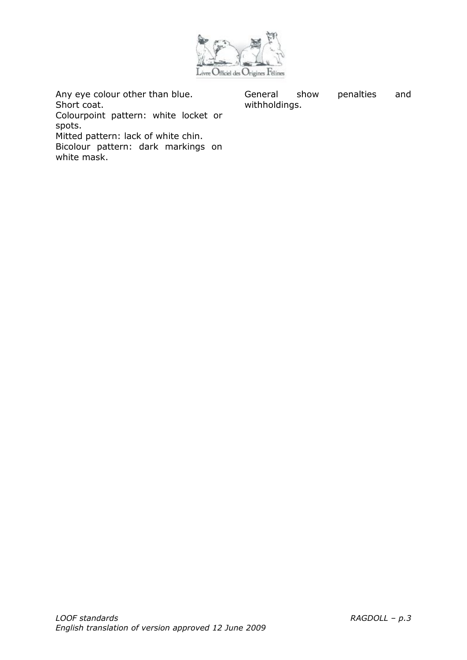

Any eye colour other than blue. Short coat.

General show penalties and withholdings.

Colourpoint pattern: white locket or spots.

Mitted pattern: lack of white chin.

Bicolour pattern: dark markings on white mask.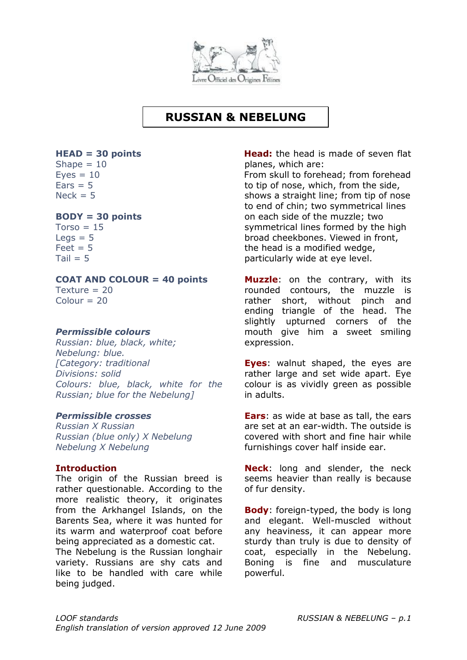

# **RUSSIAN & NEBELUNG**

#### **HEAD = 30 points**

Shape  $= 10$  $Eyes = 10$  $Ears = 5$  $Nack = 5$ 

### **BODY = 30 points**

 $Torso = 15$  $Leas = 5$  $Feet = 5$  $Tail = 5$ 

### **COAT AND COLOUR = 40 points**

Texture  $= 20$  $Colour = 20$ 

### *Permissible colours*

*Russian: blue, black, white; Nebelung: blue. [Category: traditional Divisions: solid Colours: blue, black, white for the Russian; blue for the Nebelung]*

### *Permissible crosses*

*Russian X Russian Russian (blue only) X Nebelung Nebelung X Nebelung*

### **Introduction**

The origin of the Russian breed is rather questionable. According to the more realistic theory, it originates from the Arkhangel Islands, on the Barents Sea, where it was hunted for its warm and waterproof coat before being appreciated as a domestic cat.

The Nebelung is the Russian longhair variety. Russians are shy cats and like to be handled with care while being judged.

**Head:** the head is made of seven flat planes, which are: From skull to forehead; from forehead to tip of nose, which, from the side, shows a straight line; from tip of nose to end of chin; two symmetrical lines on each side of the muzzle; two symmetrical lines formed by the high broad cheekbones. Viewed in front,

the head is a modified wedge, particularly wide at eye level.

**Muzzle**: on the contrary, with its rounded contours, the muzzle is rather short, without pinch and ending triangle of the head. The slightly upturned corners of the mouth give him a sweet smiling expression.

**Eyes**: walnut shaped, the eyes are rather large and set wide apart. Eye colour is as vividly green as possible in adults.

**Ears**: as wide at base as tall, the ears are set at an ear-width. The outside is covered with short and fine hair while furnishings cover half inside ear.

**Neck**: long and slender, the neck seems heavier than really is because of fur density.

**Body**: foreign-typed, the body is long and elegant. Well-muscled without any heaviness, it can appear more sturdy than truly is due to density of coat, especially in the Nebelung. Boning is fine and musculature powerful.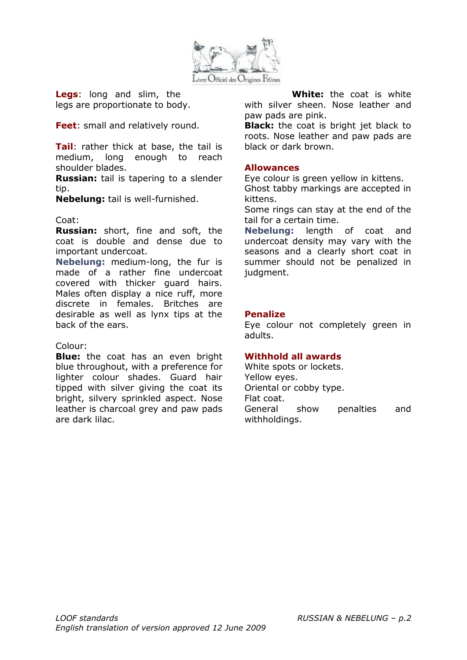

**Legs**: long and slim, the legs are proportionate to body.

**Feet**: small and relatively round.

**Tail**: rather thick at base, the tail is medium, long enough to reach shoulder blades.

**Russian:** tail is tapering to a slender tip.

**Nebelung:** tail is well-furnished.

### Coat:

**Russian:** short, fine and soft, the coat is double and dense due to important undercoat.

**Nebelung:** medium-long, the fur is made of a rather fine undercoat covered with thicker guard hairs. Males often display a nice ruff, more discrete in females. Britches are desirable as well as lynx tips at the back of the ears.

### Colour:

**Blue:** the coat has an even bright blue throughout, with a preference for lighter colour shades. Guard hair tipped with silver giving the coat its bright, silvery sprinkled aspect. Nose leather is charcoal grey and paw pads are dark lilac.

**White:** the coat is white with silver sheen. Nose leather and paw pads are pink.

**Black:** the coat is bright jet black to roots. Nose leather and paw pads are black or dark brown.

### **Allowances**

Eye colour is green yellow in kittens. Ghost tabby markings are accepted in kittens.

Some rings can stay at the end of the tail for a certain time.

**Nebelung:** length of coat and undercoat density may vary with the seasons and a clearly short coat in summer should not be penalized in judament.

### **Penalize**

Eye colour not completely green in adults.

### **Withhold all awards**

White spots or lockets. Yellow eyes. Oriental or cobby type. Flat coat. General show penalties and withholdings.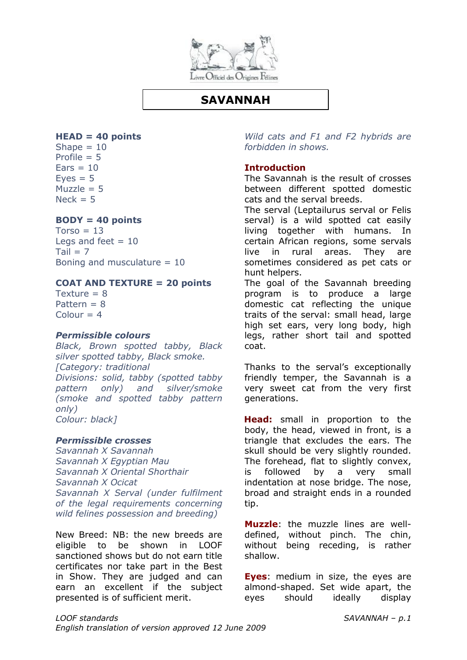

## **SAVANNAH**

### **HEAD = 40 points**

Shape  $= 10$ Profile  $= 5$  $Ears = 10$  $Eves = 5$  $Muzzle = 5$  $Nerk = 5$ 

### **BODY = 40 points**

 $Torso = 13$ Legs and feet  $= 10$  $Tail = 7$ Boning and musculature  $= 10$ 

#### **COAT AND TEXTURE = 20 points**

Texture  $= 8$ Pattern  $= 8$  $Colour = 4$ 

### *Permissible colours*

*Black, Brown spotted tabby, Black silver spotted tabby, Black smoke. [Category: traditional Divisions: solid, tabby (spotted tabby pattern only) and silver/smoke (smoke and spotted tabby pattern only) Colour: black]*

### *Permissible crosses*

*Savannah X Savannah Savannah X Egyptian Mau Savannah X Oriental Shorthair Savannah X Ocicat Savannah X Serval (under fulfilment of the legal requirements concerning wild felines possession and breeding)*

New Breed: NB: the new breeds are eligible to be shown in LOOF sanctioned shows but do not earn title certificates nor take part in the Best in Show. They are judged and can earn an excellent if the subject presented is of sufficient merit.

*Wild cats and F1 and F2 hybrids are forbidden in shows.*

### **Introduction**

The Savannah is the result of crosses between different spotted domestic cats and the serval breeds.

The serval (Leptailurus serval or Felis serval) is a wild spotted cat easily living together with humans. In certain African regions, some servals live in rural areas. They are sometimes considered as pet cats or hunt helpers.

The goal of the Savannah breeding program is to produce a large domestic cat reflecting the unique traits of the serval: small head, large high set ears, very long body, high legs, rather short tail and spotted coat.

Thanks to the serval's exceptionally friendly temper, the Savannah is a very sweet cat from the very first generations.

**Head:** small in proportion to the body, the head, viewed in front, is a triangle that excludes the ears. The skull should be very slightly rounded. The forehead, flat to slightly convex, is followed by a very small indentation at nose bridge. The nose, broad and straight ends in a rounded tip.

**Muzzle**: the muzzle lines are welldefined, without pinch. The chin, without being receding, is rather shallow.

**Eyes**: medium in size, the eyes are almond-shaped. Set wide apart, the eyes should ideally display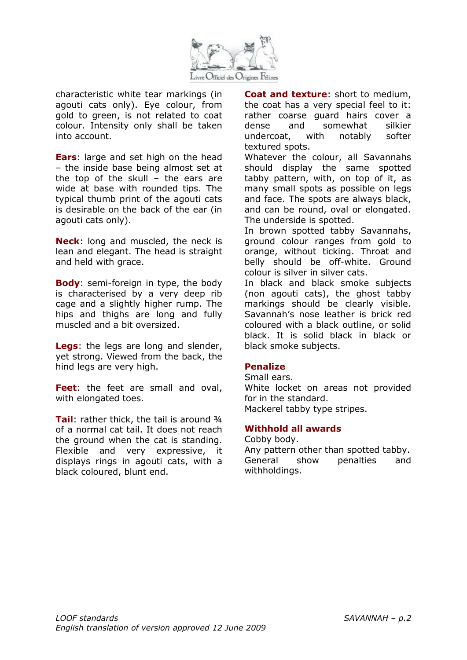

characteristic white tear markings (in agouti cats only). Eye colour, from gold to green, is not related to coat colour. Intensity only shall be taken into account.

**Ears**: large and set high on the head – the inside base being almost set at the top of the skull – the ears are wide at base with rounded tips. The typical thumb print of the agouti cats is desirable on the back of the ear (in agouti cats only).

**Neck**: long and muscled, the neck is lean and elegant. The head is straight and held with grace.

**Body**: semi-foreign in type, the body is characterised by a very deep rib cage and a slightly higher rump. The hips and thighs are long and fully muscled and a bit oversized.

**Legs**: the legs are long and slender, yet strong. Viewed from the back, the hind legs are very high.

**Feet**: the feet are small and oval, with elongated toes.

**Tail:** rather thick, the tail is around 3/4 of a normal cat tail. It does not reach the ground when the cat is standing. Flexible and very expressive, it displays rings in agouti cats, with a black coloured, blunt end.

**Coat and texture**: short to medium, the coat has a very special feel to it: rather coarse guard hairs cover a dense and somewhat silkier undercoat, with notably softer textured spots.

Whatever the colour, all Savannahs should display the same spotted tabby pattern, with, on top of it, as many small spots as possible on legs and face. The spots are always black, and can be round, oval or elongated. The underside is spotted.

In brown spotted tabby Savannahs, ground colour ranges from gold to orange, without ticking. Throat and belly should be off-white. Ground colour is silver in silver cats.

In black and black smoke subjects (non agouti cats), the ghost tabby markings should be clearly visible. Savannah's nose leather is brick red coloured with a black outline, or solid black. It is solid black in black or black smoke subjects.

### **Penalize**

Small ears.

White locket on areas not provided for in the standard. Mackerel tabby type stripes.

### **Withhold all awards**

Cobby body.

Any pattern other than spotted tabby. General show penalties and withholdings.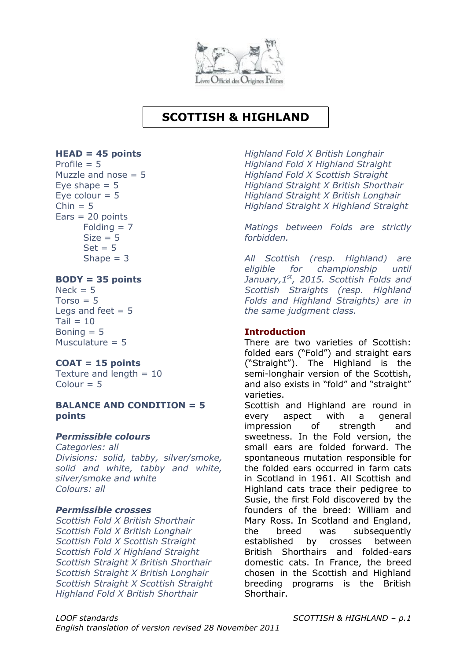

# **SCOTTISH & HIGHLAND**

### **HEAD = 45 points**

Profile  $= 5$ Muzzle and nose  $= 5$ Eve shape  $= 5$ Eye colour  $= 5$  $Chin = 5$  $Ears = 20$  points  $Folding = 7$  $Size = 5$  $Set = 5$ Shape  $= 3$ 

### **BODY = 35 points**

 $Neck = 5$  $Torso = 5$ Legs and feet  $= 5$  $Tail = 10$ Boning  $= 5$ Musculature  $= 5$ 

## **COAT = 15 points**

Texture and length  $= 10$  $Colour = 5$ 

### **BALANCE AND CONDITION = 5 points**

### *Permissible colours*

*Categories: all Divisions: solid, tabby, silver/smoke, solid and white, tabby and white, silver/smoke and white Colours: all*

### *Permissible crosses*

*Scottish Fold X British Shorthair Scottish Fold X British Longhair Scottish Fold X Scottish Straight Scottish Fold X Highland Straight Scottish Straight X British Shorthair Scottish Straight X British Longhair Scottish Straight X Scottish Straight Highland Fold X British Shorthair*

*Highland Fold X British Longhair Highland Fold X Highland Straight Highland Fold X Scottish Straight Highland Straight X British Shorthair Highland Straight X British Longhair Highland Straight X Highland Straight*

*Matings between Folds are strictly forbidden.*

*All Scottish (resp. Highland) are eligible for championship until January,1st, 2015. Scottish Folds and Scottish Straights (resp. Highland Folds and Highland Straights) are in the same judgment class.*

### **Introduction**

There are two varieties of Scottish: folded ears ("Fold") and straight ears ("Straight"). The Highland is the semi-longhair version of the Scottish, and also exists in "fold" and "straight" varieties.

Scottish and Highland are round in every aspect with a general impression of strength and sweetness. In the Fold version, the small ears are folded forward. The spontaneous mutation responsible for the folded ears occurred in farm cats in Scotland in 1961. All Scottish and Highland cats trace their pedigree to Susie, the first Fold discovered by the founders of the breed: William and Mary Ross. In Scotland and England, the breed was subsequently established by crosses between British Shorthairs and folded-ears domestic cats. In France, the breed chosen in the Scottish and Highland breeding programs is the British Shorthair.

*LOOF standards SCOTTISH & HIGHLAND – p.1 English translation of version revised 28 November 2011*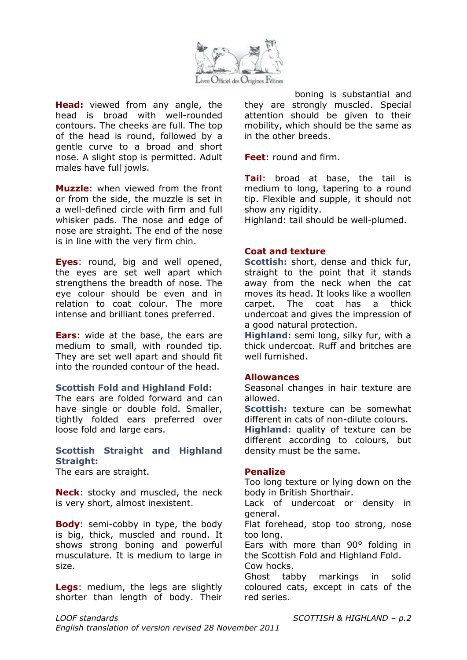

**Head:** viewed from any angle, the head is broad with well-rounded contours. The cheeks are full. The top of the head is round, followed by a gentle curve to a broad and short nose. A slight stop is permitted. Adult males have full jowls.

**Muzzle**: when viewed from the front or from the side, the muzzle is set in a well-defined circle with firm and full whisker pads. The nose and edge of nose are straight. The end of the nose is in line with the very firm chin.

**Eyes**: round, big and well opened, the eyes are set well apart which strengthens the breadth of nose. The eye colour should be even and in relation to coat colour. The more intense and brilliant tones preferred.

**Ears**: wide at the base, the ears are medium to small, with rounded tip. They are set well apart and should fit into the rounded contour of the head.

### **Scottish Fold and Highland Fold:**

The ears are folded forward and can have single or double fold. Smaller, tightly folded ears preferred over loose fold and large ears.

### **Scottish Straight and Highland Straight:**

The ears are straight.

**Neck**: stocky and muscled, the neck is very short, almost inexistent.

**Body**: semi-cobby in type, the body is big, thick, muscled and round. It shows strong boning and powerful musculature. It is medium to large in size.

**Legs**: medium, the legs are slightly shorter than length of body. Their

boning is substantial and they are strongly muscled. Special attention should be given to their mobility, which should be the same as in the other breeds.

**Feet**: round and firm.

**Tail**: broad at base, the tail is medium to long, tapering to a round tip. Flexible and supple, it should not show any rigidity.

Highland: tail should be well-plumed.

### **Coat and texture**

**Scottish:** short, dense and thick fur, straight to the point that it stands away from the neck when the cat moves its head. It looks like a woollen carpet. The coat has a thick undercoat and gives the impression of a good natural protection.

**Highland:** semi long, silky fur, with a thick undercoat. Ruff and britches are well furnished.

#### **Allowances**

Seasonal changes in hair texture are allowed.

**Scottish:** texture can be somewhat different in cats of non-dilute colours.

**Highland:** quality of texture can be different according to colours, but density must be the same.

### **Penalize**

Too long texture or lying down on the body in British Shorthair.

Lack of undercoat or density in general.

Flat forehead, stop too strong, nose too long.

Ears with more than 90° folding in the Scottish Fold and Highland Fold.

Cow hocks.

Ghost tabby markings in solid coloured cats, except in cats of the red series.

*English translation of version revised 28 November 2011*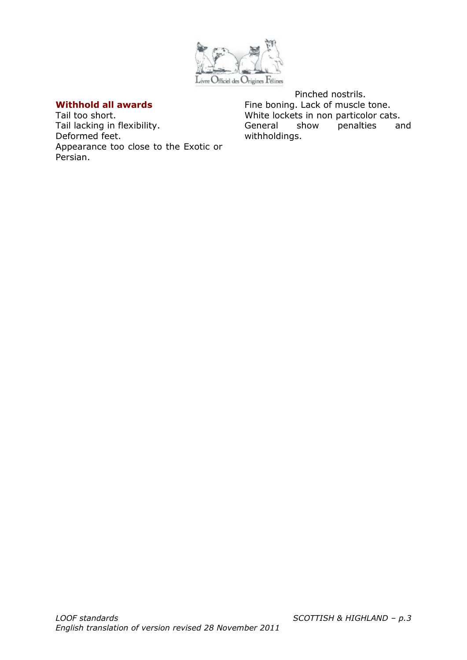

### **Withhold all awards**

Tail too short. Tail lacking in flexibility. Deformed feet. Appearance too close to the Exotic or Persian.

Pinched nostrils. Fine boning. Lack of muscle tone. White lockets in non particolor cats. General show penalties and withholdings.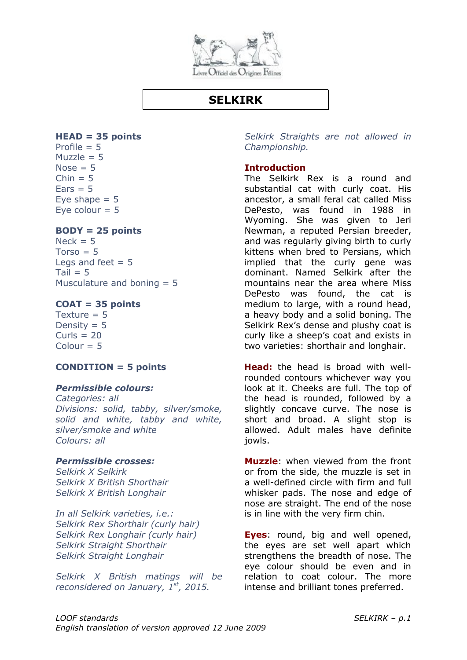

# **SELKIRK**

### **HEAD = 35 points**

Profile  $= 5$ Muzzle  $= 5$ Nose  $= 5$  $Chin = 5$  $Ears = 5$ Eye shape  $= 5$ Eye colour  $= 5$ 

### **BODY = 25 points**

 $Neck = 5$  $Torso = 5$ Legs and feet  $= 5$  $Tail = 5$ Musculature and boning = 5

### **COAT = 35 points**

Texture = 5 Density  $= 5$  $Curls = 20$  $Colour = 5$ 

### **CONDITION = 5 points**

### *Permissible colours:*

*Categories: all Divisions: solid, tabby, silver/smoke, solid and white, tabby and white, silver/smoke and white Colours: all*

### *Permissible crosses:*

*Selkirk X Selkirk Selkirk X British Shorthair Selkirk X British Longhair*

*In all Selkirk varieties, i.e.: Selkirk Rex Shorthair (curly hair) Selkirk Rex Longhair (curly hair) Selkirk Straight Shorthair Selkirk Straight Longhair*

*Selkirk X British matings will be reconsidered on January, 1st, 2015.*

*Selkirk Straights are not allowed in Championship.*

### **Introduction**

The Selkirk Rex is a round and substantial cat with curly coat. His ancestor, a small feral cat called Miss DePesto, was found in 1988 in Wyoming. She was given to Jeri Newman, a reputed Persian breeder, and was regularly giving birth to curly kittens when bred to Persians, which implied that the curly gene was dominant. Named Selkirk after the mountains near the area where Miss DePesto was found, the cat is medium to large, with a round head, a heavy body and a solid boning. The Selkirk Rex's dense and plushy coat is curly like a sheep's coat and exists in two varieties: shorthair and longhair.

**Head:** the head is broad with wellrounded contours whichever way you look at it. Cheeks are full. The top of the head is rounded, followed by a slightly concave curve. The nose is short and broad. A slight stop is allowed. Adult males have definite jowls.

**Muzzle**: when viewed from the front or from the side, the muzzle is set in a well-defined circle with firm and full whisker pads. The nose and edge of nose are straight. The end of the nose is in line with the very firm chin.

**Eyes**: round, big and well opened, the eyes are set well apart which strengthens the breadth of nose. The eye colour should be even and in relation to coat colour. The more intense and brilliant tones preferred.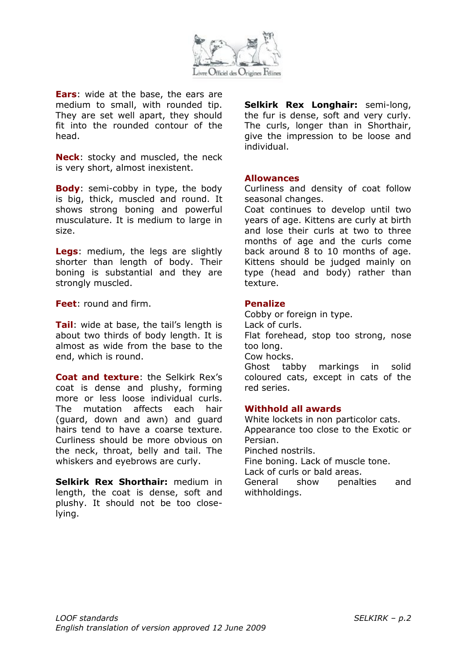

**Ears**: wide at the base, the ears are medium to small, with rounded tip. They are set well apart, they should fit into the rounded contour of the head.

**Neck**: stocky and muscled, the neck is very short, almost inexistent.

**Body**: semi-cobby in type, the body is big, thick, muscled and round. It shows strong boning and powerful musculature. It is medium to large in size.

**Legs**: medium, the legs are slightly shorter than length of body. Their boning is substantial and they are strongly muscled.

**Feet**: round and firm.

**Tail:** wide at base, the tail's length is about two thirds of body length. It is almost as wide from the base to the end, which is round.

**Coat and texture**: the Selkirk Rex's coat is dense and plushy, forming more or less loose individual curls. The mutation affects each hair (guard, down and awn) and guard hairs tend to have a coarse texture. Curliness should be more obvious on the neck, throat, belly and tail. The whiskers and eyebrows are curly.

**Selkirk Rex Shorthair:** medium in length, the coat is dense, soft and plushy. It should not be too closelying.

**Selkirk Rex Longhair:** semi-long, the fur is dense, soft and very curly. The curls, longer than in Shorthair, give the impression to be loose and individual.

### **Allowances**

Curliness and density of coat follow seasonal changes.

Coat continues to develop until two years of age. Kittens are curly at birth and lose their curls at two to three months of age and the curls come back around 8 to 10 months of age. Kittens should be judged mainly on type (head and body) rather than texture.

### **Penalize**

Cobby or foreign in type. Lack of curls. Flat forehead, stop too strong, nose too long. Cow hocks. Ghost tabby markings in solid coloured cats, except in cats of the red series.

### **Withhold all awards**

White lockets in non particolor cats. Appearance too close to the Exotic or Persian. Pinched nostrils. Fine boning. Lack of muscle tone. Lack of curls or bald areas. General show penalties and withholdings.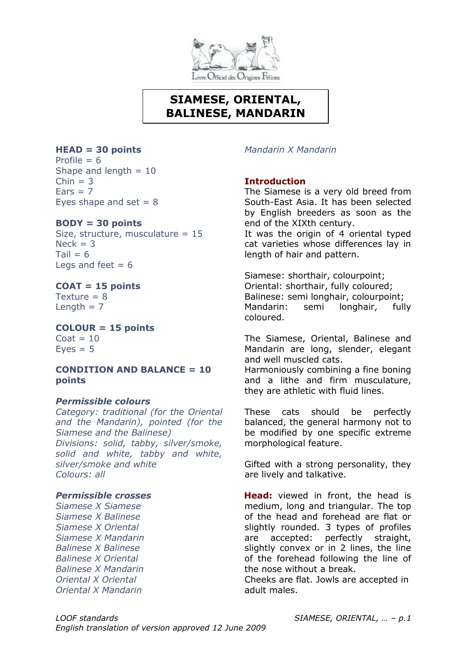

# **SIAMESE, ORIENTAL, BALINESE, MANDARIN**

### **HEAD = 30 points**

Profile  $= 6$ Shape and length  $= 10$  $Chin = 3$  $Ears = 7$ Eyes shape and set  $= 8$ 

### **BODY = 30 points**

Size, structure, musculature = 15  $Neck = 3$ Tail  $= 6$ Legs and feet  $= 6$ 

### **COAT = 15 points**

Texture  $= 8$ Length  $= 7$ 

**COLOUR = 15 points**

 $Coat = 10$  $Eves = 5$ 

### **CONDITION AND BALANCE = 10 points**

### *Permissible colours*

*Category: traditional (for the Oriental and the Mandarin), pointed (for the Siamese and the Balinese) Divisions: solid, tabby, silver/smoke, solid and white, tabby and white, silver/smoke and white Colours: all*

### *Permissible crosses*

*Siamese X Siamese Siamese X Balinese Siamese X Oriental Siamese X Mandarin Balinese X Balinese Balinese X Oriental Balinese X Mandarin Oriental X Oriental Oriental X Mandarin*

*Mandarin X Mandarin*

### **Introduction**

The Siamese is a very old breed from South-East Asia. It has been selected by English breeders as soon as the end of the XIXth century. It was the origin of 4 oriental typed

cat varieties whose differences lay in length of hair and pattern.

Siamese: shorthair, colourpoint; Oriental: shorthair, fully coloured; Balinese: semi longhair, colourpoint; Mandarin: semi longhair, fully coloured.

The Siamese, Oriental, Balinese and Mandarin are long, slender, elegant and well muscled cats.

Harmoniously combining a fine boning and a lithe and firm musculature, they are athletic with fluid lines.

These cats should be perfectly balanced, the general harmony not to be modified by one specific extreme morphological feature.

Gifted with a strong personality, they are lively and talkative.

**Head:** viewed in front, the head is medium, long and triangular. The top of the head and forehead are flat or slightly rounded. 3 types of profiles are accepted: perfectly straight, slightly convex or in 2 lines, the line of the forehead following the line of the nose without a break.

Cheeks are flat. Jowls are accepted in adult males.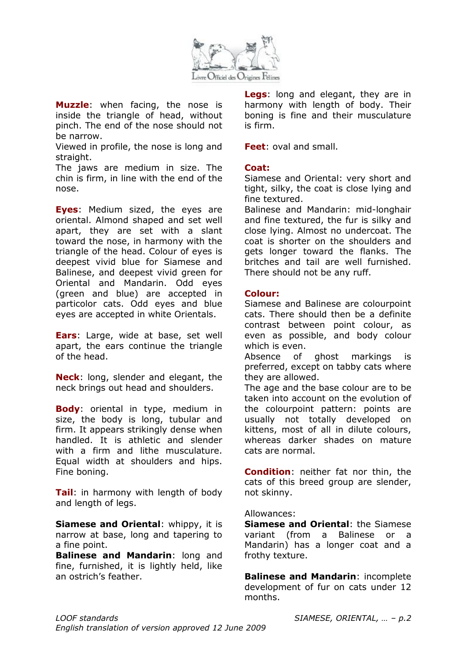

**Muzzle**: when facing, the nose is inside the triangle of head, without pinch. The end of the nose should not be narrow.

Viewed in profile, the nose is long and straight.

The jaws are medium in size. The chin is firm, in line with the end of the nose.

**Eyes**: Medium sized, the eyes are oriental. Almond shaped and set well apart, they are set with a slant toward the nose, in harmony with the triangle of the head. Colour of eyes is deepest vivid blue for Siamese and Balinese, and deepest vivid green for Oriental and Mandarin. Odd eyes (green and blue) are accepted in particolor cats. Odd eyes and blue eyes are accepted in white Orientals.

**Ears**: Large, wide at base, set well apart, the ears continue the triangle of the head.

**Neck**: long, slender and elegant, the neck brings out head and shoulders.

**Body**: oriental in type, medium in size, the body is long, tubular and firm. It appears strikingly dense when handled. It is athletic and slender with a firm and lithe musculature. Equal width at shoulders and hips. Fine boning.

**Tail**: in harmony with length of body and length of legs.

**Siamese and Oriental**: whippy, it is narrow at base, long and tapering to a fine point.

**Balinese and Mandarin**: long and fine, furnished, it is lightly held, like an ostrich's feather.

**Legs**: long and elegant, they are in harmony with length of body. Their boning is fine and their musculature is firm.

**Feet**: oval and small.

### **Coat:**

Siamese and Oriental: very short and tight, silky, the coat is close lying and fine textured.

Balinese and Mandarin: mid-longhair and fine textured, the fur is silky and close lying. Almost no undercoat. The coat is shorter on the shoulders and gets longer toward the flanks. The britches and tail are well furnished. There should not be any ruff.

### **Colour:**

Siamese and Balinese are colourpoint cats. There should then be a definite contrast between point colour, as even as possible, and body colour which is even.

Absence of ghost markings is preferred, except on tabby cats where they are allowed.

The age and the base colour are to be taken into account on the evolution of the colourpoint pattern: points are usually not totally developed on kittens, most of all in dilute colours, whereas darker shades on mature cats are normal.

**Condition**: neither fat nor thin, the cats of this breed group are slender, not skinny.

#### Allowances:

**Siamese and Oriental**: the Siamese variant (from a Balinese or a Mandarin) has a longer coat and a frothy texture.

**Balinese and Mandarin**: incomplete development of fur on cats under 12 months.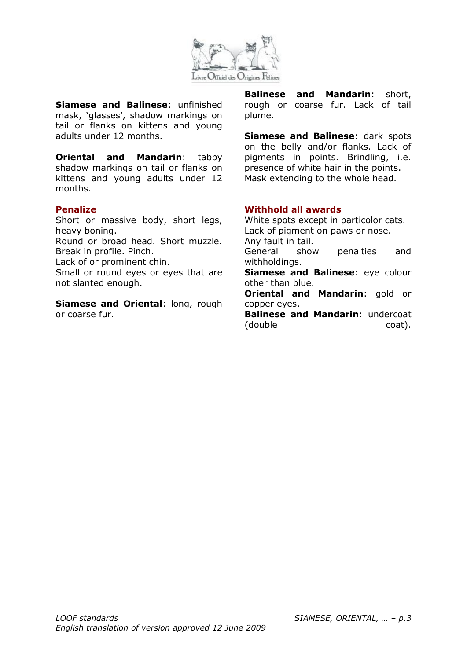

**Siamese and Balinese**: unfinished mask, 'glasses', shadow markings on tail or flanks on kittens and young adults under 12 months.

**Oriental and Mandarin:** tabby shadow markings on tail or flanks on kittens and young adults under 12 months.

#### **Penalize**

Short or massive body, short legs, heavy boning.

Round or broad head. Short muzzle. Break in profile. Pinch.

Lack of or prominent chin.

Small or round eyes or eyes that are not slanted enough.

**Siamese and Oriental**: long, rough or coarse fur.

**Balinese and Mandarin**: short, rough or coarse fur. Lack of tail plume.

**Siamese and Balinese**: dark spots on the belly and/or flanks. Lack of pigments in points. Brindling, i.e. presence of white hair in the points. Mask extending to the whole head.

### **Withhold all awards**

White spots except in particolor cats. Lack of pigment on paws or nose. Any fault in tail. General show penalties and withholdings. **Siamese and Balinese**: eye colour other than blue. **Oriental and Mandarin**: gold or copper eyes. **Balinese and Mandarin**: undercoat (double coat).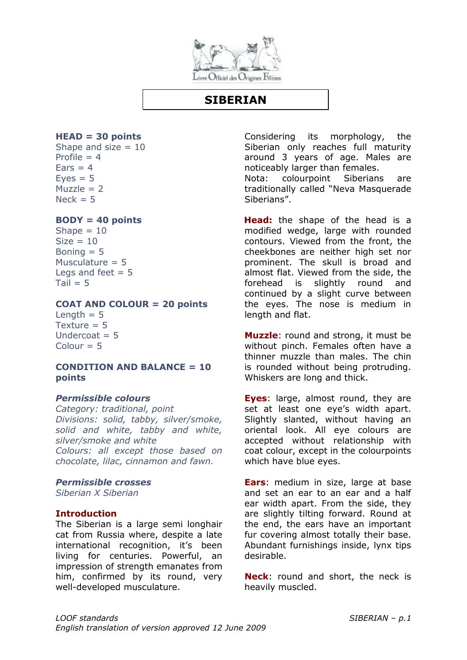

## **SIBERIAN**

#### **HEAD = 30 points**

Shape and size  $= 10$ Profile  $= 4$  $Ears = 4$  $Eves = 5$  $Muzzle = 2$  $Nerk = 5$ 

### **BODY = 40 points**

Shape  $= 10$  $Size = 10$ Boning  $= 5$ Musculature  $= 5$ Legs and feet  $= 5$  $Tail = 5$ 

#### **COAT AND COLOUR = 20 points**

Length  $= 5$ Texture  $= 5$ Undercoat  $= 5$  $Colour = 5$ 

### **CONDITION AND BALANCE = 10 points**

### *Permissible colours*

*Category: traditional, point Divisions: solid, tabby, silver/smoke, solid and white, tabby and white, silver/smoke and white Colours: all except those based on chocolate, lilac, cinnamon and fawn.*

### *Permissible crosses*

*Siberian X Siberian*

### **Introduction**

The Siberian is a large semi longhair cat from Russia where, despite a late international recognition, it's been living for centuries. Powerful, an impression of strength emanates from him, confirmed by its round, very well-developed musculature.

Considering its morphology, the Siberian only reaches full maturity around 3 years of age. Males are noticeably larger than females.

Nota: colourpoint Siberians are traditionally called "Neva Masquerade Siberians".

**Head:** the shape of the head is a modified wedge, large with rounded contours. Viewed from the front, the cheekbones are neither high set nor prominent. The skull is broad and almost flat. Viewed from the side, the forehead is slightly round and continued by a slight curve between the eyes. The nose is medium in length and flat.

**Muzzle**: round and strong, it must be without pinch. Females often have a thinner muzzle than males. The chin is rounded without being protruding. Whiskers are long and thick.

**Eyes**: large, almost round, they are set at least one eye's width apart. Slightly slanted, without having an oriental look. All eye colours are accepted without relationship with coat colour, except in the colourpoints which have blue eyes.

**Ears**: medium in size, large at base and set an ear to an ear and a half ear width apart. From the side, they are slightly tilting forward. Round at the end, the ears have an important fur covering almost totally their base. Abundant furnishings inside, lynx tips desirable.

**Neck**: round and short, the neck is heavily muscled.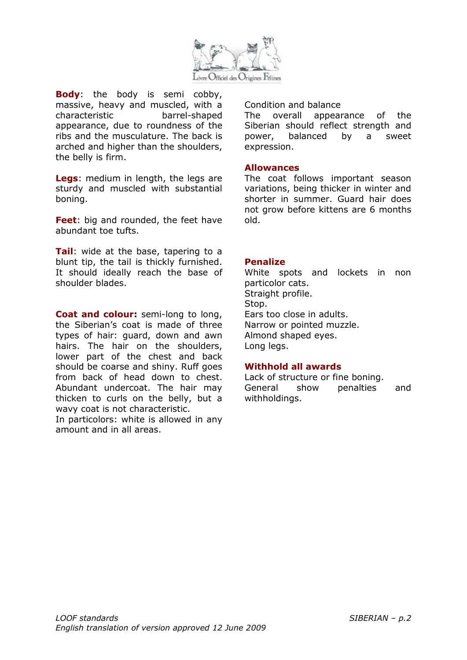

**Body**: the body is semi cobby, massive, heavy and muscled, with a characteristic barrel-shaped appearance, due to roundness of the ribs and the musculature. The back is arched and higher than the shoulders, the belly is firm.

**Legs**: medium in length, the legs are sturdy and muscled with substantial boning.

**Feet**: big and rounded, the feet have abundant toe tufts.

**Tail**: wide at the base, tapering to a blunt tip, the tail is thickly furnished. It should ideally reach the base of shoulder blades.

**Coat and colour:** semi-long to long, the Siberian's coat is made of three types of hair: guard, down and awn hairs. The hair on the shoulders, lower part of the chest and back should be coarse and shiny. Ruff goes from back of head down to chest. Abundant undercoat. The hair may thicken to curls on the belly, but a wavy coat is not characteristic.

In particolors: white is allowed in any amount and in all areas.

Condition and balance

The overall appearance of the Siberian should reflect strength and power, balanced by a sweet expression.

### **Allowances**

The coat follows important season variations, being thicker in winter and shorter in summer. Guard hair does not grow before kittens are 6 months old.

### **Penalize**

White spots and lockets in non particolor cats. Straight profile. Stop. Ears too close in adults. Narrow or pointed muzzle. Almond shaped eyes. Long legs.

### **Withhold all awards**

Lack of structure or fine boning. General show penalties and withholdings.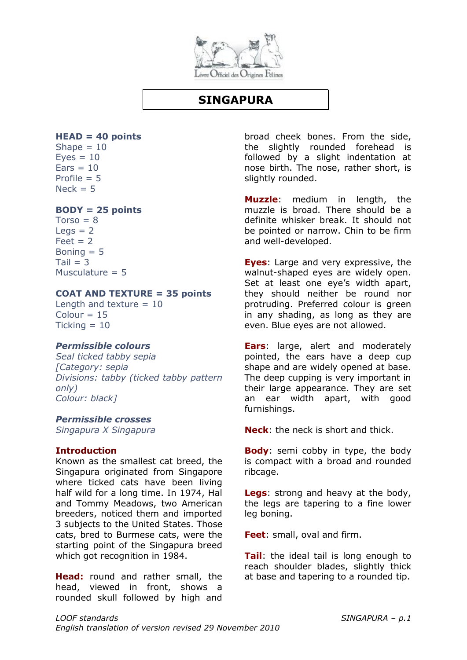

# **SINGAPURA**

### **HEAD = 40 points**

Shape  $= 10$  $Eves = 10$  $Ears = 10$ Profile  $= 5$  $Neck = 5$ 

### **BODY = 25 points**

 $Torso = 8$  $Leas = 2$  $Feet = 2$ Boning  $= 5$  $Tail = 3$ Musculature  $= 5$ 

### **COAT AND TEXTURE = 35 points**

Length and texture  $= 10$  $Colour = 15$  $Tickina = 10$ 

### *Permissible colours*

*Seal ticked tabby sepia [Category: sepia Divisions: tabby (ticked tabby pattern only) Colour: black]*

### *Permissible crosses*

*Singapura X Singapura*

### **Introduction**

Known as the smallest cat breed, the Singapura originated from Singapore where ticked cats have been living half wild for a long time. In 1974, Hal and Tommy Meadows, two American breeders, noticed them and imported 3 subjects to the United States. Those cats, bred to Burmese cats, were the starting point of the Singapura breed which got recognition in 1984.

**Head:** round and rather small, the head, viewed in front, shows a rounded skull followed by high and

broad cheek bones. From the side, the slightly rounded forehead is followed by a slight indentation at nose birth. The nose, rather short, is slightly rounded.

**Muzzle**: medium in length, the muzzle is broad. There should be a definite whisker break. It should not be pointed or narrow. Chin to be firm and well-developed.

**Eyes**: Large and very expressive, the walnut-shaped eyes are widely open. Set at least one eye's width apart, they should neither be round nor protruding. Preferred colour is green in any shading, as long as they are even. Blue eyes are not allowed.

**Ears**: large, alert and moderately pointed, the ears have a deep cup shape and are widely opened at base. The deep cupping is very important in their large appearance. They are set an ear width apart, with good furnishings.

**Neck**: the neck is short and thick.

**Body**: semi cobby in type, the body is compact with a broad and rounded ribcage.

**Legs**: strong and heavy at the body, the legs are tapering to a fine lower leg boning.

**Feet**: small, oval and firm.

**Tail**: the ideal tail is long enough to reach shoulder blades, slightly thick at base and tapering to a rounded tip.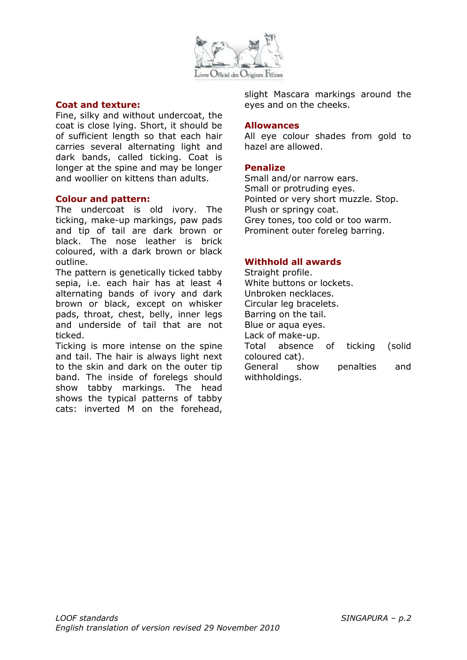

### **Coat and texture:**

Fine, silky and without undercoat, the coat is close lying. Short, it should be of sufficient length so that each hair carries several alternating light and dark bands, called ticking. Coat is longer at the spine and may be longer and woollier on kittens than adults.

### **Colour and pattern:**

The undercoat is old ivory. The ticking, make-up markings, paw pads and tip of tail are dark brown or black. The nose leather is brick coloured, with a dark brown or black outline.

The pattern is genetically ticked tabby sepia, i.e. each hair has at least 4 alternating bands of ivory and dark brown or black, except on whisker pads, throat, chest, belly, inner legs and underside of tail that are not ticked.

Ticking is more intense on the spine and tail. The hair is always light next to the skin and dark on the outer tip band. The inside of forelegs should show tabby markings. The head shows the typical patterns of tabby cats: inverted M on the forehead, slight Mascara markings around the eyes and on the cheeks.

#### **Allowances**

All eye colour shades from gold to hazel are allowed.

### **Penalize**

Small and/or narrow ears. Small or protruding eyes. Pointed or very short muzzle. Stop. Plush or springy coat. Grey tones, too cold or too warm. Prominent outer foreleg barring.

### **Withhold all awards**

Straight profile. White buttons or lockets. Unbroken necklaces. Circular leg bracelets. Barring on the tail. Blue or aqua eyes. Lack of make-up. Total absence of ticking (solid coloured cat). General show penalties and withholdings.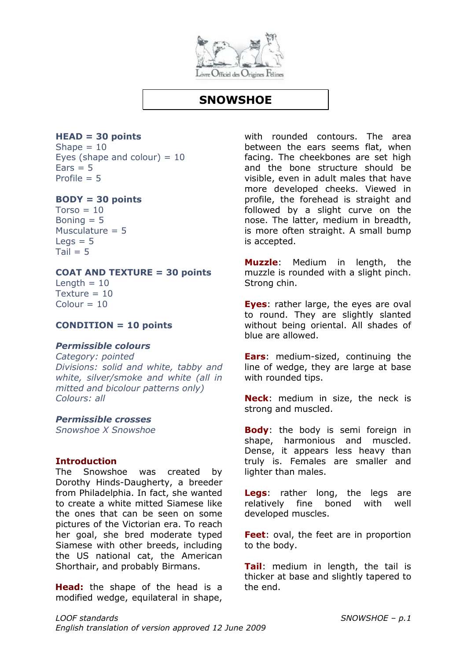

# **SNOWSHOE**

# **HEAD = 30 points**

Shape  $= 10$ Eyes (shape and colour)  $= 10$  $Ears = 5$ Profile  $= 5$ 

### **BODY = 30 points**

 $Torso = 10$ Boning  $= 5$ Musculature  $= 5$  $Leqs = 5$  $Tail = 5$ 

### **COAT AND TEXTURE = 30 points**

Length  $= 10$ Texture  $= 10$  $Colour = 10$ 

### **CONDITION = 10 points**

### *Permissible colours*

*Category: pointed Divisions: solid and white, tabby and white, silver/smoke and white (all in mitted and bicolour patterns only) Colours: all*

### *Permissible crosses*

*Snowshoe X Snowshoe*

### **Introduction**

The Snowshoe was created by Dorothy Hinds-Daugherty, a breeder from Philadelphia. In fact, she wanted to create a white mitted Siamese like the ones that can be seen on some pictures of the Victorian era. To reach her goal, she bred moderate typed Siamese with other breeds, including the US national cat, the American Shorthair, and probably Birmans.

**Head:** the shape of the head is a modified wedge, equilateral in shape, with rounded contours. The area between the ears seems flat, when facing. The cheekbones are set high and the bone structure should be visible, even in adult males that have more developed cheeks. Viewed in profile, the forehead is straight and followed by a slight curve on the nose. The latter, medium in breadth, is more often straight. A small bump is accepted.

**Muzzle**: Medium in length, the muzzle is rounded with a slight pinch. Strong chin.

**Eyes**: rather large, the eyes are oval to round. They are slightly slanted without being oriental. All shades of blue are allowed.

**Ears**: medium-sized, continuing the line of wedge, they are large at base with rounded tips.

**Neck**: medium in size, the neck is strong and muscled.

**Body**: the body is semi foreign in shape, harmonious and muscled. Dense, it appears less heavy than truly is. Females are smaller and lighter than males.

**Legs**: rather long, the legs are relatively fine boned with well developed muscles.

**Feet**: oval, the feet are in proportion to the body.

**Tail**: medium in length, the tail is thicker at base and slightly tapered to the end.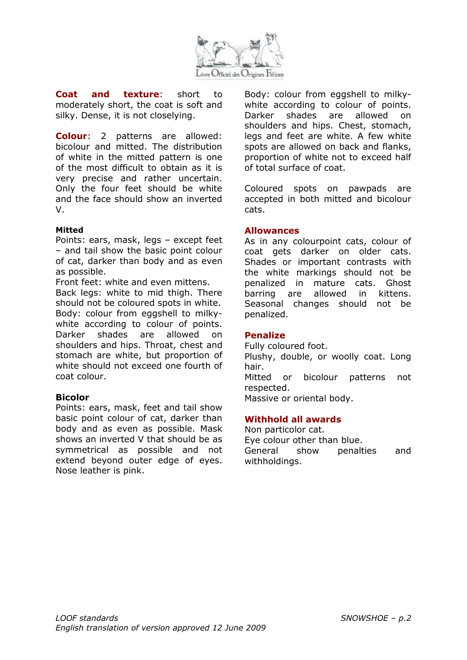

**Coat and texture**: short to moderately short, the coat is soft and silky. Dense, it is not closelying.

**Colour**: 2 patterns are allowed: bicolour and mitted. The distribution of white in the mitted pattern is one of the most difficult to obtain as it is very precise and rather uncertain. Only the four feet should be white and the face should show an inverted V.

#### **Mitted**

Points: ears, mask, legs – except feet – and tail show the basic point colour of cat, darker than body and as even as possible.

Front feet: white and even mittens.

Back legs: white to mid thigh. There should not be coloured spots in white. Body: colour from eggshell to milkywhite according to colour of points. Darker shades are allowed on shoulders and hips. Throat, chest and stomach are white, but proportion of white should not exceed one fourth of coat colour.

### **Bicolor**

Points: ears, mask, feet and tail show basic point colour of cat, darker than body and as even as possible. Mask shows an inverted V that should be as symmetrical as possible and not extend beyond outer edge of eyes. Nose leather is pink.

Body: colour from eggshell to milkywhite according to colour of points. Darker shades are allowed on shoulders and hips. Chest, stomach, legs and feet are white. A few white spots are allowed on back and flanks, proportion of white not to exceed half of total surface of coat.

Coloured spots on pawpads are accepted in both mitted and bicolour cats.

#### **Allowances**

As in any colourpoint cats, colour of coat gets darker on older cats. Shades or important contrasts with the white markings should not be penalized in mature cats. Ghost barring are allowed in kittens. Seasonal changes should not be penalized.

### **Penalize**

Fully coloured foot. Plushy, double, or woolly coat. Long hair. Mitted or bicolour patterns not respected. Massive or oriental body.

### **Withhold all awards**

Non particolor cat. Eye colour other than blue. General show penalties and withholdings.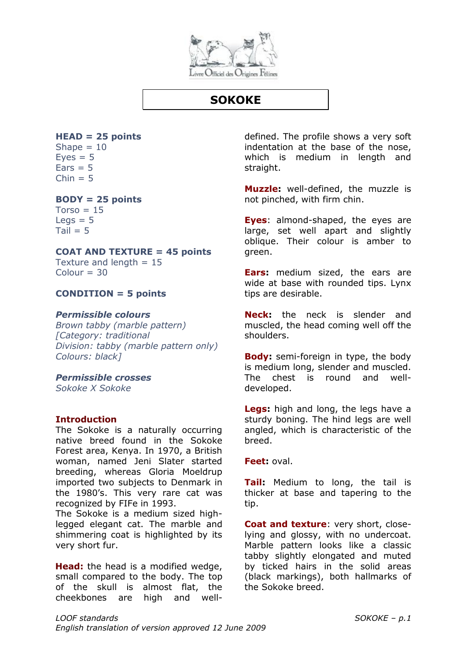

# **SOKOKE**

## **HEAD = 25 points**

Shape  $= 10$  $Eves = 5$  $Ears = 5$  $Chin = 5$ 

### **BODY = 25 points**

 $Torso = 15$  $Leas = 5$  $Tail = 5$ 

### **COAT AND TEXTURE = 45 points**

Texture and length  $= 15$  $Colour = 30$ 

### **CONDITION = 5 points**

### *Permissible colours*

*Brown tabby (marble pattern) [Category: traditional Division: tabby (marble pattern only) Colours: black]*

### *Permissible crosses*

*Sokoke X Sokoke* 

### **Introduction**

The Sokoke is a naturally occurring native breed found in the Sokoke Forest area, Kenya. In 1970, a British woman, named Jeni Slater started breeding, whereas Gloria Moeldrup imported two subjects to Denmark in the 1980's. This very rare cat was recognized by FIFe in 1993.

The Sokoke is a medium sized highlegged elegant cat. The marble and shimmering coat is highlighted by its very short fur.

**Head:** the head is a modified wedge, small compared to the body. The top of the skull is almost flat, the cheekbones are high and welldefined. The profile shows a very soft indentation at the base of the nose, which is medium in length and straight.

**Muzzle:** well-defined, the muzzle is not pinched, with firm chin.

**Eyes**: almond-shaped, the eyes are large, set well apart and slightly oblique. Their colour is amber to green.

**Ears:** medium sized, the ears are wide at base with rounded tips. Lynx tips are desirable.

**Neck:** the neck is slender and muscled, the head coming well off the shoulders.

**Body:** semi-foreign in type, the body is medium long, slender and muscled. The chest is round and welldeveloped.

**Legs:** high and long, the legs have a sturdy boning. The hind legs are well angled, which is characteristic of the breed.

**Feet:** oval.

**Tail:** Medium to long, the tail is thicker at base and tapering to the tip.

**Coat and texture**: very short, closelying and glossy, with no undercoat. Marble pattern looks like a classic tabby slightly elongated and muted by ticked hairs in the solid areas (black markings), both hallmarks of the Sokoke breed.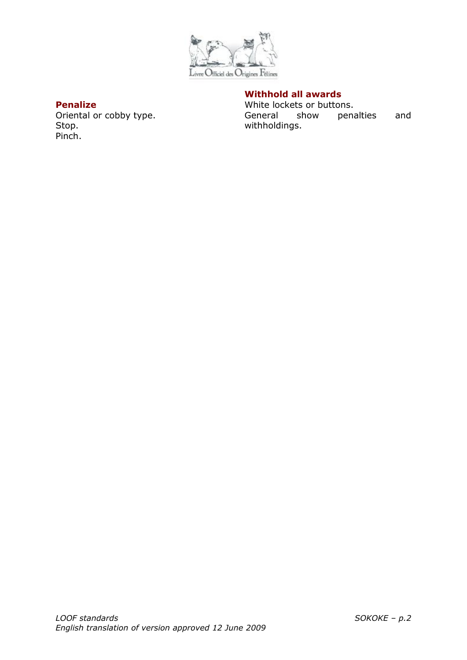

### **Penalize**

Oriental or cobby type. Stop. Pinch.

### **Withhold all awards**

White lockets or buttons. General show penalties and withholdings.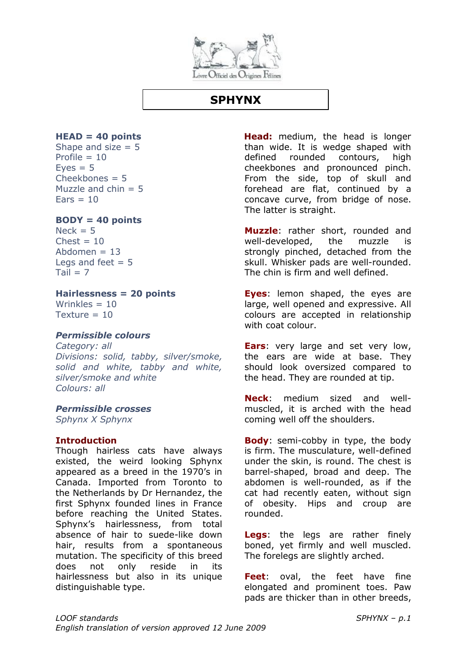

# **SPHYNX**

### **HEAD = 40 points**

Shape and size  $= 5$ Profile  $= 10$  $Eves = 5$  $Cheekhones = 5$ Muzzle and  $chin = 5$  $\text{Fars} = 10$ 

### **BODY = 40 points**

 $Nerk = 5$  $Check = 10$ Abdomen  $= 13$ Legs and feet  $= 5$  $Tail = 7$ 

### **Hairlessness = 20 points**

Wrinkles  $= 10$  $T$ exture = 10

### *Permissible colours*

*Category: all Divisions: solid, tabby, silver/smoke, solid and white, tabby and white, silver/smoke and white Colours: all*

### *Permissible crosses*

*Sphynx X Sphynx*

### **Introduction**

Though hairless cats have always existed, the weird looking Sphynx appeared as a breed in the 1970's in Canada. Imported from Toronto to the Netherlands by Dr Hernandez, the first Sphynx founded lines in France before reaching the United States. Sphynx's hairlessness, from total absence of hair to suede-like down hair, results from a spontaneous mutation. The specificity of this breed does not only reside in its hairlessness but also in its unique distinguishable type.

**Head:** medium, the head is longer than wide. It is wedge shaped with defined rounded contours, high cheekbones and pronounced pinch. From the side, top of skull and forehead are flat, continued by a concave curve, from bridge of nose. The latter is straight.

**Muzzle**: rather short, rounded and well-developed, the muzzle is strongly pinched, detached from the skull. Whisker pads are well-rounded. The chin is firm and well defined.

**Eyes**: lemon shaped, the eyes are large, well opened and expressive. All colours are accepted in relationship with coat colour.

**Ears**: very large and set very low, the ears are wide at base. They should look oversized compared to the head. They are rounded at tip.

**Neck**: medium sized and wellmuscled, it is arched with the head coming well off the shoulders.

**Body**: semi-cobby in type, the body is firm. The musculature, well-defined under the skin, is round. The chest is barrel-shaped, broad and deep. The abdomen is well-rounded, as if the cat had recently eaten, without sign of obesity. Hips and croup are rounded.

**Legs**: the legs are rather finely boned, yet firmly and well muscled. The forelegs are slightly arched.

**Feet**: oval, the feet have fine elongated and prominent toes. Paw pads are thicker than in other breeds,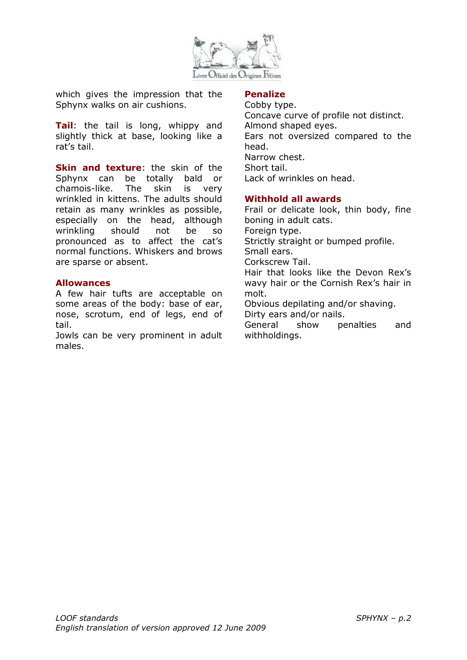

which gives the impression that the Sphynx walks on air cushions.

**Tail**: the tail is long, whippy and slightly thick at base, looking like a rat's tail.

**Skin and texture:** the skin of the Sphynx can be totally bald or chamois-like. The skin is very wrinkled in kittens. The adults should retain as many wrinkles as possible, especially on the head, although wrinkling should not be so pronounced as to affect the cat's normal functions. Whiskers and brows are sparse or absent.

### **Allowances**

A few hair tufts are acceptable on some areas of the body: base of ear, nose, scrotum, end of legs, end of tail.

Jowls can be very prominent in adult males.

### **Penalize**

Cobby type. Concave curve of profile not distinct. Almond shaped eyes. Ears not oversized compared to the head. Narrow chest. Short tail. Lack of wrinkles on head.

### **Withhold all awards**

Frail or delicate look, thin body, fine boning in adult cats. Foreign type. Strictly straight or bumped profile. Small ears. Corkscrew Tail. Hair that looks like the Devon Rex's wavy hair or the Cornish Rex's hair in molt. Obvious depilating and/or shaving. Dirty ears and/or nails. General show penalties and withholdings.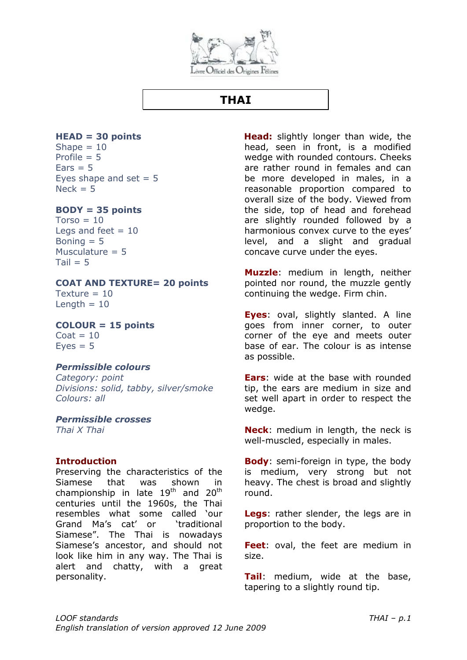

# **THAI**

## **HEAD = 30 points**

Shape  $= 10$ Profile  $= 5$  $Ears = 5$ Eyes shape and set  $= 5$  $Nack = 5$ 

### **BODY = 35 points**

 $Torso = 10$ Legs and feet  $= 10$ Boning  $= 5$ Musculature  $= 5$  $Tail = 5$ 

### **COAT AND TEXTURE= 20 points**

Texture  $= 10$ Length  $= 10$ 

**COLOUR = 15 points**

 $\text{Coat} = 10$  $Eves = 5$ 

### *Permissible colours*

*Category: point Divisions: solid, tabby, silver/smoke Colours: all*

### *Permissible crosses*

*Thai X Thai*

### **Introduction**

Preserving the characteristics of the Siamese that was shown in championship in late  $19<sup>th</sup>$  and  $20<sup>th</sup>$ centuries until the 1960s, the Thai resembles what some called 'our Grand Ma's cat' or 'traditional Siamese". The Thai is nowadays Siamese's ancestor, and should not look like him in any way. The Thai is alert and chatty, with a great personality.

**Head:** slightly longer than wide, the head, seen in front, is a modified wedge with rounded contours. Cheeks are rather round in females and can be more developed in males, in a reasonable proportion compared to overall size of the body. Viewed from the side, top of head and forehead are slightly rounded followed by a harmonious convex curve to the eyes' level, and a slight and gradual concave curve under the eyes.

**Muzzle**: medium in length, neither pointed nor round, the muzzle gently continuing the wedge. Firm chin.

**Eyes**: oval, slightly slanted. A line goes from inner corner, to outer corner of the eye and meets outer base of ear. The colour is as intense as possible.

**Ears**: wide at the base with rounded tip, the ears are medium in size and set well apart in order to respect the wedge.

**Neck**: medium in length, the neck is well-muscled, especially in males.

**Body:** semi-foreign in type, the body is medium, very strong but not heavy. The chest is broad and slightly round.

**Legs**: rather slender, the legs are in proportion to the body.

**Feet**: oval, the feet are medium in size.

**Tail**: medium, wide at the base, tapering to a slightly round tip.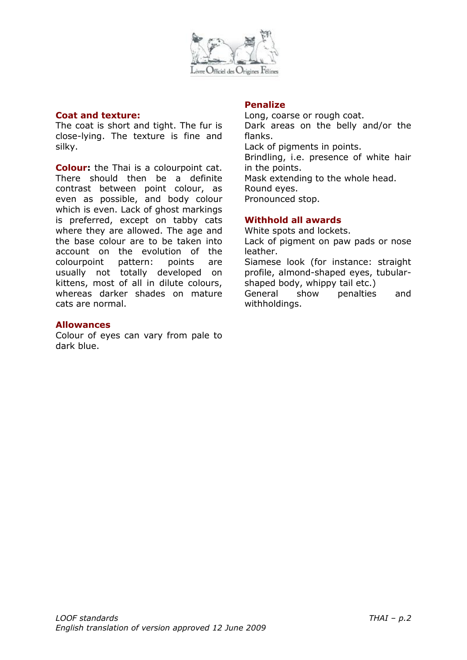

#### **Coat and texture:**

The coat is short and tight. The fur is close-lying. The texture is fine and silky.

**Colour:** the Thai is a colourpoint cat. There should then be a definite contrast between point colour, as even as possible, and body colour which is even. Lack of ghost markings is preferred, except on tabby cats where they are allowed. The age and the base colour are to be taken into account on the evolution of the colourpoint pattern: points are usually not totally developed on kittens, most of all in dilute colours, whereas darker shades on mature cats are normal.

### **Allowances**

Colour of eyes can vary from pale to dark blue.

### **Penalize**

Long, coarse or rough coat. Dark areas on the belly and/or the flanks. Lack of pigments in points. Brindling, i.e. presence of white hair in the points. Mask extending to the whole head. Round eyes. Pronounced stop.

## **Withhold all awards**

White spots and lockets. Lack of pigment on paw pads or nose leather. Siamese look (for instance: straight

profile, almond-shaped eyes, tubularshaped body, whippy tail etc.)

General show penalties and withholdings.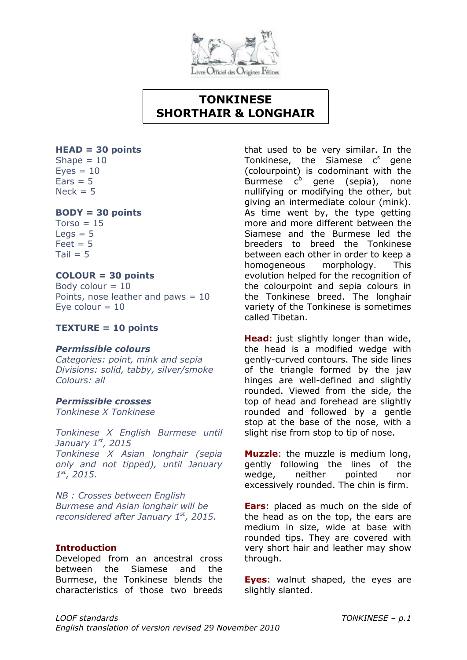

# **TONKINESE SHORTHAIR & LONGHAIR**

### **HEAD = 30 points**

Shape  $= 10$  $Eves = 10$  $Ears = 5$  $Nack = 5$ 

### **BODY = 30 points**

 $Torso = 15$  $Leqs = 5$  $Feet = 5$  $Tail = 5$ 

### **COLOUR = 30 points**

Body colour  $= 10$ Points, nose leather and paws = 10 Eve colour  $= 10$ 

### **TEXTURE = 10 points**

### *Permissible colours*

*Categories: point, mink and sepia Divisions: solid, tabby, silver/smoke Colours: all*

### *Permissible crosses*

*Tonkinese X Tonkinese*

*Tonkinese X English Burmese until January 1st, 2015 Tonkinese X Asian longhair (sepia only and not tipped), until January 1 st, 2015.*

*NB : Crosses between English Burmese and Asian longhair will be reconsidered after January 1st, 2015.*

### **Introduction**

Developed from an ancestral cross between the Siamese and the Burmese, the Tonkinese blends the characteristics of those two breeds

that used to be very similar. In the Tonkinese, the Siamese  $c<sup>s</sup>$  gene (colourpoint) is codominant with the Burmese  $c^b$  gene (sepia), none nullifying or modifying the other, but giving an intermediate colour (mink). As time went by, the type getting more and more different between the Siamese and the Burmese led the breeders to breed the Tonkinese between each other in order to keep a homogeneous morphology. This evolution helped for the recognition of the colourpoint and sepia colours in the Tonkinese breed. The longhair variety of the Tonkinese is sometimes called Tibetan.

**Head:** just slightly longer than wide, the head is a modified wedge with gently-curved contours. The side lines of the triangle formed by the jaw hinges are well-defined and slightly rounded. Viewed from the side, the top of head and forehead are slightly rounded and followed by a gentle stop at the base of the nose, with a slight rise from stop to tip of nose.

**Muzzle**: the muzzle is medium long, gently following the lines of the wedge, neither pointed nor excessively rounded. The chin is firm.

**Ears**: placed as much on the side of the head as on the top, the ears are medium in size, wide at base with rounded tips. They are covered with very short hair and leather may show through.

**Eyes**: walnut shaped, the eyes are slightly slanted.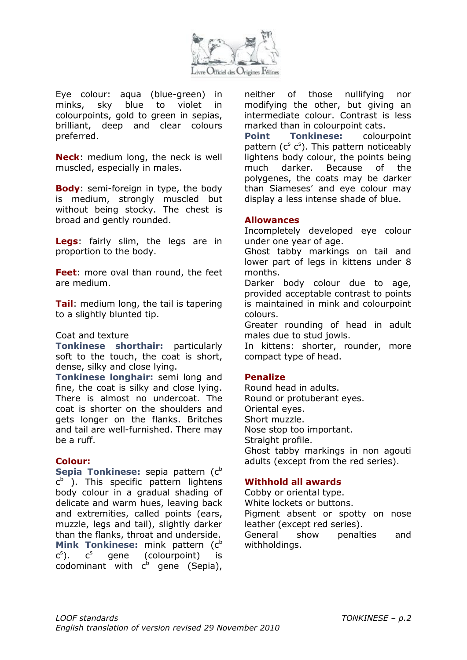

Eye colour: aqua (blue-green) in minks, sky blue to violet in colourpoints, gold to green in sepias, brilliant, deep and clear colours preferred.

**Neck**: medium long, the neck is well muscled, especially in males.

**Body:** semi-foreign in type, the body is medium, strongly muscled but without being stocky. The chest is broad and gently rounded.

**Legs**: fairly slim, the legs are in proportion to the body.

**Feet**: more oval than round, the feet are medium.

**Tail**: medium long, the tail is tapering to a slightly blunted tip.

### Coat and texture

**Tonkinese shorthair:** particularly soft to the touch, the coat is short, dense, silky and close lying.

**Tonkinese longhair:** semi long and fine, the coat is silky and close lying. There is almost no undercoat. The coat is shorter on the shoulders and gets longer on the flanks. Britches and tail are well-furnished. There may be a ruff.

### **Colour:**

**Sepia Tonkinese:** sepia pattern (c<sup>b</sup>) c<sup>b</sup> ). This specific pattern lightens body colour in a gradual shading of delicate and warm hues, leaving back and extremities, called points (ears, muzzle, legs and tail), slightly darker than the flanks, throat and underside. **Mink Tonkinese:** mink pattern (c<sup>b</sup>) c s  $c<sup>s</sup>$  gene (colourpoint) is codominant with  $c^b$  gene (Sepia),

neither of those nullifying nor modifying the other, but giving an intermediate colour. Contrast is less marked than in colourpoint cats.

**Point Tonkinese:** colourpoint pattern  $(c^s c^s)$ . This pattern noticeably lightens body colour, the points being much darker. Because of the polygenes, the coats may be darker than Siameses' and eye colour may display a less intense shade of blue.

#### **Allowances**

Incompletely developed eye colour under one year of age.

Ghost tabby markings on tail and lower part of legs in kittens under 8 months.

Darker body colour due to age, provided acceptable contrast to points is maintained in mink and colourpoint colours.

Greater rounding of head in adult males due to stud jowls.

In kittens: shorter, rounder, more compact type of head.

### **Penalize**

Round head in adults. Round or protuberant eyes. Oriental eyes. Short muzzle. Nose stop too important. Straight profile. Ghost tabby markings in non agouti adults (except from the red series).

### **Withhold all awards**

Cobby or oriental type. White lockets or buttons. Pigment absent or spotty on nose leather (except red series). General show penalties and withholdings.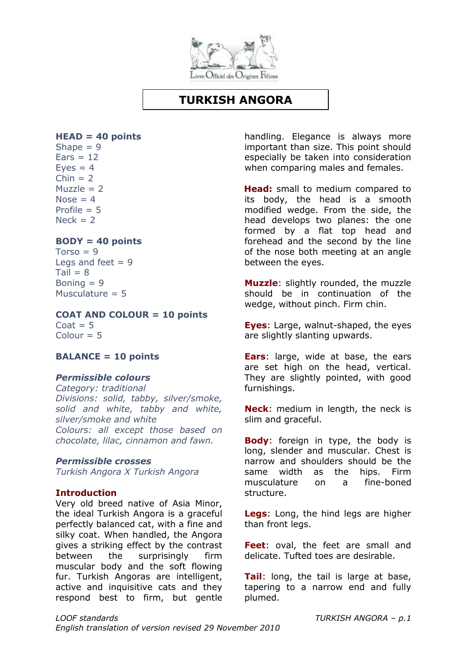

# **TURKISH ANGORA**

### **HEAD = 40 points**

Shape  $= 9$  $Ears = 12$  $Eves = 4$  $Chin = 2$  $Muzzle = 2$  $Nose = 4$ Profile  $= 5$  $Nerk = 2$ 

### **BODY = 40 points**

 $Torso = 9$ Legs and feet  $= 9$  $Tail = 8$ Boning  $= 9$ Musculature  $= 5$ 

**COAT AND COLOUR = 10 points**  $Coat = 5$  $Colour = 5$ 

### **BALANCE = 10 points**

### *Permissible colours*

*Category: traditional Divisions: solid, tabby, silver/smoke, solid and white, tabby and white, silver/smoke and white Colours: all except those based on chocolate, lilac, cinnamon and fawn.*

### *Permissible crosses*

*Turkish Angora X Turkish Angora*

### **Introduction**

Very old breed native of Asia Minor, the ideal Turkish Angora is a graceful perfectly balanced cat, with a fine and silky coat. When handled, the Angora gives a striking effect by the contrast between the surprisingly firm muscular body and the soft flowing fur. Turkish Angoras are intelligent, active and inquisitive cats and they respond best to firm, but gentle handling. Elegance is always more important than size. This point should especially be taken into consideration when comparing males and females.

**Head:** small to medium compared to its body, the head is a smooth modified wedge. From the side, the head develops two planes: the one formed by a flat top head and forehead and the second by the line of the nose both meeting at an angle between the eyes.

**Muzzle**: slightly rounded, the muzzle should be in continuation of the wedge, without pinch. Firm chin.

**Eyes**: Large, walnut-shaped, the eyes are slightly slanting upwards.

**Ears**: large, wide at base, the ears are set high on the head, vertical. They are slightly pointed, with good furnishings.

**Neck**: medium in length, the neck is slim and graceful.

**Body**: foreign in type, the body is long, slender and muscular. Chest is narrow and shoulders should be the same width as the hips. Firm musculature on a fine-boned structure.

**Legs**: Long, the hind legs are higher than front legs.

**Feet**: oval, the feet are small and delicate. Tufted toes are desirable.

**Tail**: long, the tail is large at base, tapering to a narrow end and fully plumed.

*LOOF standards TURKISH ANGORA – p.1 English translation of version revised 29 November 2010*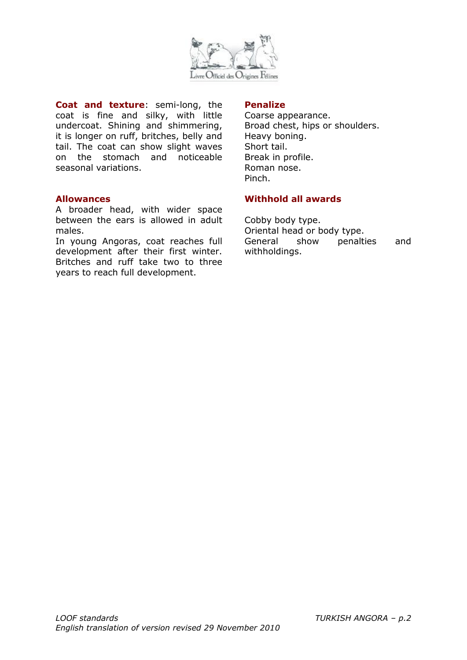

**Coat and texture**: semi-long, the coat is fine and silky, with little undercoat. Shining and shimmering, it is longer on ruff, britches, belly and tail. The coat can show slight waves on the stomach and noticeable seasonal variations.

### **Allowances**

A broader head, with wider space between the ears is allowed in adult males.

In young Angoras, coat reaches full development after their first winter. Britches and ruff take two to three years to reach full development.

### **Penalize**

Coarse appearance. Broad chest, hips or shoulders. Heavy boning. Short tail. Break in profile. Roman nose. Pinch.

### **Withhold all awards**

Cobby body type. Oriental head or body type. General show penalties and withholdings.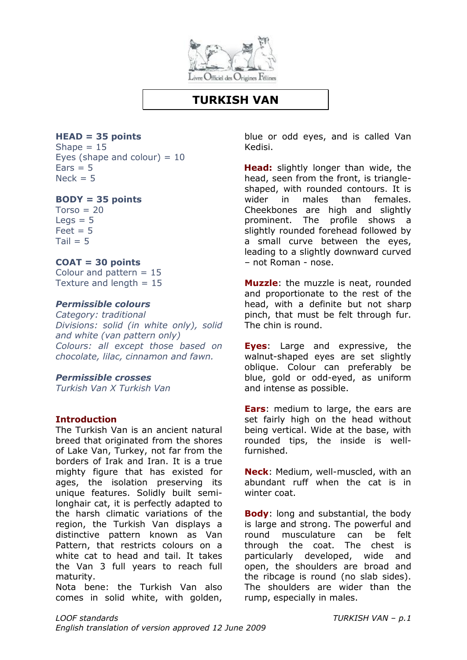

## **TURKISH VAN**

**HEAD = 35 points**

Shape  $= 15$ Eyes (shape and colour)  $= 10$  $Ears = 5$  $Nerk = 5$ 

### **BODY = 35 points**

 $Torso = 20$  $\text{Leas} = 5$  $Feet = 5$  $Tail = 5$ 

### **COAT = 30 points**

Colour and pattern  $= 15$ Texture and length  $= 15$ 

### *Permissible colours*

*Category: traditional Divisions: solid (in white only), solid and white (van pattern only) Colours: all except those based on chocolate, lilac, cinnamon and fawn.*

### *Permissible crosses*

*Turkish Van X Turkish Van*

### **Introduction**

The Turkish Van is an ancient natural breed that originated from the shores of Lake Van, Turkey, not far from the borders of Irak and Iran. It is a true mighty figure that has existed for ages, the isolation preserving its unique features. Solidly built semilonghair cat, it is perfectly adapted to the harsh climatic variations of the region, the Turkish Van displays a distinctive pattern known as Van Pattern, that restricts colours on a white cat to head and tail. It takes the Van 3 full years to reach full maturity.

Nota bene: the Turkish Van also comes in solid white, with golden, blue or odd eyes, and is called Van Kedisi.

**Head:** slightly longer than wide, the head, seen from the front, is triangleshaped, with rounded contours. It is wider in males than females. Cheekbones are high and slightly prominent. The profile shows a slightly rounded forehead followed by a small curve between the eyes, leading to a slightly downward curved – not Roman - nose.

**Muzzle**: the muzzle is neat, rounded and proportionate to the rest of the head, with a definite but not sharp pinch, that must be felt through fur. The chin is round.

**Eyes**: Large and expressive, the walnut-shaped eyes are set slightly oblique. Colour can preferably be blue, gold or odd-eyed, as uniform and intense as possible.

**Ears**: medium to large, the ears are set fairly high on the head without being vertical. Wide at the base, with rounded tips, the inside is wellfurnished.

**Neck**: Medium, well-muscled, with an abundant ruff when the cat is in winter coat.

**Body**: long and substantial, the body is large and strong. The powerful and round musculature can be felt through the coat. The chest is particularly developed, wide and open, the shoulders are broad and the ribcage is round (no slab sides). The shoulders are wider than the rump, especially in males.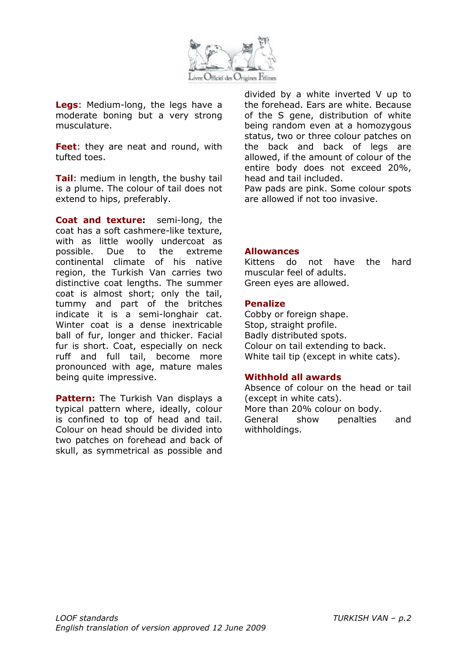

**Legs**: Medium-long, the legs have a moderate boning but a very strong musculature.

**Feet**: they are neat and round, with tufted toes.

**Tail**: medium in length, the bushy tail is a plume. The colour of tail does not extend to hips, preferably.

**Coat and texture:** semi-long, the coat has a soft cashmere-like texture, with as little woolly undercoat as possible. Due to the extreme continental climate of his native region, the Turkish Van carries two distinctive coat lengths. The summer coat is almost short; only the tail, tummy and part of the britches indicate it is a semi-longhair cat. Winter coat is a dense inextricable ball of fur, longer and thicker. Facial fur is short. Coat, especially on neck ruff and full tail, become more pronounced with age, mature males being quite impressive.

**Pattern:** The Turkish Van displays a typical pattern where, ideally, colour is confined to top of head and tail. Colour on head should be divided into two patches on forehead and back of skull, as symmetrical as possible and divided by a white inverted V up to the forehead. Ears are white. Because of the S gene, distribution of white being random even at a homozygous status, two or three colour patches on the back and back of legs are allowed, if the amount of colour of the entire body does not exceed 20%, head and tail included.

Paw pads are pink. Some colour spots are allowed if not too invasive.

### **Allowances**

Kittens do not have the hard muscular feel of adults. Green eyes are allowed.

#### **Penalize**

Cobby or foreign shape. Stop, straight profile. Badly distributed spots. Colour on tail extending to back. White tail tip (except in white cats).

#### **Withhold all awards**

Absence of colour on the head or tail (except in white cats). More than 20% colour on body. General show penalties and withholdings.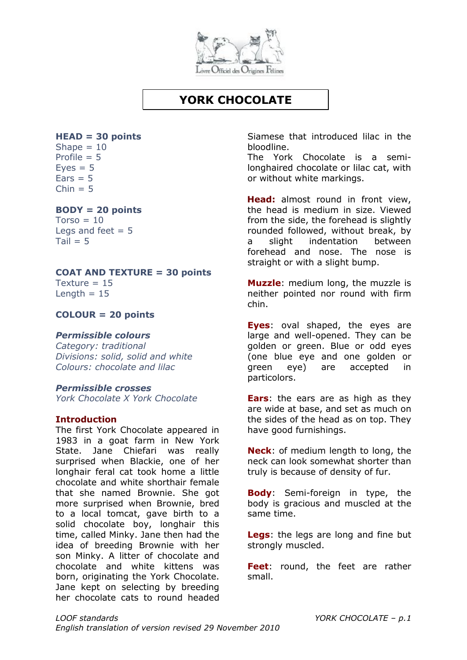

# **YORK CHOCOLATE**

## **HEAD = 30 points**

Shape  $= 10$ Profile  $= 5$  $Eves = 5$  $Fars = 5$  $Chin = 5$ 

### **BODY = 20 points**

 $Torso = 10$ Legs and feet  $= 5$  $Tail = 5$ 

### **COAT AND TEXTURE = 30 points**

Texture  $= 15$ Length  $= 15$ 

### **COLOUR = 20 points**

### *Permissible colours*

*Category: traditional Divisions: solid, solid and white Colours: chocolate and lilac*

### *Permissible crosses*

*York Chocolate X York Chocolate*

### **Introduction**

The first York Chocolate appeared in 1983 in a goat farm in New York State. Jane Chiefari was really surprised when Blackie, one of her longhair feral cat took home a little chocolate and white shorthair female that she named Brownie. She got more surprised when Brownie, bred to a local tomcat, gave birth to a solid chocolate boy, longhair this time, called Minky. Jane then had the idea of breeding Brownie with her son Minky. A litter of chocolate and chocolate and white kittens was born, originating the York Chocolate. Jane kept on selecting by breeding her chocolate cats to round headed

Siamese that introduced lilac in the bloodline.

The York Chocolate is a semilonghaired chocolate or lilac cat, with or without white markings.

**Head:** almost round in front view, the head is medium in size. Viewed from the side, the forehead is slightly rounded followed, without break, by a slight indentation between forehead and nose. The nose is straight or with a slight bump.

**Muzzle**: medium long, the muzzle is neither pointed nor round with firm chin.

**Eyes**: oval shaped, the eyes are large and well-opened. They can be golden or green. Blue or odd eyes (one blue eye and one golden or green eye) are accepted in particolors.

**Ears**: the ears are as high as they are wide at base, and set as much on the sides of the head as on top. They have good furnishings.

**Neck**: of medium length to long, the neck can look somewhat shorter than truly is because of density of fur.

**Body**: Semi-foreign in type, the body is gracious and muscled at the same time.

**Legs**: the legs are long and fine but strongly muscled.

**Feet**: round, the feet are rather small.

*LOOF standards YORK CHOCOLATE – p.1 English translation of version revised 29 November 2010*